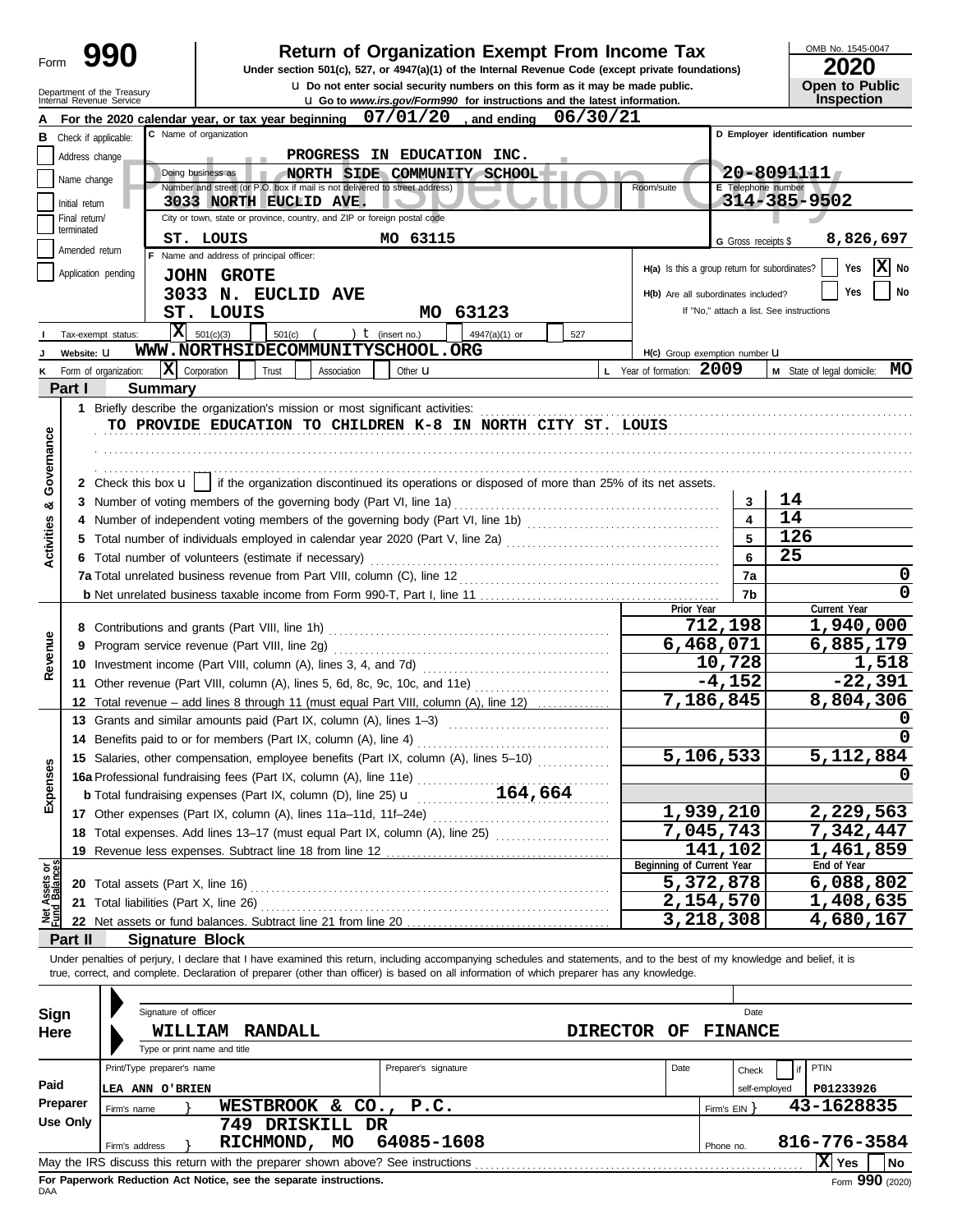| Form                           |                 |                            |                                                                                                             |                            |                      | <b>Return of Organization Exempt From Income Tax</b><br>Under section 501(c), 527, or 4947(a)(1) of the Internal Revenue Code (except private foundations)                                                                                                                                                               |             |                                               |                     | OMB No. 1545-0047<br>2020                |
|--------------------------------|-----------------|----------------------------|-------------------------------------------------------------------------------------------------------------|----------------------------|----------------------|--------------------------------------------------------------------------------------------------------------------------------------------------------------------------------------------------------------------------------------------------------------------------------------------------------------------------|-------------|-----------------------------------------------|---------------------|------------------------------------------|
|                                |                 | Department of the Treasury |                                                                                                             |                            |                      | <b>u</b> Do not enter social security numbers on this form as it may be made public.                                                                                                                                                                                                                                     |             |                                               |                     | <b>Open to Public</b>                    |
|                                |                 | Internal Revenue Service   | For the 2020 calendar year, or tax year beginning                                                           |                            |                      | <b>u</b> Go to www.irs.gov/Form990 for instructions and the latest information.<br>$07/01/20$ , and ending                                                                                                                                                                                                               | 06/30/21    |                                               |                     | Inspection                               |
| в                              |                 | Check if applicable:       | C Name of organization                                                                                      |                            |                      |                                                                                                                                                                                                                                                                                                                          |             |                                               |                     | D Employer identification number         |
|                                | Address change  |                            |                                                                                                             | PROGRESS IN EDUCATION INC. |                      |                                                                                                                                                                                                                                                                                                                          |             |                                               |                     |                                          |
|                                | Name change     |                            | Doing business as                                                                                           |                            |                      | NORTH SIDE COMMUNITY SCHOOL                                                                                                                                                                                                                                                                                              |             |                                               |                     | $20 - 8091111$                           |
|                                | Initial return  |                            | Number and street (or P.O. box if mail is not delivered to street address)<br><b>3033 NORTH EUCLID AVE.</b> |                            |                      |                                                                                                                                                                                                                                                                                                                          |             | Room/suite                                    | E Telephone number  | 314-385-9502                             |
|                                | Final return/   |                            | City or town, state or province, country, and ZIP or foreign postal code                                    |                            |                      |                                                                                                                                                                                                                                                                                                                          |             |                                               |                     |                                          |
|                                | terminated      |                            | ST. LOUIS                                                                                                   |                            | MO 63115             |                                                                                                                                                                                                                                                                                                                          |             |                                               | G Gross receipts \$ | 8,826,697                                |
|                                | Amended return  |                            | F Name and address of principal officer:                                                                    |                            |                      |                                                                                                                                                                                                                                                                                                                          |             |                                               |                     |                                          |
|                                |                 | Application pending        | <b>JOHN GROTE</b>                                                                                           |                            |                      |                                                                                                                                                                                                                                                                                                                          |             | H(a) Is this a group return for subordinates? |                     | X<br>Yes<br>No                           |
|                                |                 |                            | 3033 N. EUCLID AVE                                                                                          |                            |                      |                                                                                                                                                                                                                                                                                                                          |             | H(b) Are all subordinates included?           |                     | No<br><b>Yes</b>                         |
|                                |                 |                            | ST. LOUIS                                                                                                   |                            | MO.                  | 63123                                                                                                                                                                                                                                                                                                                    |             |                                               |                     | If "No," attach a list. See instructions |
|                                |                 | x<br>Tax-exempt status:    | 501(c)(3)<br>501(c)                                                                                         |                            | ) $t$ (insert no.)   | 4947(a)(1) or                                                                                                                                                                                                                                                                                                            | 527         |                                               |                     |                                          |
|                                | Website: U      |                            | WWW.NORTHSIDECOMMUNITYSCHOOL.ORG                                                                            |                            |                      |                                                                                                                                                                                                                                                                                                                          |             | H(c) Group exemption number LI                |                     |                                          |
| κ                              | Part I          | Form of organization:      | $\mathbf{X}$ Corporation<br>Trust                                                                           | Association                | Other <b>u</b>       |                                                                                                                                                                                                                                                                                                                          |             | L Year of formation: 2009                     |                     | MO<br>M State of legal domicile:         |
|                                |                 | <b>Summary</b>             |                                                                                                             |                            |                      |                                                                                                                                                                                                                                                                                                                          |             |                                               |                     |                                          |
|                                |                 |                            |                                                                                                             |                            |                      | TO PROVIDE EDUCATION TO CHILDREN K-8 IN NORTH CITY ST. LOUIS                                                                                                                                                                                                                                                             |             |                                               |                     |                                          |
| Governance                     |                 |                            |                                                                                                             |                            |                      |                                                                                                                                                                                                                                                                                                                          |             |                                               |                     |                                          |
|                                |                 |                            |                                                                                                             |                            |                      |                                                                                                                                                                                                                                                                                                                          |             |                                               |                     |                                          |
|                                |                 |                            |                                                                                                             |                            |                      | 2 Check this box $\mathbf{u}$   if the organization discontinued its operations or disposed of more than 25% of its net assets.                                                                                                                                                                                          |             |                                               |                     |                                          |
| ಯ                              |                 |                            | 3 Number of voting members of the governing body (Part VI, line 1a)                                         |                            |                      |                                                                                                                                                                                                                                                                                                                          |             |                                               | 3                   | 14                                       |
|                                |                 |                            |                                                                                                             |                            |                      |                                                                                                                                                                                                                                                                                                                          |             |                                               |                     | 14                                       |
| Activities                     |                 |                            |                                                                                                             |                            |                      |                                                                                                                                                                                                                                                                                                                          |             |                                               | 5                   | 126                                      |
|                                |                 |                            | 6 Total number of volunteers (estimate if necessary)                                                        |                            |                      |                                                                                                                                                                                                                                                                                                                          |             |                                               | 6                   | 25                                       |
|                                |                 |                            |                                                                                                             |                            |                      |                                                                                                                                                                                                                                                                                                                          |             |                                               | 7a                  | 0                                        |
|                                |                 |                            |                                                                                                             |                            |                      |                                                                                                                                                                                                                                                                                                                          |             | Prior Year                                    | 7b                  | Current Year                             |
|                                |                 |                            | 8 Contributions and grants (Part VIII, line 1h)                                                             |                            |                      |                                                                                                                                                                                                                                                                                                                          |             |                                               | 712,198             | 1,940,000                                |
|                                |                 |                            | 9 Program service revenue (Part VIII, line 2g)                                                              |                            |                      |                                                                                                                                                                                                                                                                                                                          |             |                                               | 6,468,071           | 6,885,179                                |
| Revenue                        |                 |                            | 10 Investment income (Part VIII, column (A), lines 3, 4, and 7d)                                            |                            |                      |                                                                                                                                                                                                                                                                                                                          |             |                                               | 10,728              | 1,518                                    |
|                                |                 |                            |                                                                                                             |                            |                      | 11 Other revenue (Part VIII, column (A), lines 5, 6d, 8c, 9c, 10c, and 11e) [[[[[[[[[[[[[[[[[[[[[[[[[[[[[[[[[                                                                                                                                                                                                            |             |                                               | $-4,152$            | $-22,391$                                |
|                                |                 |                            |                                                                                                             |                            |                      | 12 Total revenue – add lines 8 through 11 (must equal Part VIII, column (A), line 12)                                                                                                                                                                                                                                    |             |                                               | 7,186,845           | 8,804,306                                |
|                                |                 |                            | 13 Grants and similar amounts paid (Part IX, column (A), lines 1-3)                                         |                            |                      |                                                                                                                                                                                                                                                                                                                          |             |                                               |                     | 0                                        |
|                                |                 |                            | 14 Benefits paid to or for members (Part IX, column (A), line 4)                                            |                            |                      |                                                                                                                                                                                                                                                                                                                          |             |                                               |                     | 0                                        |
|                                |                 |                            |                                                                                                             |                            |                      | 15 Salaries, other compensation, employee benefits (Part IX, column (A), lines 5-10)                                                                                                                                                                                                                                     |             |                                               | 5,106,533           | $\overline{5,112,884}$                   |
| Expenses                       |                 |                            | 16a Professional fundraising fees (Part IX, column (A), line 11e)                                           |                            |                      |                                                                                                                                                                                                                                                                                                                          |             |                                               |                     |                                          |
|                                |                 |                            |                                                                                                             |                            |                      |                                                                                                                                                                                                                                                                                                                          |             |                                               | 1,939,210           | 2,229,563                                |
|                                |                 |                            |                                                                                                             |                            |                      | 18 Total expenses. Add lines 13-17 (must equal Part IX, column (A), line 25) [[[[[[[[[[[[[[[[[[[[[[[[[[[[[[[[                                                                                                                                                                                                            |             |                                               | 7,045,743           | 7,342,447                                |
|                                |                 |                            |                                                                                                             |                            |                      |                                                                                                                                                                                                                                                                                                                          |             |                                               | 141,102             | 1,461,859                                |
|                                |                 |                            |                                                                                                             |                            |                      |                                                                                                                                                                                                                                                                                                                          |             | Beginning of Current Year                     |                     | End of Year                              |
|                                |                 |                            |                                                                                                             |                            |                      |                                                                                                                                                                                                                                                                                                                          |             |                                               | 5,372,878           | 6,088,802                                |
| Net Assets or<br>Fund Balances |                 |                            |                                                                                                             |                            |                      |                                                                                                                                                                                                                                                                                                                          |             |                                               | 2,154,570           | 1,408,635                                |
|                                |                 |                            | 22 Net assets or fund balances. Subtract line 21 from line 20                                               |                            |                      |                                                                                                                                                                                                                                                                                                                          |             |                                               | 3,218,308           | 4,680,167                                |
|                                | Part II         | <b>Signature Block</b>     |                                                                                                             |                            |                      |                                                                                                                                                                                                                                                                                                                          |             |                                               |                     |                                          |
|                                |                 |                            |                                                                                                             |                            |                      | Under penalties of perjury, I declare that I have examined this return, including accompanying schedules and statements, and to the best of my knowledge and belief, it is<br>true, correct, and complete. Declaration of preparer (other than officer) is based on all information of which preparer has any knowledge. |             |                                               |                     |                                          |
|                                |                 |                            |                                                                                                             |                            |                      |                                                                                                                                                                                                                                                                                                                          |             |                                               |                     |                                          |
| Sign                           |                 | Signature of officer       |                                                                                                             |                            |                      |                                                                                                                                                                                                                                                                                                                          |             |                                               | Date                |                                          |
| Here                           |                 |                            | <b>WILLIAM RANDALL</b>                                                                                      |                            |                      |                                                                                                                                                                                                                                                                                                                          | DIRECTOR OF |                                               | <b>FINANCE</b>      |                                          |
|                                |                 |                            | Type or print name and title                                                                                |                            |                      |                                                                                                                                                                                                                                                                                                                          |             |                                               |                     |                                          |
|                                |                 | Print/Type preparer's name |                                                                                                             |                            | Preparer's signature |                                                                                                                                                                                                                                                                                                                          |             | Date                                          | Check               | PTIN                                     |
| Paid                           |                 | <b>LEA ANN O'BRIEN</b>     |                                                                                                             |                            |                      |                                                                                                                                                                                                                                                                                                                          |             |                                               | self-employed       | P01233926                                |
|                                | Preparer        | Firm's name                |                                                                                                             | WESTBROOK & CO.,           | P.C.                 |                                                                                                                                                                                                                                                                                                                          |             |                                               | Firm's $EIN$ }      | 43-1628835                               |
|                                | <b>Use Only</b> |                            |                                                                                                             | 749 DRISKILL DR            |                      |                                                                                                                                                                                                                                                                                                                          |             |                                               |                     |                                          |
|                                |                 | Firm's address             | RICHMOND,                                                                                                   | MO                         | 64085-1608           |                                                                                                                                                                                                                                                                                                                          |             |                                               | Phone no.           | 816-776-3584                             |
|                                |                 |                            | May the IRS discuss this return with the preparer shown above? See instructions                             |                            |                      |                                                                                                                                                                                                                                                                                                                          |             |                                               |                     | $ \mathbf{\overline{X}} $ Yes<br>No      |

| Sign     |                            | Signature of officer                    |                                                                                 |    |                      | Date            |      |              |                |              |          |  |
|----------|----------------------------|-----------------------------------------|---------------------------------------------------------------------------------|----|----------------------|-----------------|------|--------------|----------------|--------------|----------|--|
| Here     |                            | WILLIAM<br>Type or print name and title | RANDALL                                                                         |    |                      | <b>DIRECTOR</b> | OF   |              | <b>FINANCE</b> |              |          |  |
|          | Print/Type preparer's name |                                         |                                                                                 |    | Preparer's signature |                 | Date |              | Check          | PTIN         |          |  |
| Paid     | LEA                        | ANN O'BRIEN                             |                                                                                 |    |                      |                 |      |              | self-employed  | P01233926    |          |  |
| Preparer | Firm's name                |                                         | WESTBROOK & CO., P.C.                                                           |    |                      |                 |      | Firm's $EIN$ |                | 43-1628835   |          |  |
| Use Only |                            |                                         | DRISKILL DR<br>749                                                              |    |                      |                 |      |              |                |              |          |  |
|          | Firm's address             |                                         | RICHMOND,                                                                       | MO | 64085-1608           |                 |      | Phone no.    |                | 816-776-3584 |          |  |
|          |                            |                                         | May the IRS discuss this return with the preparer shown above? See instructions |    |                      |                 |      |              |                | ΙX<br>Yes    | No       |  |
|          |                            |                                         |                                                                                 |    |                      |                 |      |              |                |              | $\cdots$ |  |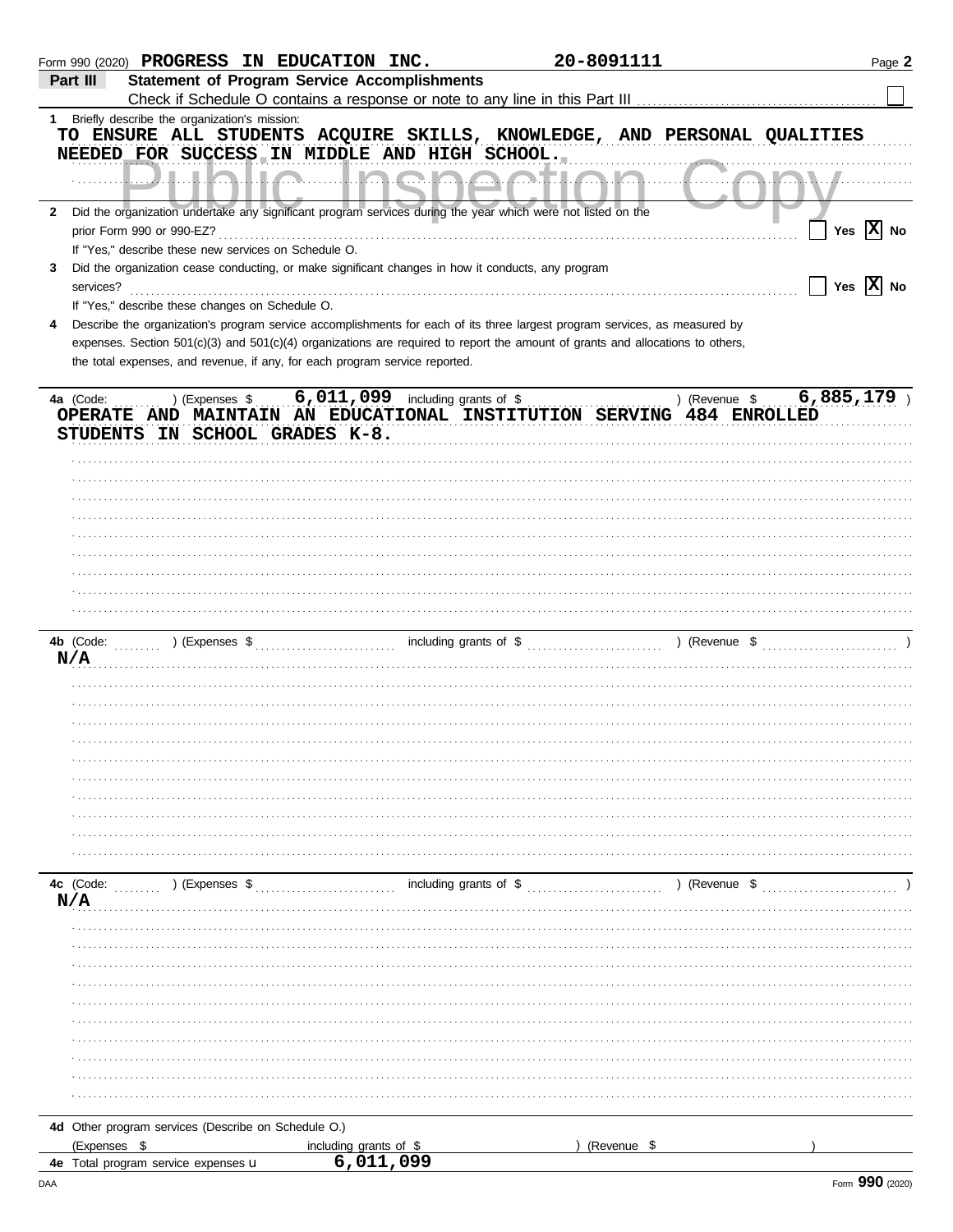|              | Form 990 (2020) PROGRESS IN EDUCATION INC.                                                                                                                                                                    |                                                                                                                                                                                                                                                                                                                             | 20-8091111                       |                 | Page 2                       |
|--------------|---------------------------------------------------------------------------------------------------------------------------------------------------------------------------------------------------------------|-----------------------------------------------------------------------------------------------------------------------------------------------------------------------------------------------------------------------------------------------------------------------------------------------------------------------------|----------------------------------|-----------------|------------------------------|
|              | Part III                                                                                                                                                                                                      | <b>Statement of Program Service Accomplishments</b>                                                                                                                                                                                                                                                                         |                                  |                 |                              |
|              |                                                                                                                                                                                                               |                                                                                                                                                                                                                                                                                                                             |                                  |                 |                              |
|              | 1 Briefly describe the organization's mission:<br>TO ENSURE ALL STUDENTS ACQUIRE SKILLS, KNOWLEDGE, AND PERSONAL QUALITIES<br>NEEDED FOR SUCCESS IN MIDDLE AND HIGH SCHOOL.                                   |                                                                                                                                                                                                                                                                                                                             |                                  |                 |                              |
|              |                                                                                                                                                                                                               |                                                                                                                                                                                                                                                                                                                             |                                  |                 |                              |
| $\mathbf{2}$ | Did the organization undertake any significant program services during the year which were not listed on the<br>prior Form 990 or 990-EZ?                                                                     |                                                                                                                                                                                                                                                                                                                             |                                  |                 | Yes $ X $ No                 |
|              | If "Yes," describe these new services on Schedule O.                                                                                                                                                          |                                                                                                                                                                                                                                                                                                                             |                                  |                 |                              |
| 3            | Did the organization cease conducting, or make significant changes in how it conducts, any program<br>services?                                                                                               |                                                                                                                                                                                                                                                                                                                             |                                  |                 | $\Box$ Yes $\overline{X}$ No |
|              | If "Yes," describe these changes on Schedule O.                                                                                                                                                               |                                                                                                                                                                                                                                                                                                                             |                                  |                 |                              |
|              | Describe the organization's program service accomplishments for each of its three largest program services, as measured by                                                                                    |                                                                                                                                                                                                                                                                                                                             |                                  |                 |                              |
|              | expenses. Section 501(c)(3) and 501(c)(4) organizations are required to report the amount of grants and allocations to others,<br>the total expenses, and revenue, if any, for each program service reported. |                                                                                                                                                                                                                                                                                                                             |                                  |                 |                              |
|              | ) (Expenses \$<br>4a (Code:<br>OPERATE AND MAINTAIN AN EDUCATIONAL INSTITUTION SERVING 484 ENROLLED                                                                                                           | 6,011,099 including grants of $\sqrt[6]{\ }$                                                                                                                                                                                                                                                                                |                                  | ) (Revenue \$   | 6,885,179                    |
|              | STUDENTS IN SCHOOL GRADES K-8.                                                                                                                                                                                |                                                                                                                                                                                                                                                                                                                             |                                  |                 |                              |
|              |                                                                                                                                                                                                               |                                                                                                                                                                                                                                                                                                                             |                                  |                 |                              |
|              |                                                                                                                                                                                                               |                                                                                                                                                                                                                                                                                                                             |                                  |                 |                              |
|              |                                                                                                                                                                                                               |                                                                                                                                                                                                                                                                                                                             |                                  |                 |                              |
|              |                                                                                                                                                                                                               |                                                                                                                                                                                                                                                                                                                             |                                  |                 |                              |
|              |                                                                                                                                                                                                               |                                                                                                                                                                                                                                                                                                                             |                                  |                 |                              |
|              |                                                                                                                                                                                                               |                                                                                                                                                                                                                                                                                                                             |                                  |                 |                              |
|              |                                                                                                                                                                                                               |                                                                                                                                                                                                                                                                                                                             |                                  |                 |                              |
|              |                                                                                                                                                                                                               |                                                                                                                                                                                                                                                                                                                             |                                  |                 |                              |
|              |                                                                                                                                                                                                               |                                                                                                                                                                                                                                                                                                                             |                                  |                 |                              |
|              |                                                                                                                                                                                                               |                                                                                                                                                                                                                                                                                                                             |                                  |                 |                              |
|              | 4b (Code:                                                                                                                                                                                                     | ) (Expenses $\frac{1}{2}$ , $\frac{1}{2}$ , $\frac{1}{2}$ , $\frac{1}{2}$ , $\frac{1}{2}$ , $\frac{1}{2}$ , $\frac{1}{2}$ , $\frac{1}{2}$ , $\frac{1}{2}$ , $\frac{1}{2}$ , $\frac{1}{2}$ , $\frac{1}{2}$ , $\frac{1}{2}$ , $\frac{1}{2}$ , $\frac{1}{2}$ , $\frac{1}{2}$ , $\frac{1}{2}$ , $\frac{1}{2}$ , $\frac{1}{2}$ , |                                  |                 |                              |
|              | N/A                                                                                                                                                                                                           |                                                                                                                                                                                                                                                                                                                             |                                  |                 |                              |
|              |                                                                                                                                                                                                               |                                                                                                                                                                                                                                                                                                                             |                                  |                 |                              |
|              |                                                                                                                                                                                                               |                                                                                                                                                                                                                                                                                                                             |                                  |                 |                              |
|              |                                                                                                                                                                                                               |                                                                                                                                                                                                                                                                                                                             |                                  |                 |                              |
|              |                                                                                                                                                                                                               |                                                                                                                                                                                                                                                                                                                             |                                  |                 |                              |
|              |                                                                                                                                                                                                               |                                                                                                                                                                                                                                                                                                                             |                                  |                 |                              |
|              |                                                                                                                                                                                                               |                                                                                                                                                                                                                                                                                                                             |                                  |                 |                              |
|              |                                                                                                                                                                                                               |                                                                                                                                                                                                                                                                                                                             |                                  |                 |                              |
|              |                                                                                                                                                                                                               |                                                                                                                                                                                                                                                                                                                             |                                  |                 |                              |
|              |                                                                                                                                                                                                               |                                                                                                                                                                                                                                                                                                                             |                                  |                 |                              |
|              |                                                                                                                                                                                                               |                                                                                                                                                                                                                                                                                                                             |                                  |                 |                              |
|              |                                                                                                                                                                                                               |                                                                                                                                                                                                                                                                                                                             |                                  |                 |                              |
|              |                                                                                                                                                                                                               |                                                                                                                                                                                                                                                                                                                             |                                  |                 |                              |
|              | 4c (Code:<br>) (Expenses \$<br>N/A                                                                                                                                                                            |                                                                                                                                                                                                                                                                                                                             | including grants of $\$\ldots$ . | $($ (Revenue \$ |                              |
|              |                                                                                                                                                                                                               |                                                                                                                                                                                                                                                                                                                             |                                  |                 |                              |
|              |                                                                                                                                                                                                               |                                                                                                                                                                                                                                                                                                                             |                                  |                 |                              |
|              |                                                                                                                                                                                                               |                                                                                                                                                                                                                                                                                                                             |                                  |                 |                              |
|              |                                                                                                                                                                                                               |                                                                                                                                                                                                                                                                                                                             |                                  |                 |                              |
|              |                                                                                                                                                                                                               |                                                                                                                                                                                                                                                                                                                             |                                  |                 |                              |
|              |                                                                                                                                                                                                               |                                                                                                                                                                                                                                                                                                                             |                                  |                 |                              |
|              |                                                                                                                                                                                                               |                                                                                                                                                                                                                                                                                                                             |                                  |                 |                              |
|              |                                                                                                                                                                                                               |                                                                                                                                                                                                                                                                                                                             |                                  |                 |                              |
|              |                                                                                                                                                                                                               |                                                                                                                                                                                                                                                                                                                             |                                  |                 |                              |
|              |                                                                                                                                                                                                               |                                                                                                                                                                                                                                                                                                                             |                                  |                 |                              |
|              |                                                                                                                                                                                                               |                                                                                                                                                                                                                                                                                                                             |                                  |                 |                              |
|              |                                                                                                                                                                                                               |                                                                                                                                                                                                                                                                                                                             |                                  |                 |                              |
|              | 4d Other program services (Describe on Schedule O.)                                                                                                                                                           |                                                                                                                                                                                                                                                                                                                             |                                  |                 |                              |
|              | (Expenses \$                                                                                                                                                                                                  | including grants of \$                                                                                                                                                                                                                                                                                                      | (Revenue \$                      |                 |                              |
|              | 4e Total program service expenses u                                                                                                                                                                           | 6,011,099                                                                                                                                                                                                                                                                                                                   |                                  |                 |                              |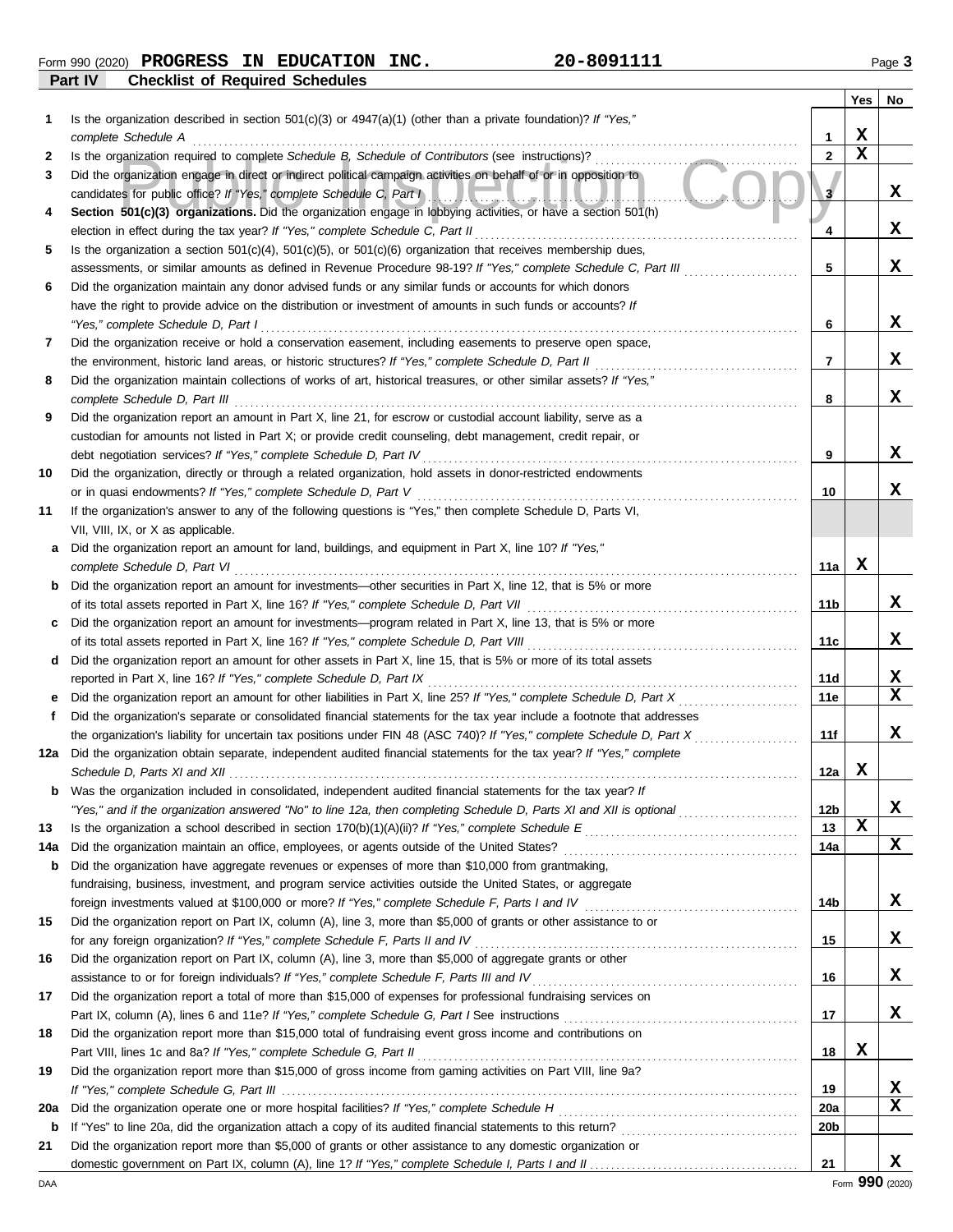**Form 990 (2020) PROGRESS IN EDUCATION INC.** 20-8091111 2001 2008 2009 20

**Part IV Checklist of Required Schedules**

|     |                                                                                                                                                                                                                                 |                       | Yes         | No          |
|-----|---------------------------------------------------------------------------------------------------------------------------------------------------------------------------------------------------------------------------------|-----------------------|-------------|-------------|
| 1   | Is the organization described in section $501(c)(3)$ or $4947(a)(1)$ (other than a private foundation)? If "Yes,"<br>complete Schedule A                                                                                        | 1                     | X           |             |
| 2   | Is the organization required to complete Schedule B, Schedule of Contributors (see instructions)?                                                                                                                               | $\mathbf{2}$          | $\mathbf x$ |             |
| 3   | Did the organization engage in direct or indirect political campaign activities on behalf of or in opposition to<br>candidates for public office? If "Yes," complete Schedule C, Part I<br>.                                    | $\mathbf{3}^{\prime}$ |             | x           |
| 4   | Section 501(c)(3) organizations. Did the organization engage in lobbying activities, or have a section 501(h)<br>election in effect during the tax year? If "Yes," complete Schedule C, Part II                                 | 4                     |             | X           |
| 5   | Is the organization a section $501(c)(4)$ , $501(c)(5)$ , or $501(c)(6)$ organization that receives membership dues,                                                                                                            |                       |             |             |
|     | assessments, or similar amounts as defined in Revenue Procedure 98-19? If "Yes," complete Schedule C, Part III                                                                                                                  | 5                     |             | $\mathbf x$ |
| 6   | Did the organization maintain any donor advised funds or any similar funds or accounts for which donors                                                                                                                         |                       |             |             |
|     | have the right to provide advice on the distribution or investment of amounts in such funds or accounts? If                                                                                                                     |                       |             |             |
|     | "Yes," complete Schedule D, Part I                                                                                                                                                                                              | 6                     |             | X           |
| 7   | Did the organization receive or hold a conservation easement, including easements to preserve open space,                                                                                                                       |                       |             |             |
|     | the environment, historic land areas, or historic structures? If "Yes," complete Schedule D, Part II                                                                                                                            | 7                     |             | X           |
| 8   | Did the organization maintain collections of works of art, historical treasures, or other similar assets? If "Yes,"<br>complete Schedule D, Part III                                                                            | 8                     |             | $\mathbf x$ |
| 9   | Did the organization report an amount in Part X, line 21, for escrow or custodial account liability, serve as a                                                                                                                 |                       |             |             |
|     | custodian for amounts not listed in Part X; or provide credit counseling, debt management, credit repair, or                                                                                                                    |                       |             |             |
|     | debt negotiation services? If "Yes," complete Schedule D, Part IV                                                                                                                                                               | 9                     |             | X           |
| 10  | Did the organization, directly or through a related organization, hold assets in donor-restricted endowments                                                                                                                    |                       |             |             |
|     | or in quasi endowments? If "Yes," complete Schedule D, Part V                                                                                                                                                                   | 10                    |             | $\mathbf x$ |
| 11  | If the organization's answer to any of the following questions is "Yes," then complete Schedule D, Parts VI,                                                                                                                    |                       |             |             |
|     | VII, VIII, IX, or X as applicable.                                                                                                                                                                                              |                       |             |             |
| a   | Did the organization report an amount for land, buildings, and equipment in Part X, line 10? If "Yes,"                                                                                                                          |                       |             |             |
|     | complete Schedule D, Part VI                                                                                                                                                                                                    | 11a                   | X           |             |
| b   | Did the organization report an amount for investments—other securities in Part X, line 12, that is 5% or more                                                                                                                   | 11b                   |             | x           |
| c   | Did the organization report an amount for investments—program related in Part X, line 13, that is 5% or more                                                                                                                    |                       |             |             |
|     |                                                                                                                                                                                                                                 | 11c                   |             | x           |
| d   | Did the organization report an amount for other assets in Part X, line 15, that is 5% or more of its total assets                                                                                                               |                       |             |             |
|     | reported in Part X, line 16? If "Yes," complete Schedule D, Part IX                                                                                                                                                             | 11d                   |             | X           |
| е   |                                                                                                                                                                                                                                 | 11e                   |             | X           |
| f   | Did the organization's separate or consolidated financial statements for the tax year include a footnote that addresses                                                                                                         |                       |             |             |
|     | the organization's liability for uncertain tax positions under FIN 48 (ASC 740)? If "Yes," complete Schedule D, Part X<br>.                                                                                                     | 11f                   |             | x           |
| 12a | Did the organization obtain separate, independent audited financial statements for the tax year? If "Yes," complete<br>Schedule D, Parts XI and XII                                                                             | 12a                   | X           |             |
|     | <b>b</b> Was the organization included in consolidated, independent audited financial statements for the tax year? If                                                                                                           |                       |             |             |
|     | "Yes," and if the organization answered "No" to line 12a, then completing Schedule D, Parts XI and XII is optional                                                                                                              | 12 <sub>b</sub>       |             | X           |
| 13  |                                                                                                                                                                                                                                 | 13                    | $\mathbf x$ |             |
| 14a |                                                                                                                                                                                                                                 | 14a                   |             | X           |
| b   | Did the organization have aggregate revenues or expenses of more than \$10,000 from grantmaking,                                                                                                                                |                       |             |             |
|     | fundraising, business, investment, and program service activities outside the United States, or aggregate                                                                                                                       |                       |             |             |
|     | foreign investments valued at \$100,000 or more? If "Yes," complete Schedule F, Parts I and IV [[[[[[[[[[[[[[[[                                                                                                                 | 14b                   |             | X           |
| 15  | Did the organization report on Part IX, column (A), line 3, more than \$5,000 of grants or other assistance to or                                                                                                               |                       |             |             |
|     |                                                                                                                                                                                                                                 | 15                    |             | X           |
| 16  | Did the organization report on Part IX, column (A), line 3, more than \$5,000 of aggregate grants or other                                                                                                                      | 16                    |             | X           |
| 17  | assistance to or for foreign individuals? If "Yes," complete Schedule F, Parts III and IV [[[[[[[[[[[[[[[[[[[<br>Did the organization report a total of more than \$15,000 of expenses for professional fundraising services on |                       |             |             |
|     |                                                                                                                                                                                                                                 | 17                    |             | X           |
| 18  | Did the organization report more than \$15,000 total of fundraising event gross income and contributions on                                                                                                                     |                       |             |             |
|     |                                                                                                                                                                                                                                 | 18                    | X           |             |
| 19  | Did the organization report more than \$15,000 of gross income from gaming activities on Part VIII, line 9a?                                                                                                                    |                       |             |             |
|     |                                                                                                                                                                                                                                 | 19                    |             | X           |
| 20a |                                                                                                                                                                                                                                 | 20a                   |             | x           |
| b   |                                                                                                                                                                                                                                 | 20 <sub>b</sub>       |             |             |
| 21  | Did the organization report more than \$5,000 of grants or other assistance to any domestic organization or                                                                                                                     |                       |             |             |
|     |                                                                                                                                                                                                                                 | 21                    |             | X           |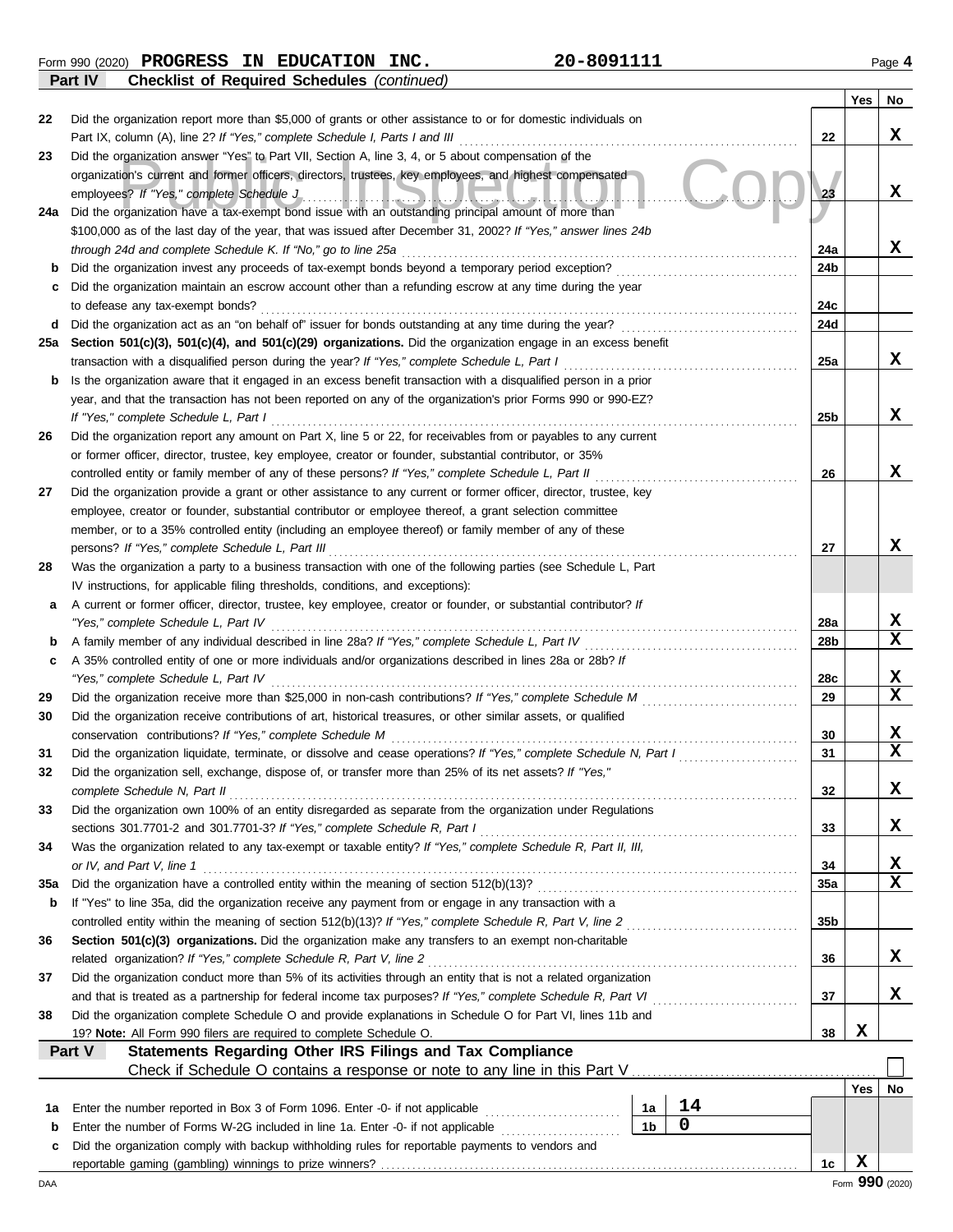**Part IV Checklist of Required Schedules** *(continued)*

|        |                                                                                                                                                                                                                                  |                |             |                 | Yes        | No              |
|--------|----------------------------------------------------------------------------------------------------------------------------------------------------------------------------------------------------------------------------------|----------------|-------------|-----------------|------------|-----------------|
| 22     | Did the organization report more than \$5,000 of grants or other assistance to or for domestic individuals on                                                                                                                    |                |             |                 |            |                 |
|        | Part IX, column (A), line 2? If "Yes," complete Schedule I, Parts I and III                                                                                                                                                      |                |             | 22              |            | X               |
| 23     | Did the organization answer "Yes" to Part VII, Section A, line 3, 4, or 5 about compensation of the                                                                                                                              |                |             |                 |            |                 |
|        | organization's current and former officers, directors, trustees, key employees, and highest compensated                                                                                                                          |                |             |                 |            | x               |
|        | employees? If "Yes," complete Schedule J                                                                                                                                                                                         |                |             | 23              |            |                 |
| 24a    | Did the organization have a tax-exempt bond issue with an outstanding principal amount of more than                                                                                                                              |                |             |                 |            |                 |
|        | \$100,000 as of the last day of the year, that was issued after December 31, 2002? If "Yes," answer lines 24b<br>through 24d and complete Schedule K. If "No," go to line 25a                                                    |                |             | 24a             |            | X               |
| b      |                                                                                                                                                                                                                                  |                |             | 24b             |            |                 |
| c      | Did the organization maintain an escrow account other than a refunding escrow at any time during the year                                                                                                                        |                |             |                 |            |                 |
|        | to defease any tax-exempt bonds?                                                                                                                                                                                                 |                |             | 24c             |            |                 |
| d      | Did the organization act as an "on behalf of" issuer for bonds outstanding at any time during the year?                                                                                                                          |                |             | 24d             |            |                 |
| 25a    | Section 501(c)(3), 501(c)(4), and 501(c)(29) organizations. Did the organization engage in an excess benefit                                                                                                                     |                |             |                 |            |                 |
|        | transaction with a disqualified person during the year? If "Yes," complete Schedule L, Part I                                                                                                                                    |                |             | 25a             |            | X               |
| b      | Is the organization aware that it engaged in an excess benefit transaction with a disqualified person in a prior                                                                                                                 |                |             |                 |            |                 |
|        | year, and that the transaction has not been reported on any of the organization's prior Forms 990 or 990-EZ?                                                                                                                     |                |             |                 |            |                 |
|        | If "Yes," complete Schedule L, Part I                                                                                                                                                                                            |                |             | 25 <sub>b</sub> |            | x               |
| 26     | Did the organization report any amount on Part X, line 5 or 22, for receivables from or payables to any current                                                                                                                  |                |             |                 |            |                 |
|        | or former officer, director, trustee, key employee, creator or founder, substantial contributor, or 35%                                                                                                                          |                |             |                 |            |                 |
|        | controlled entity or family member of any of these persons? If "Yes," complete Schedule L, Part II                                                                                                                               |                |             | 26              |            | x               |
| 27     | Did the organization provide a grant or other assistance to any current or former officer, director, trustee, key                                                                                                                |                |             |                 |            |                 |
|        | employee, creator or founder, substantial contributor or employee thereof, a grant selection committee                                                                                                                           |                |             |                 |            |                 |
|        | member, or to a 35% controlled entity (including an employee thereof) or family member of any of these                                                                                                                           |                |             |                 |            |                 |
|        | persons? If "Yes," complete Schedule L, Part III                                                                                                                                                                                 |                |             | 27              |            | x               |
| 28     | Was the organization a party to a business transaction with one of the following parties (see Schedule L, Part                                                                                                                   |                |             |                 |            |                 |
|        | IV instructions, for applicable filing thresholds, conditions, and exceptions):                                                                                                                                                  |                |             |                 |            |                 |
| a      | A current or former officer, director, trustee, key employee, creator or founder, or substantial contributor? If                                                                                                                 |                |             |                 |            | x               |
|        | "Yes," complete Schedule L, Part IV                                                                                                                                                                                              |                |             | 28a<br>28b      |            | x               |
| b<br>c | A family member of any individual described in line 28a? If "Yes," complete Schedule L, Part IV<br>A 35% controlled entity of one or more individuals and/or organizations described in lines 28a or 28b? If                     |                |             |                 |            |                 |
|        | "Yes," complete Schedule L, Part IV                                                                                                                                                                                              |                |             | 28c             |            | X               |
| 29     |                                                                                                                                                                                                                                  |                |             | 29              |            | $\mathbf x$     |
| 30     | Did the organization receive contributions of art, historical treasures, or other similar assets, or qualified                                                                                                                   |                |             |                 |            |                 |
|        | conservation contributions? If "Yes," complete Schedule M                                                                                                                                                                        |                |             | 30              |            | X               |
| 31     | Did the organization liquidate, terminate, or dissolve and cease operations? If "Yes," complete Schedule N, Part I                                                                                                               |                |             | 31              |            | X               |
| 32     | Did the organization sell, exchange, dispose of, or transfer more than 25% of its net assets? If "Yes,"                                                                                                                          |                |             |                 |            |                 |
|        | complete Schedule N, Part II                                                                                                                                                                                                     |                |             | 32              |            | х               |
| 33     | Did the organization own 100% of an entity disregarded as separate from the organization under Regulations                                                                                                                       |                |             |                 |            |                 |
|        | sections 301.7701-2 and 301.7701-3? If "Yes," complete Schedule R, Part I                                                                                                                                                        |                |             | 33              |            | X               |
| 34     | Was the organization related to any tax-exempt or taxable entity? If "Yes," complete Schedule R, Part II, III,                                                                                                                   |                |             |                 |            |                 |
|        | or IV, and Part V, line 1                                                                                                                                                                                                        |                |             | 34              |            | x               |
| 35a    |                                                                                                                                                                                                                                  |                |             | <b>35a</b>      |            | $\mathbf x$     |
| b      | If "Yes" to line 35a, did the organization receive any payment from or engage in any transaction with a                                                                                                                          |                |             |                 |            |                 |
|        | controlled entity within the meaning of section 512(b)(13)? If "Yes," complete Schedule R, Part V, line 2                                                                                                                        |                |             | 35b             |            |                 |
| 36     | Section 501(c)(3) organizations. Did the organization make any transfers to an exempt non-charitable                                                                                                                             |                |             |                 |            |                 |
|        | related organization? If "Yes," complete Schedule R, Part V, line 2                                                                                                                                                              |                |             | 36              |            | x               |
| 37     | Did the organization conduct more than 5% of its activities through an entity that is not a related organization<br>and that is treated as a partnership for federal income tax purposes? If "Yes," complete Schedule R, Part VI |                |             | 37              |            | x               |
| 38     | Did the organization complete Schedule O and provide explanations in Schedule O for Part VI, lines 11b and                                                                                                                       |                |             |                 |            |                 |
|        | 19? Note: All Form 990 filers are required to complete Schedule O.                                                                                                                                                               |                |             | 38              | X          |                 |
|        | Statements Regarding Other IRS Filings and Tax Compliance<br>Part V                                                                                                                                                              |                |             |                 |            |                 |
|        |                                                                                                                                                                                                                                  |                |             |                 |            |                 |
|        |                                                                                                                                                                                                                                  |                |             |                 | <b>Yes</b> | No              |
| 1a     | Enter the number reported in Box 3 of Form 1096. Enter -0- if not applicable                                                                                                                                                     | 1а             | 14          |                 |            |                 |
| b      | Enter the number of Forms W-2G included in line 1a. Enter -0- if not applicable                                                                                                                                                  | 1 <sub>b</sub> | $\mathbf 0$ |                 |            |                 |
| c      | Did the organization comply with backup withholding rules for reportable payments to vendors and                                                                                                                                 |                |             |                 |            |                 |
|        |                                                                                                                                                                                                                                  |                |             | 1c              | X          |                 |
| DAA    |                                                                                                                                                                                                                                  |                |             |                 |            | Form 990 (2020) |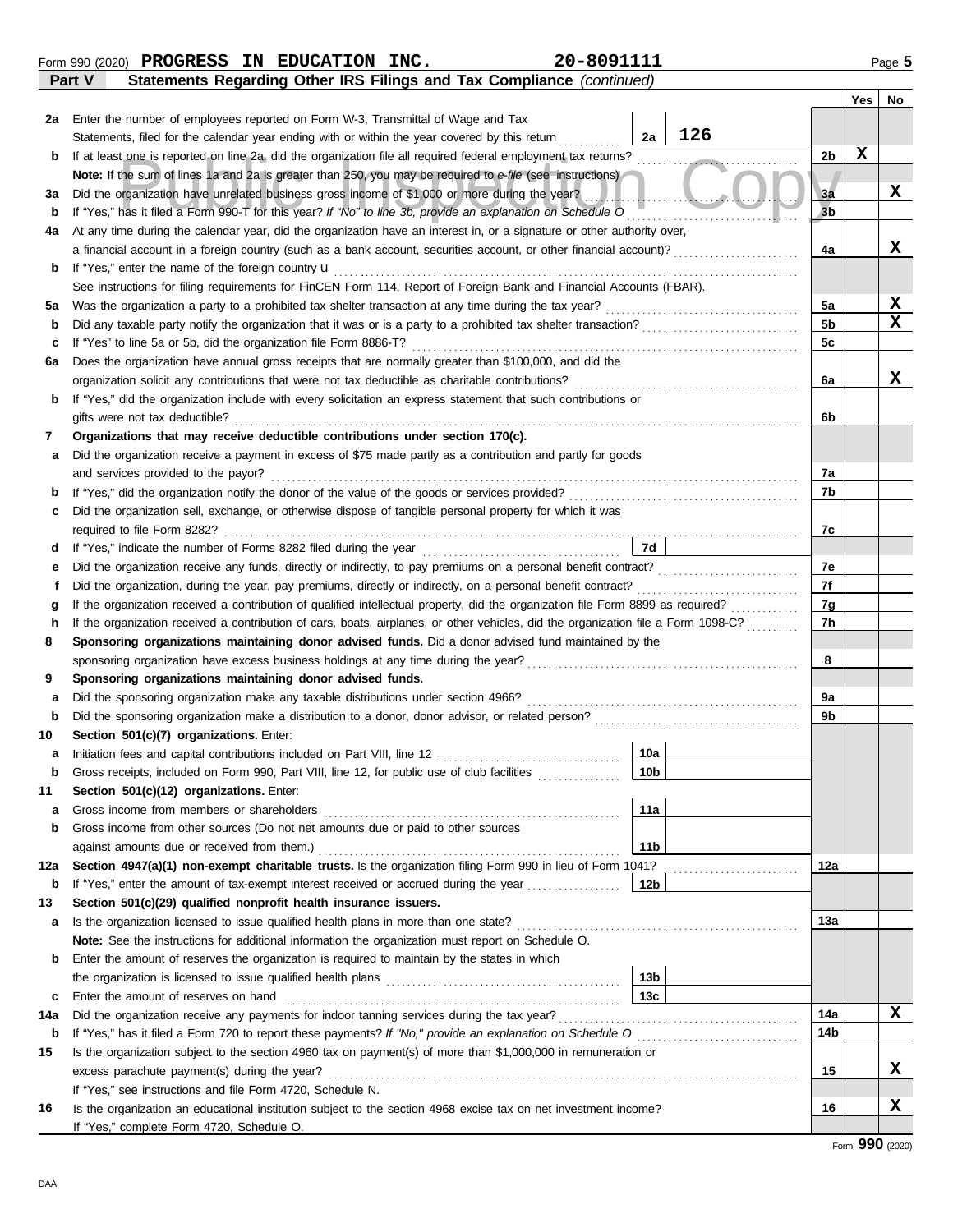|  | - - |  |
|--|-----|--|
|  |     |  |
|  |     |  |
|  |     |  |
|  |     |  |
|  |     |  |
|  |     |  |

**b**

**2a**

**b**

**3a**

**6a**

#### If at least one is reported on line 2a, did the organization file all required tederal employment tax returns?<br> **Note:** If the sum of lines 1a and 2a is greater than 250, you may be required to e-file (see instructions)<br>
D **b 4a b** If "Yes," enter the name of the foreign country **u 5a b** At any time during the calendar year, did the organization have an interest in, or a signature or other authority over, a financial account in a foreign country (such as a bank account, securities account, or other financial account)? If "Yes," enter the name of the foreign country u . . . . . . . . . . . . . . . . . . . . . . . . . . . . . . . . . . . . . . . . . . . . . . . . . . . . . . . . . . . . . . . . . . . . . . . . . . . . . . . . . . . . . . . . . . See instructions for filing requirements for FinCEN Form 114, Report of Foreign Bank and Financial Accounts (FBAR). Was the organization a party to a prohibited tax shelter transaction at any time during the tax year? . . . . . . . . . . . . . . . . . . . . . . . . . . . . . . . . . . . . . Did any taxable party notify the organization that it was or is a party to a prohibited tax shelter transaction? . . . . . . . . . . . . . . . . . . . . . . . . . . . . . . **c** If "Yes" to line 5a or 5b, did the organization file Form 8886-T? . . . . . . . . . . . . . . . . . . . . . . . . . . . . . . . . . . . . . . . . . . . . . . . . . . . . . . . . . . . . . . . . . . . . . . . . . .

organization solicit any contributions that were not tax deductible as charitable contributions? . . . . . . . . . . . . . . . . . . . . . . . . . . . . . . . . . . . . . . . . . . .

| b   | If "Yes," did the organization include with every solicitation an express statement that such contributions or                     |     |
|-----|------------------------------------------------------------------------------------------------------------------------------------|-----|
|     | gifts were not tax deductible?                                                                                                     | 6b  |
| 7   | Organizations that may receive deductible contributions under section 170(c).                                                      |     |
| а   | Did the organization receive a payment in excess of \$75 made partly as a contribution and partly for goods                        |     |
|     | and services provided to the payor?                                                                                                | 7a  |
| b   | If "Yes," did the organization notify the donor of the value of the goods or services provided?                                    | 7b  |
| с   | Did the organization sell, exchange, or otherwise dispose of tangible personal property for which it was                           |     |
|     | required to file Form 8282?                                                                                                        | 7c  |
| d   | 7d<br>If "Yes," indicate the number of Forms 8282 filed during the year                                                            |     |
| е   |                                                                                                                                    | 7e  |
|     |                                                                                                                                    | 7f  |
| a   | If the organization received a contribution of qualified intellectual property, did the organization file Form 8899 as required?   | 7g  |
| h   | If the organization received a contribution of cars, boats, airplanes, or other vehicles, did the organization file a Form 1098-C? | 7h  |
| 8   | Sponsoring organizations maintaining donor advised funds. Did a donor advised fund maintained by the                               |     |
|     | sponsoring organization have excess business holdings at any time during the year?                                                 | 8   |
| 9   | Sponsoring organizations maintaining donor advised funds.                                                                          |     |
| a   | Did the sponsoring organization make any taxable distributions under section 4966?                                                 | 9a  |
| b   |                                                                                                                                    | 9b  |
| 10  | Section 501(c)(7) organizations. Enter:                                                                                            |     |
| а   | 10a                                                                                                                                |     |
| b   | 10 <sub>b</sub><br>Gross receipts, included on Form 990, Part VIII, line 12, for public use of club facilities                     |     |
| 11  | Section 501(c)(12) organizations. Enter:                                                                                           |     |
| a   | 11a<br>Gross income from members or shareholders                                                                                   |     |
| b   | Gross income from other sources (Do not net amounts due or paid to other sources                                                   |     |
|     | 11 <sub>b</sub><br>against amounts due or received from them.)                                                                     |     |
| 12a | Section 4947(a)(1) non-exempt charitable trusts. Is the organization filing Form 990 in lieu of Form 1041?                         | 12a |
| b   | If "Yes," enter the amount of tax-exempt interest received or accrued during the year<br>12 <sub>b</sub>                           |     |
| 13  | Section 501(c)(29) qualified nonprofit health insurance issuers.                                                                   |     |
| а   | Is the organization licensed to issue qualified health plans in more than one state?                                               | 13a |

**Note:** See the instructions for additional information the organization must report on Schedule O. Enter the amount of reserves the organization is required to maintain by the states in which the organization is licensed to issue qualified health plans . . . . . . . . . . . . . . . . . . . . . . . . . . . . . . . . . . . . . . . . . . . . .

Enter the amount of reserves on hand . . . . . . . . . . . . . . . . . . . . . . . . . . . . . . . . . . . . . . . . . . . . . . . . . . . . . . . . . . . . . . . . . **c 13c**

**14a** Did the organization receive any payments for indoor tanning services during the tax year? . . . . . . . . . . . . . . . . . . . . . . . . . . . . . . . . . . . . . . . . . . . . . .

**15** Is the organization subject to the section 4960 tax on payment(s) of more than \$1,000,000 in remuneration or

**16** Is the organization an educational institution subject to the section 4968 excise tax on net investment income?

If "Yes," see instructions and file Form 4720, Schedule N.

If "Yes," complete Form 4720, Schedule O.

excess parachute payment(s) during the year? . . . . . . . . . . . . . . . . . . . . . . . . . . . . . . . . . . . . . . . . . . . . . . . . . . . . . . . . . . . . . . . . . . . . . . . . . . . . . . . . . . . . . . . . . .

**b 14b** If "Yes," has it filed a Form 720 to report these payments? *If "No," provide an explanation on Schedule O* . . . . . . . . . . . . . . . . . . . . . . . . . . . . . . .

Enter the number of employees reported on Form W-3, Transmittal of Wage and Tax

|               |  | Form 990 (2020) PROGRESS IN EDUCATION | INC. | 20-8091111                                                                   | Page 5 |
|---------------|--|---------------------------------------|------|------------------------------------------------------------------------------|--------|
| <b>Part V</b> |  |                                       |      | <b>Statements Regarding Other IRS Filings and Tax Compliance (continued)</b> |        |

Statements, filed for the calendar year ending with or within the year covered by this return If at least one is reported on line 2a, did the organization file all required federal employment tax returns? **Note:** If the sum of lines 1a and 2a is greater than 250, you may be required to *e-file* (see instructions) Did the organization have unrelated business gross income of \$1,000 or more during the year?

Does the organization have annual gross receipts that are normally greater than \$100,000, and did the

**X**

**X**

**X**

**X**

**X**

**X X**

**X**

**Yes No**

**X**

**2b**

**3a 3b**

**4a**

**5a 5b 5c**

**6a**

**14a**

**15**

**16**

**2a**

**13b**

**126**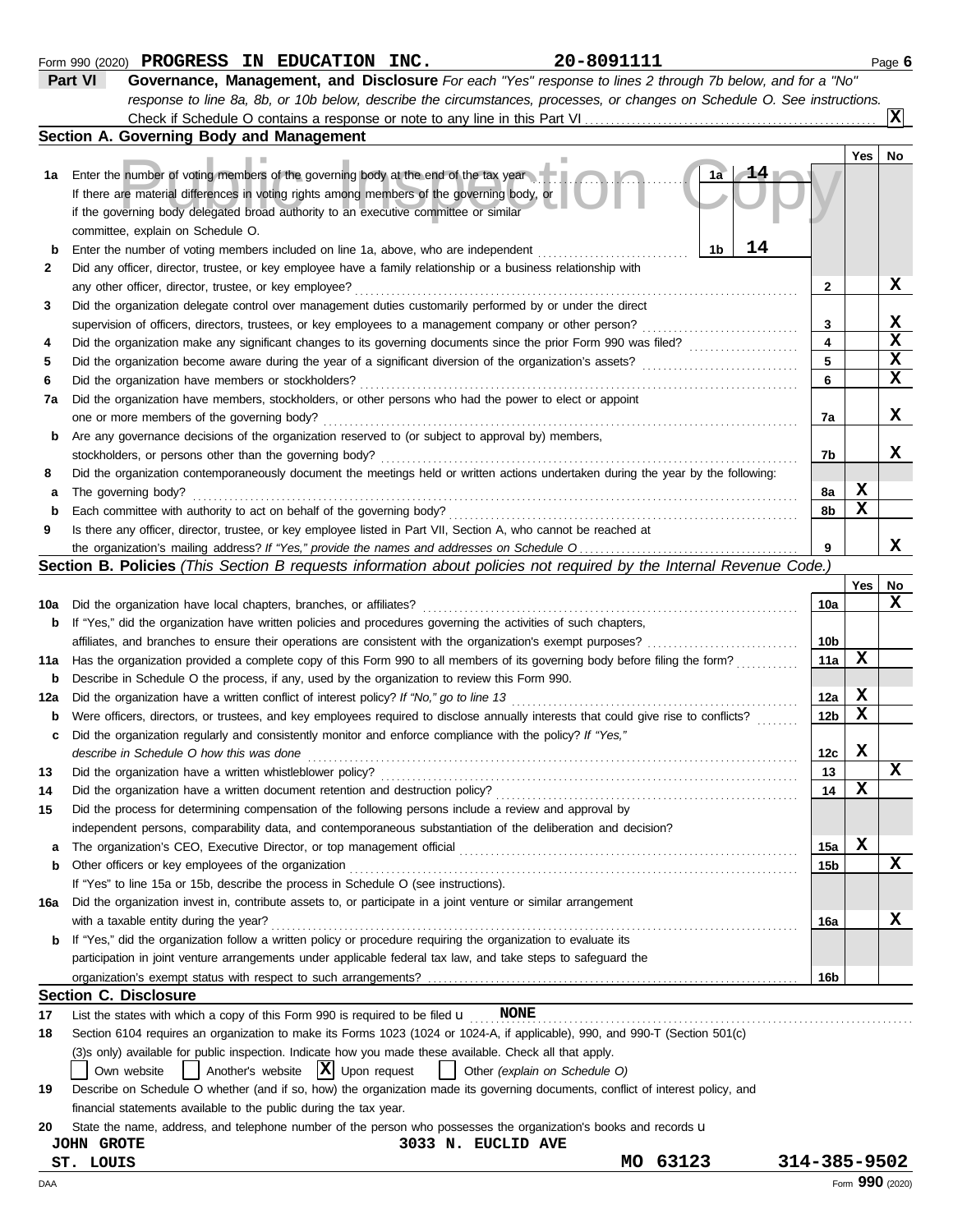|        | response to line 8a, 8b, or 10b below, describe the circumstances, processes, or changes on Schedule O. See instructions.                                                                                                                                                                                            |              |             |                 |
|--------|----------------------------------------------------------------------------------------------------------------------------------------------------------------------------------------------------------------------------------------------------------------------------------------------------------------------|--------------|-------------|-----------------|
|        |                                                                                                                                                                                                                                                                                                                      |              |             | ΙXΙ             |
|        | Section A. Governing Body and Management                                                                                                                                                                                                                                                                             |              |             |                 |
| 1а     | Enter the number of voting members of the governing body at the end of the tax year<br>1a<br>If there are material differences in voting rights among members of the governing body, or<br>if the governing body delegated broad authority to an executive committee or similar<br>committee, explain on Schedule O. |              | Yes         | No              |
|        | 14<br>1 <sub>b</sub>                                                                                                                                                                                                                                                                                                 |              |             |                 |
| b      | Enter the number of voting members included on line 1a, above, who are independent<br>Did any officer, director, trustee, or key employee have a family relationship or a business relationship with                                                                                                                 |              |             |                 |
| 2      |                                                                                                                                                                                                                                                                                                                      |              |             | X               |
|        | any other officer, director, trustee, or key employee?<br>Did the organization delegate control over management duties customarily performed by or under the direct                                                                                                                                                  | 2            |             |                 |
| 3      |                                                                                                                                                                                                                                                                                                                      | 3            |             | X               |
|        | supervision of officers, directors, trustees, or key employees to a management company or other person?<br>.                                                                                                                                                                                                         | 4            |             | $\mathbf x$     |
| 4      | Did the organization make any significant changes to its governing documents since the prior Form 990 was filed?                                                                                                                                                                                                     | 5            |             | $\mathbf x$     |
| 5      | Did the organization become aware during the year of a significant diversion of the organization's assets?                                                                                                                                                                                                           | 6            |             | $\mathbf x$     |
| 6      | Did the organization have members or stockholders?                                                                                                                                                                                                                                                                   |              |             |                 |
| 7a     | Did the organization have members, stockholders, or other persons who had the power to elect or appoint                                                                                                                                                                                                              |              |             | X               |
|        | one or more members of the governing body?                                                                                                                                                                                                                                                                           | 7а           |             |                 |
| b      | Are any governance decisions of the organization reserved to (or subject to approval by) members,                                                                                                                                                                                                                    |              |             | x               |
|        | stockholders, or persons other than the governing body?                                                                                                                                                                                                                                                              | 7b           |             |                 |
| 8      | Did the organization contemporaneously document the meetings held or written actions undertaken during the year by the following:                                                                                                                                                                                    |              | X           |                 |
| а      | The governing body?<br>Each committee with authority to act on behalf of the governing body?                                                                                                                                                                                                                         | 8а<br>8b     | X           |                 |
| b<br>9 | Is there any officer, director, trustee, or key employee listed in Part VII, Section A, who cannot be reached at                                                                                                                                                                                                     |              |             |                 |
|        |                                                                                                                                                                                                                                                                                                                      | 9            |             | x               |
|        | Section B. Policies (This Section B requests information about policies not required by the Internal Revenue Code.)                                                                                                                                                                                                  |              |             |                 |
|        |                                                                                                                                                                                                                                                                                                                      |              | Yes         | No              |
| 10a    | Did the organization have local chapters, branches, or affiliates?                                                                                                                                                                                                                                                   | 10a          |             | $\mathbf x$     |
| b      | If "Yes," did the organization have written policies and procedures governing the activities of such chapters,                                                                                                                                                                                                       |              |             |                 |
|        | affiliates, and branches to ensure their operations are consistent with the organization's exempt purposes?                                                                                                                                                                                                          | 10b          |             |                 |
| 11a    | Has the organization provided a complete copy of this Form 990 to all members of its governing body before filing the form?                                                                                                                                                                                          | 11a          | X           |                 |
| b      | Describe in Schedule O the process, if any, used by the organization to review this Form 990.                                                                                                                                                                                                                        |              |             |                 |
| 12a    | Did the organization have a written conflict of interest policy? If "No," go to line 13                                                                                                                                                                                                                              | 12a          | X           |                 |
| b      | Were officers, directors, or trustees, and key employees required to disclose annually interests that could give rise to conflicts?                                                                                                                                                                                  | 12b          | X           |                 |
| c      | Did the organization regularly and consistently monitor and enforce compliance with the policy? If "Yes,"                                                                                                                                                                                                            |              |             |                 |
|        | describe in Schedule O how this was done                                                                                                                                                                                                                                                                             | 12c          | $\mathbf x$ |                 |
| 13     | Did the organization have a written whistleblower policy?                                                                                                                                                                                                                                                            | 13           |             | $\mathbf x$     |
|        | Did the organization have a written document retention and destruction policy?                                                                                                                                                                                                                                       | 14           | X           |                 |
| 15     | Did the process for determining compensation of the following persons include a review and approval by                                                                                                                                                                                                               |              |             |                 |
|        | independent persons, comparability data, and contemporaneous substantiation of the deliberation and decision?                                                                                                                                                                                                        |              |             |                 |
| а      | The organization's CEO, Executive Director, or top management official                                                                                                                                                                                                                                               | 15a          | $\mathbf x$ |                 |
| b      | Other officers or key employees of the organization                                                                                                                                                                                                                                                                  | 15b          |             | $\mathbf x$     |
|        | If "Yes" to line 15a or 15b, describe the process in Schedule O (see instructions).                                                                                                                                                                                                                                  |              |             |                 |
| 16a    | Did the organization invest in, contribute assets to, or participate in a joint venture or similar arrangement                                                                                                                                                                                                       |              |             |                 |
|        | with a taxable entity during the year?                                                                                                                                                                                                                                                                               | 16a          |             | x               |
| b      | If "Yes," did the organization follow a written policy or procedure requiring the organization to evaluate its                                                                                                                                                                                                       |              |             |                 |
|        | participation in joint venture arrangements under applicable federal tax law, and take steps to safeguard the                                                                                                                                                                                                        |              |             |                 |
|        |                                                                                                                                                                                                                                                                                                                      | 16b          |             |                 |
|        | <b>Section C. Disclosure</b>                                                                                                                                                                                                                                                                                         |              |             |                 |
| 17     | List the states with which a copy of this Form 990 is required to be filed $\mathbf u$<br><b>NONE</b>                                                                                                                                                                                                                |              |             |                 |
| 18     | Section 6104 requires an organization to make its Forms 1023 (1024 or 1024-A, if applicable), 990, and 990-T (Section 501(c)                                                                                                                                                                                         |              |             |                 |
|        | (3)s only) available for public inspection. Indicate how you made these available. Check all that apply.                                                                                                                                                                                                             |              |             |                 |
|        | Another's website $ \mathbf{X} $ Upon request<br>Other (explain on Schedule O)<br>Own website                                                                                                                                                                                                                        |              |             |                 |
| 19     | Describe on Schedule O whether (and if so, how) the organization made its governing documents, conflict of interest policy, and                                                                                                                                                                                      |              |             |                 |
|        | financial statements available to the public during the tax year.                                                                                                                                                                                                                                                    |              |             |                 |
| 20     | State the name, address, and telephone number of the person who possesses the organization's books and records u                                                                                                                                                                                                     |              |             |                 |
|        | 3033 N. EUCLID AVE<br><b>JOHN GROTE</b>                                                                                                                                                                                                                                                                              |              |             |                 |
|        | 63123<br>MO<br>LOUIS<br>ST.                                                                                                                                                                                                                                                                                          | 314-385-9502 |             |                 |
| DAA    |                                                                                                                                                                                                                                                                                                                      |              |             | Form 990 (2020) |

**Form 990 (2020) PROGRESS IN EDUCATION INC.** 20-8091111 PAGE 6

**Part VI Governance, Management, and Disclosure** *For each "Yes" response to lines 2 through 7b below, and for a "No"*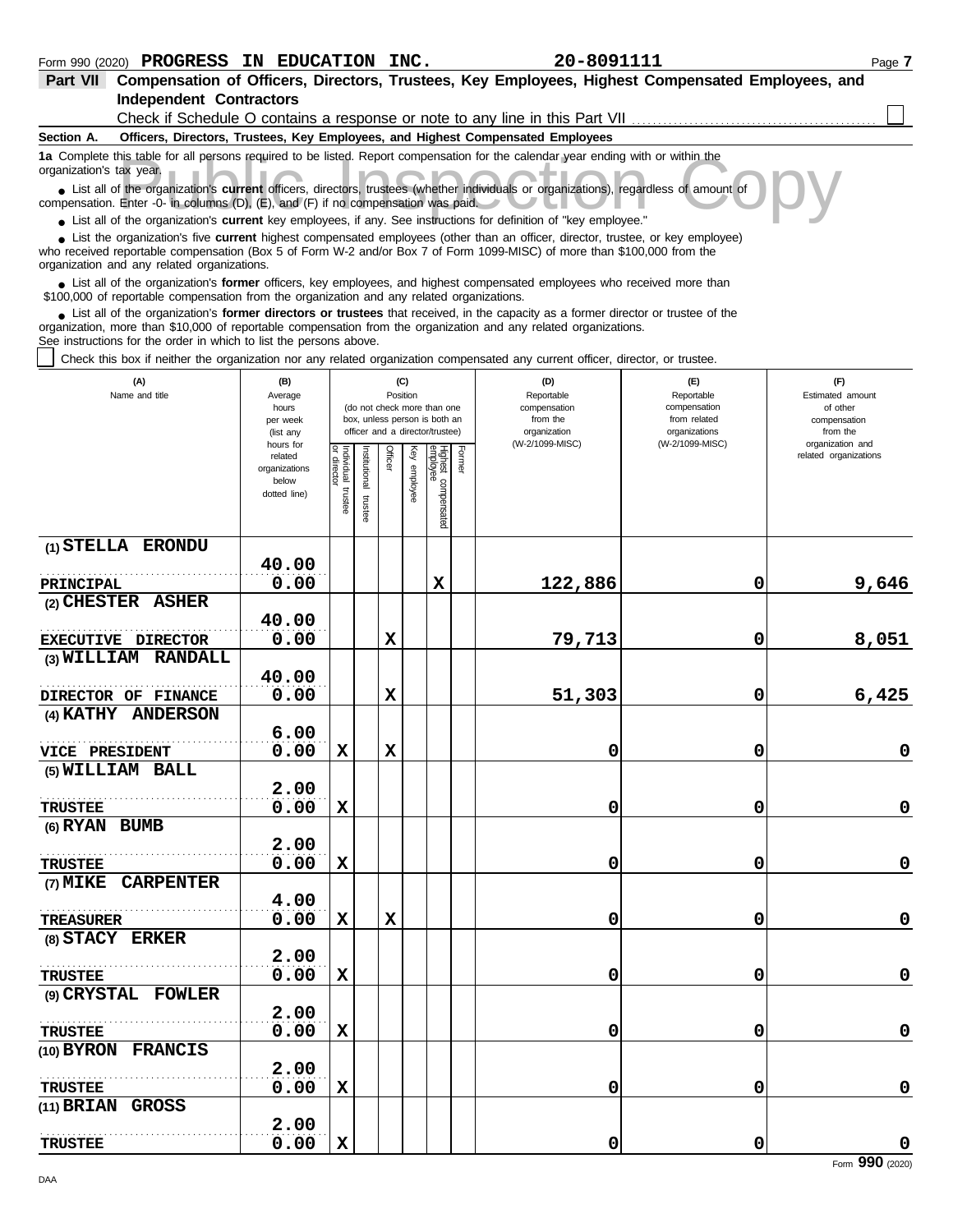| Part VII Compensation of Officers, Directors, Trustees, Key Employees, Highest Compensated Employees, and                                                                                                                                                                                                                   |                        |            |              |             |          |                                 |        |                                                                                 |                                  |                              |
|-----------------------------------------------------------------------------------------------------------------------------------------------------------------------------------------------------------------------------------------------------------------------------------------------------------------------------|------------------------|------------|--------------|-------------|----------|---------------------------------|--------|---------------------------------------------------------------------------------|----------------------------------|------------------------------|
| <b>Independent Contractors</b>                                                                                                                                                                                                                                                                                              |                        |            |              |             |          |                                 |        | Check if Schedule O contains a response or note to any line in this Part VII    |                                  |                              |
| Section A.                                                                                                                                                                                                                                                                                                                  |                        |            |              |             |          |                                 |        | Officers, Directors, Trustees, Key Employees, and Highest Compensated Employees |                                  |                              |
| 1a Complete this table for all persons required to be listed. Report compensation for the calendar year ending with or within the<br>organization's tax year.                                                                                                                                                               |                        |            |              |             |          |                                 |        |                                                                                 |                                  |                              |
| • List all of the organization's current officers, directors, trustees (whether individuals or organizations), regardless of amount of<br>compensation. Enter -0- in columns (D), $(E)$ , and $(F)$ if no compensation was paid.                                                                                            |                        |            |              |             |          |                                 |        |                                                                                 |                                  |                              |
| • List all of the organization's current key employees, if any. See instructions for definition of "key employee."                                                                                                                                                                                                          |                        |            |              |             |          |                                 |        |                                                                                 |                                  |                              |
| List the organization's five current highest compensated employees (other than an officer, director, trustee, or key employee)<br>who received reportable compensation (Box 5 of Form W-2 and/or Box 7 of Form 1099-MISC) of more than \$100,000 from the<br>organization and any related organizations.                    |                        |            |              |             |          |                                 |        |                                                                                 |                                  |                              |
| • List all of the organization's former officers, key employees, and highest compensated employees who received more than<br>\$100,000 of reportable compensation from the organization and any related organizations.                                                                                                      |                        |            |              |             |          |                                 |        |                                                                                 |                                  |                              |
| List all of the organization's former directors or trustees that received, in the capacity as a former director or trustee of the<br>organization, more than \$10,000 of reportable compensation from the organization and any related organizations.<br>See instructions for the order in which to list the persons above. |                        |            |              |             |          |                                 |        |                                                                                 |                                  |                              |
| Check this box if neither the organization nor any related organization compensated any current officer, director, or trustee.                                                                                                                                                                                              |                        |            |              |             |          |                                 |        |                                                                                 |                                  |                              |
| (A)                                                                                                                                                                                                                                                                                                                         | (B)                    |            |              |             | (C)      |                                 |        | (D)                                                                             | (E)                              | (F)                          |
| Name and title                                                                                                                                                                                                                                                                                                              | Average<br>hours       |            |              |             | Position | (do not check more than one     |        | Reportable<br>compensation                                                      | Reportable<br>compensation       | Estimated amount<br>of other |
|                                                                                                                                                                                                                                                                                                                             | per week               |            |              |             |          | box, unless person is both an   |        | from the                                                                        | from related                     | compensation                 |
|                                                                                                                                                                                                                                                                                                                             | (list any<br>hours for |            |              |             |          | officer and a director/trustee) |        | organization<br>(W-2/1099-MISC)                                                 | organizations<br>(W-2/1099-MISC) | from the<br>organization and |
|                                                                                                                                                                                                                                                                                                                             | related                | Individual | hstitutional | Officer     | Ķey      |                                 | Former |                                                                                 |                                  | related organizations        |
|                                                                                                                                                                                                                                                                                                                             | organizations<br>below | ō          |              |             | employee |                                 |        |                                                                                 |                                  |                              |
|                                                                                                                                                                                                                                                                                                                             | dotted line)           | trustee    |              |             |          |                                 |        |                                                                                 |                                  |                              |
|                                                                                                                                                                                                                                                                                                                             |                        |            | trustee      |             |          | Highest compensated<br>employee |        |                                                                                 |                                  |                              |
| (1) STELLA ERONDU                                                                                                                                                                                                                                                                                                           |                        |            |              |             |          |                                 |        |                                                                                 |                                  |                              |
|                                                                                                                                                                                                                                                                                                                             | 40.00                  |            |              |             |          |                                 |        |                                                                                 |                                  |                              |
| <b>PRINCIPAL</b>                                                                                                                                                                                                                                                                                                            | 0.00                   |            |              |             |          | X                               |        | 122,886                                                                         | 0                                | 9,646                        |
| (2) CHESTER ASHER                                                                                                                                                                                                                                                                                                           |                        |            |              |             |          |                                 |        |                                                                                 |                                  |                              |
|                                                                                                                                                                                                                                                                                                                             | 40.00                  |            |              |             |          |                                 |        |                                                                                 |                                  |                              |
| EXECUTIVE DIRECTOR                                                                                                                                                                                                                                                                                                          | 0.00                   |            |              | X           |          |                                 |        | 79,713                                                                          | 0                                | 8,051                        |
| (3) WILLIAM RANDALL                                                                                                                                                                                                                                                                                                         | 40.00                  |            |              |             |          |                                 |        |                                                                                 |                                  |                              |
| DIRECTOR OF FINANCE                                                                                                                                                                                                                                                                                                         | 0.00                   |            |              | X           |          |                                 |        | 51,303                                                                          | 0                                | 6,425                        |
| (4) KATHY ANDERSON                                                                                                                                                                                                                                                                                                          |                        |            |              |             |          |                                 |        |                                                                                 |                                  |                              |
|                                                                                                                                                                                                                                                                                                                             | 6.00                   |            |              |             |          |                                 |        |                                                                                 |                                  |                              |
| <b>VICE PRESIDENT</b>                                                                                                                                                                                                                                                                                                       | 0.00                   | X          |              | $\mathbf x$ |          |                                 |        | 0                                                                               | 0                                | 0                            |
| (5) WILLIAM BALL                                                                                                                                                                                                                                                                                                            |                        |            |              |             |          |                                 |        |                                                                                 |                                  |                              |
|                                                                                                                                                                                                                                                                                                                             | 2.00                   |            |              |             |          |                                 |        |                                                                                 |                                  |                              |
| <b>TRUSTEE</b>                                                                                                                                                                                                                                                                                                              | 0.00                   | X          |              |             |          |                                 |        | 0                                                                               | 0                                | $\mathbf 0$                  |
| (6) RYAN BUMB                                                                                                                                                                                                                                                                                                               |                        |            |              |             |          |                                 |        |                                                                                 |                                  |                              |
|                                                                                                                                                                                                                                                                                                                             | 2.00                   |            |              |             |          |                                 |        |                                                                                 |                                  |                              |
| <b>TRUSTEE</b>                                                                                                                                                                                                                                                                                                              | 0.00                   | X          |              |             |          |                                 |        | 0                                                                               | 0                                | $\mathbf 0$                  |
| (7) MIKE CARPENTER                                                                                                                                                                                                                                                                                                          |                        |            |              |             |          |                                 |        |                                                                                 |                                  |                              |
|                                                                                                                                                                                                                                                                                                                             | 4.00                   |            |              |             |          |                                 |        |                                                                                 |                                  |                              |
| <b>TREASURER</b>                                                                                                                                                                                                                                                                                                            | 0.00                   | X          |              | X           |          |                                 |        | 0                                                                               | 0                                | $\mathbf 0$                  |
| (8) STACY ERKER                                                                                                                                                                                                                                                                                                             |                        |            |              |             |          |                                 |        |                                                                                 |                                  |                              |
|                                                                                                                                                                                                                                                                                                                             | 2.00                   |            |              |             |          |                                 |        |                                                                                 |                                  |                              |
| <b>TRUSTEE</b>                                                                                                                                                                                                                                                                                                              | 0.00                   | X          |              |             |          |                                 |        | 0                                                                               | 0                                | $\mathbf 0$                  |
| (9) CRYSTAL FOWLER                                                                                                                                                                                                                                                                                                          |                        |            |              |             |          |                                 |        |                                                                                 |                                  |                              |
|                                                                                                                                                                                                                                                                                                                             | 2.00                   |            |              |             |          |                                 |        |                                                                                 |                                  |                              |
| <b>TRUSTEE</b>                                                                                                                                                                                                                                                                                                              | 0.00                   | X          |              |             |          |                                 |        | 0                                                                               | 0                                | $\mathbf 0$                  |
| (10) BYRON FRANCIS                                                                                                                                                                                                                                                                                                          | 2.00                   |            |              |             |          |                                 |        |                                                                                 |                                  |                              |
|                                                                                                                                                                                                                                                                                                                             | 0.00                   | X          |              |             |          |                                 |        | 0                                                                               | 0                                | $\mathbf 0$                  |
| <b>TRUSTEE</b><br>(11) BRIAN GROSS                                                                                                                                                                                                                                                                                          |                        |            |              |             |          |                                 |        |                                                                                 |                                  |                              |
|                                                                                                                                                                                                                                                                                                                             | 2.00                   |            |              |             |          |                                 |        |                                                                                 |                                  |                              |
| <b>TRUSTEE</b>                                                                                                                                                                                                                                                                                                              | 0.00                   | X          |              |             |          |                                 |        | 0                                                                               | 0                                | $\mathbf 0$                  |
|                                                                                                                                                                                                                                                                                                                             |                        |            |              |             |          |                                 |        |                                                                                 |                                  |                              |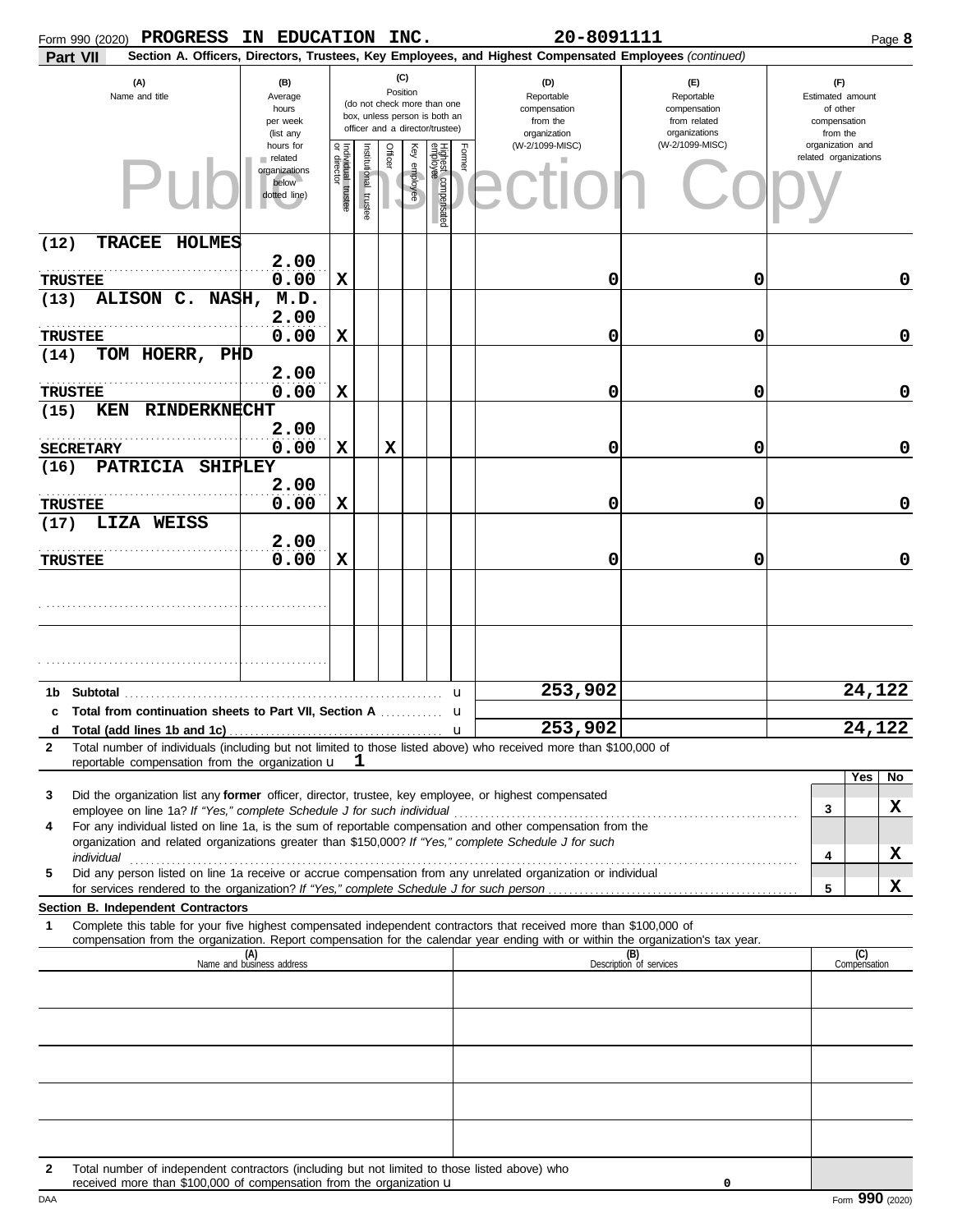| Form 990 (2020) PROGRESS                                                                                                                                                                                                                                                                                                      | IN EDUCATION INC.                                              |                                   |                       |                 |              |                                                                                                 |        | 20-8091111                                                                                             |                                                                    |                                                                 |                     | Page 8      |
|-------------------------------------------------------------------------------------------------------------------------------------------------------------------------------------------------------------------------------------------------------------------------------------------------------------------------------|----------------------------------------------------------------|-----------------------------------|-----------------------|-----------------|--------------|-------------------------------------------------------------------------------------------------|--------|--------------------------------------------------------------------------------------------------------|--------------------------------------------------------------------|-----------------------------------------------------------------|---------------------|-------------|
| Part VII                                                                                                                                                                                                                                                                                                                      |                                                                |                                   |                       |                 |              |                                                                                                 |        | Section A. Officers, Directors, Trustees, Key Employees, and Highest Compensated Employees (continued) |                                                                    |                                                                 |                     |             |
| (A)<br>Name and title                                                                                                                                                                                                                                                                                                         | (B)<br>Average<br>hours<br>per week<br>(list any               |                                   |                       | (C)<br>Position |              | (do not check more than one<br>box, unless person is both an<br>officer and a director/trustee) |        | (D)<br>Reportable<br>compensation<br>from the<br>organization                                          | (E)<br>Reportable<br>compensation<br>from related<br>organizations | (F)<br>Estimated amount<br>of other<br>compensation<br>from the |                     |             |
|                                                                                                                                                                                                                                                                                                                               | hours for<br>related<br>organizations<br>below<br>dotted line) | Individual trustee<br>or director | Institutional trustee | Officer         | Key employee | Highest compensated<br>employee                                                                 | Former | (W-2/1099-MISC)                                                                                        | (W-2/1099-MISC)                                                    | organization and<br>related organizations                       |                     |             |
| <b>TRACEE</b><br>HOLMES<br>(12)                                                                                                                                                                                                                                                                                               | 2.00                                                           |                                   |                       |                 |              |                                                                                                 |        |                                                                                                        |                                                                    |                                                                 |                     |             |
| <b>TRUSTEE</b>                                                                                                                                                                                                                                                                                                                | 0.00                                                           | $\mathbf x$                       |                       |                 |              |                                                                                                 |        | 0                                                                                                      | 0                                                                  |                                                                 |                     | 0           |
| ALISON C. NASH,<br>(13)                                                                                                                                                                                                                                                                                                       | M.D.<br>2.00                                                   |                                   |                       |                 |              |                                                                                                 |        |                                                                                                        |                                                                    |                                                                 |                     |             |
| <b>TRUSTEE</b>                                                                                                                                                                                                                                                                                                                | 0.00                                                           | X                                 |                       |                 |              |                                                                                                 |        | 0                                                                                                      | 0                                                                  |                                                                 |                     | $\mathbf 0$ |
| TOM HOERR, PHD<br>(14)                                                                                                                                                                                                                                                                                                        |                                                                |                                   |                       |                 |              |                                                                                                 |        |                                                                                                        |                                                                    |                                                                 |                     |             |
|                                                                                                                                                                                                                                                                                                                               | 2.00                                                           |                                   |                       |                 |              |                                                                                                 |        |                                                                                                        |                                                                    |                                                                 |                     |             |
| <b>TRUSTEE</b>                                                                                                                                                                                                                                                                                                                | 0.00                                                           | X                                 |                       |                 |              |                                                                                                 |        | 0                                                                                                      | 0                                                                  |                                                                 |                     | $\mathbf 0$ |
| RINDERKNECHT<br>(15)<br>KEN                                                                                                                                                                                                                                                                                                   | 2.00                                                           |                                   |                       |                 |              |                                                                                                 |        |                                                                                                        |                                                                    |                                                                 |                     |             |
| <b>SECRETARY</b>                                                                                                                                                                                                                                                                                                              | 0.00                                                           | X                                 |                       | X               |              |                                                                                                 |        | 0                                                                                                      | 0                                                                  |                                                                 |                     | $\mathbf 0$ |
| <b>PATRICIA</b><br><b>SHIPLEY</b><br>(16)                                                                                                                                                                                                                                                                                     |                                                                |                                   |                       |                 |              |                                                                                                 |        |                                                                                                        |                                                                    |                                                                 |                     |             |
|                                                                                                                                                                                                                                                                                                                               | 2.00                                                           |                                   |                       |                 |              |                                                                                                 |        |                                                                                                        |                                                                    |                                                                 |                     |             |
| <b>TRUSTEE</b>                                                                                                                                                                                                                                                                                                                | 0.00                                                           | X                                 |                       |                 |              |                                                                                                 |        | 0                                                                                                      | 0                                                                  |                                                                 |                     | $\mathbf 0$ |
| LIZA WEISS<br>(17)                                                                                                                                                                                                                                                                                                            | 2.00                                                           |                                   |                       |                 |              |                                                                                                 |        |                                                                                                        |                                                                    |                                                                 |                     |             |
| <b>TRUSTEE</b>                                                                                                                                                                                                                                                                                                                | 0.00                                                           | X                                 |                       |                 |              |                                                                                                 |        | 0                                                                                                      | 0                                                                  |                                                                 |                     | 0           |
|                                                                                                                                                                                                                                                                                                                               |                                                                |                                   |                       |                 |              |                                                                                                 |        |                                                                                                        |                                                                    |                                                                 |                     |             |
|                                                                                                                                                                                                                                                                                                                               |                                                                |                                   |                       |                 |              | . <b>u</b>                                                                                      |        | 253,902                                                                                                |                                                                    |                                                                 | 24,122              |             |
|                                                                                                                                                                                                                                                                                                                               |                                                                |                                   |                       |                 |              |                                                                                                 |        |                                                                                                        |                                                                    |                                                                 |                     |             |
| d Total (add lines 1b and 1c) $\ldots$ $\ldots$ $\ldots$ $\ldots$ $\ldots$ $\ldots$ $\ldots$ $\ldots$ $\ldots$ $\ldots$ $\ldots$ $\ldots$ $\ldots$ $\ldots$ $\ldots$ $\ldots$ $\ldots$ $\ldots$ $\ldots$ $\ldots$ $\ldots$ $\ldots$ $\ldots$ $\ldots$ $\ldots$ $\ldots$ $\ldots$ $\ldots$ $\ldots$ $\ldots$ $\ldots$ $\ldots$ |                                                                |                                   |                       |                 |              |                                                                                                 |        |                                                                                                        |                                                                    |                                                                 | 24,122              |             |
| Total number of individuals (including but not limited to those listed above) who received more than \$100,000 of<br>2<br>reportable compensation from the organization $\mathbf{u} \quad \mathbf{1}$                                                                                                                         |                                                                |                                   |                       |                 |              |                                                                                                 |        |                                                                                                        |                                                                    |                                                                 |                     |             |
|                                                                                                                                                                                                                                                                                                                               |                                                                |                                   |                       |                 |              |                                                                                                 |        |                                                                                                        |                                                                    |                                                                 | Yes                 | No          |
| Did the organization list any former officer, director, trustee, key employee, or highest compensated<br>3                                                                                                                                                                                                                    |                                                                |                                   |                       |                 |              |                                                                                                 |        |                                                                                                        |                                                                    | 3                                                               |                     | x           |
| For any individual listed on line 1a, is the sum of reportable compensation and other compensation from the<br>4                                                                                                                                                                                                              |                                                                |                                   |                       |                 |              |                                                                                                 |        |                                                                                                        |                                                                    |                                                                 |                     |             |
| organization and related organizations greater than \$150,000? If "Yes," complete Schedule J for such                                                                                                                                                                                                                         |                                                                |                                   |                       |                 |              |                                                                                                 |        |                                                                                                        |                                                                    | 4                                                               |                     | x           |
| Did any person listed on line 1a receive or accrue compensation from any unrelated organization or individual<br>5                                                                                                                                                                                                            |                                                                |                                   |                       |                 |              |                                                                                                 |        |                                                                                                        |                                                                    |                                                                 |                     |             |
|                                                                                                                                                                                                                                                                                                                               |                                                                |                                   |                       |                 |              |                                                                                                 |        |                                                                                                        |                                                                    | 5                                                               |                     | x           |
| Section B. Independent Contractors<br>1<br>Complete this table for your five highest compensated independent contractors that received more than \$100,000 of                                                                                                                                                                 |                                                                |                                   |                       |                 |              |                                                                                                 |        |                                                                                                        |                                                                    |                                                                 |                     |             |
| compensation from the organization. Report compensation for the calendar year ending with or within the organization's tax year.                                                                                                                                                                                              |                                                                |                                   |                       |                 |              |                                                                                                 |        |                                                                                                        |                                                                    |                                                                 |                     |             |
|                                                                                                                                                                                                                                                                                                                               | (A)<br>Name and business address                               |                                   |                       |                 |              |                                                                                                 |        |                                                                                                        | (B)<br>Description of services                                     |                                                                 | (C)<br>Compensation |             |
|                                                                                                                                                                                                                                                                                                                               |                                                                |                                   |                       |                 |              |                                                                                                 |        |                                                                                                        |                                                                    |                                                                 |                     |             |
|                                                                                                                                                                                                                                                                                                                               |                                                                |                                   |                       |                 |              |                                                                                                 |        |                                                                                                        |                                                                    |                                                                 |                     |             |
|                                                                                                                                                                                                                                                                                                                               |                                                                |                                   |                       |                 |              |                                                                                                 |        |                                                                                                        |                                                                    |                                                                 |                     |             |
|                                                                                                                                                                                                                                                                                                                               |                                                                |                                   |                       |                 |              |                                                                                                 |        |                                                                                                        |                                                                    |                                                                 |                     |             |
|                                                                                                                                                                                                                                                                                                                               |                                                                |                                   |                       |                 |              |                                                                                                 |        |                                                                                                        |                                                                    |                                                                 |                     |             |
|                                                                                                                                                                                                                                                                                                                               |                                                                |                                   |                       |                 |              |                                                                                                 |        |                                                                                                        |                                                                    |                                                                 |                     |             |
|                                                                                                                                                                                                                                                                                                                               |                                                                |                                   |                       |                 |              |                                                                                                 |        |                                                                                                        |                                                                    |                                                                 |                     |             |
|                                                                                                                                                                                                                                                                                                                               |                                                                |                                   |                       |                 |              |                                                                                                 |        |                                                                                                        |                                                                    |                                                                 |                     |             |
| Total number of independent contractors (including but not limited to those listed above) who<br>2                                                                                                                                                                                                                            |                                                                |                                   |                       |                 |              |                                                                                                 |        |                                                                                                        |                                                                    |                                                                 |                     |             |
| received more than \$100,000 of compensation from the organization u                                                                                                                                                                                                                                                          |                                                                |                                   |                       |                 |              |                                                                                                 |        |                                                                                                        | 0                                                                  |                                                                 |                     |             |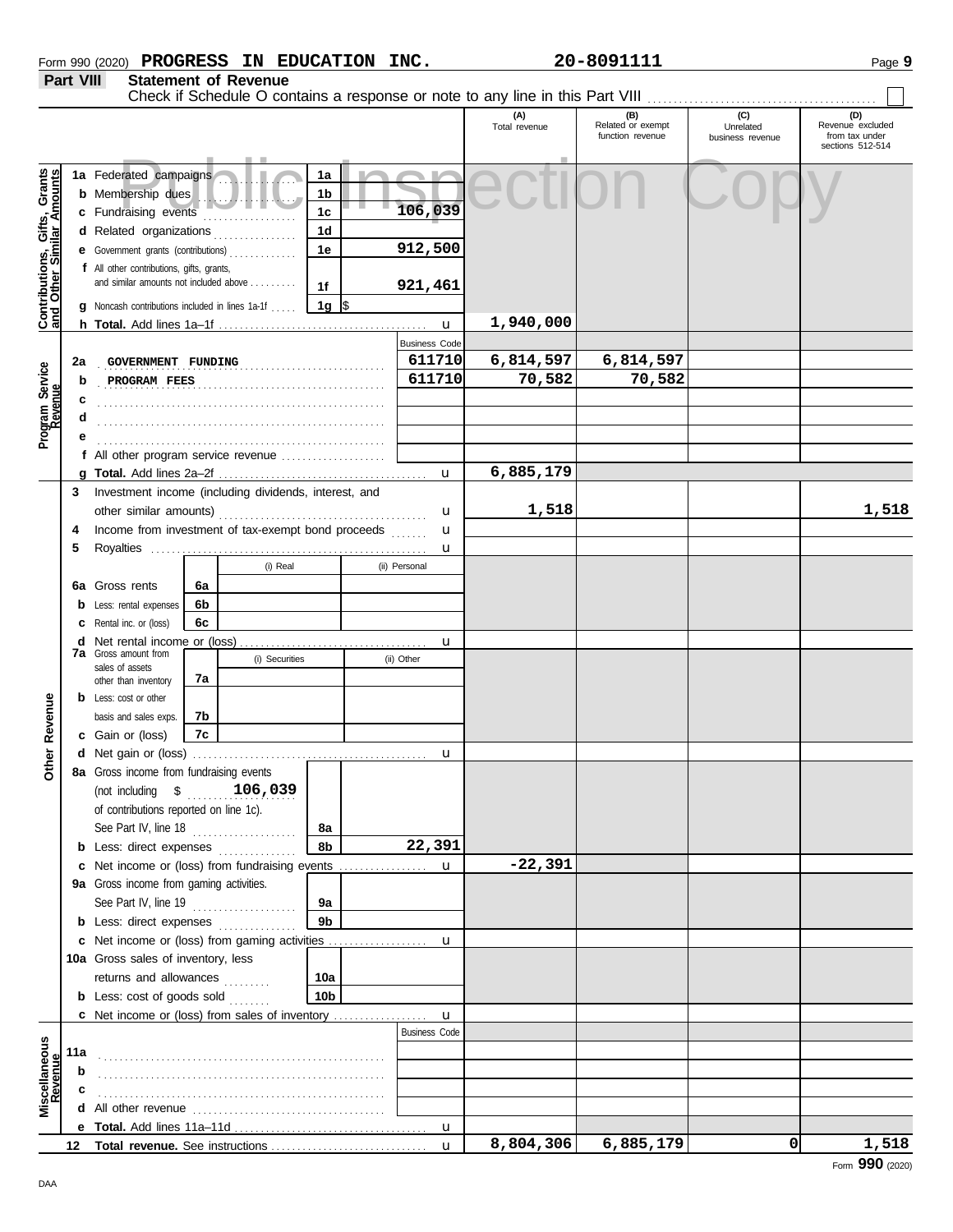| Form 990 (2020) | <b>PROGRESS</b> | ΙN | <b>EDUCATION</b> | INC. | $-809111'$<br>20- | Page |
|-----------------|-----------------|----|------------------|------|-------------------|------|
|                 |                 |    |                  |      |                   |      |

**Part VIII Statement of Revenue**

|                                                           |                          |                                                                                                             |          |                |                            |   |                      | Check if Schedule O contains a response or note to any line in this Part VIII |                                              |                                      |                                                               |
|-----------------------------------------------------------|--------------------------|-------------------------------------------------------------------------------------------------------------|----------|----------------|----------------------------|---|----------------------|-------------------------------------------------------------------------------|----------------------------------------------|--------------------------------------|---------------------------------------------------------------|
|                                                           |                          |                                                                                                             |          |                |                            |   |                      | (A)<br>Total revenue                                                          | (B)<br>Related or exempt<br>function revenue | (C)<br>Unrelated<br>business revenue | (D)<br>Revenue excluded<br>from tax under<br>sections 512-514 |
| Contributions, Gifts, Grants<br>and Other Similar Amounts |                          | 1a Federated campaigns<br><b>b</b> Membership dues<br>c Fundraising events                                  |          |                | 1a<br>1b<br>1 <sub>c</sub> |   | 106,039              |                                                                               |                                              |                                      |                                                               |
|                                                           |                          | d Related organizations<br>e Government grants (contributions)                                              |          |                | 1d<br>1e                   |   | 912,500              |                                                                               |                                              |                                      |                                                               |
|                                                           |                          | f All other contributions, gifts, grants,<br>and similar amounts not included above                         |          |                | 1f                         |   | 921,461              |                                                                               |                                              |                                      |                                                               |
|                                                           |                          | <b>g</b> Noncash contributions included in lines 1a-1f                                                      |          |                | 1g $\sqrt{3}$              |   | $\mathbf u$          | 1,940,000                                                                     |                                              |                                      |                                                               |
|                                                           |                          |                                                                                                             |          |                |                            |   | <b>Business Code</b> |                                                                               |                                              |                                      |                                                               |
|                                                           | 2a<br>GOVERNMENT FUNDING |                                                                                                             |          |                |                            |   | 611710               | 6,814,597                                                                     | 6,814,597                                    |                                      |                                                               |
|                                                           | b                        | PROGRAM FEES                                                                                                |          |                |                            |   | 611710               | 70,582                                                                        | 70,582                                       |                                      |                                                               |
|                                                           | c                        |                                                                                                             |          |                |                            |   |                      |                                                                               |                                              |                                      |                                                               |
| Program Service<br>Revenue                                |                          |                                                                                                             |          |                |                            |   |                      |                                                                               |                                              |                                      |                                                               |
|                                                           |                          |                                                                                                             |          |                |                            |   |                      |                                                                               |                                              |                                      |                                                               |
|                                                           |                          |                                                                                                             |          |                |                            |   |                      |                                                                               |                                              |                                      |                                                               |
|                                                           |                          |                                                                                                             |          |                |                            |   | $\mathbf{u}$         | 6,885,179                                                                     |                                              |                                      |                                                               |
|                                                           | 3                        | Investment income (including dividends, interest, and<br>Income from investment of tax-exempt bond proceeds |          |                |                            |   |                      |                                                                               |                                              |                                      |                                                               |
|                                                           |                          |                                                                                                             |          |                |                            | u | 1,518                |                                                                               |                                              | 1,518                                |                                                               |
|                                                           | 4                        |                                                                                                             |          |                |                            |   | u                    |                                                                               |                                              |                                      |                                                               |
|                                                           | 5                        |                                                                                                             |          |                |                            |   | u                    |                                                                               |                                              |                                      |                                                               |
|                                                           |                          |                                                                                                             |          | (i) Real       |                            |   | (ii) Personal        |                                                                               |                                              |                                      |                                                               |
|                                                           |                          | 6a Gross rents                                                                                              | 6a<br>6b |                |                            |   |                      |                                                                               |                                              |                                      |                                                               |
|                                                           |                          | <b>b</b> Less: rental expenses<br><b>c</b> Rental inc. or (loss)                                            | 6с       |                |                            |   |                      |                                                                               |                                              |                                      |                                                               |
|                                                           |                          | <b>d</b> Net rental income or (loss)                                                                        |          |                |                            |   | u                    |                                                                               |                                              |                                      |                                                               |
|                                                           |                          | <b>7a</b> Gross amount from                                                                                 |          | (i) Securities |                            |   | (ii) Other           |                                                                               |                                              |                                      |                                                               |
|                                                           |                          | sales of assets<br>other than inventory                                                                     | 7а       |                |                            |   |                      |                                                                               |                                              |                                      |                                                               |
|                                                           |                          | <b>b</b> Less: cost or other                                                                                |          |                |                            |   |                      |                                                                               |                                              |                                      |                                                               |
|                                                           |                          | basis and sales exps.                                                                                       | 7b       |                |                            |   |                      |                                                                               |                                              |                                      |                                                               |
| Revenue                                                   |                          | c Gain or (loss)                                                                                            | 7c       |                |                            |   |                      |                                                                               |                                              |                                      |                                                               |
|                                                           |                          |                                                                                                             |          |                |                            |   | u                    |                                                                               |                                              |                                      |                                                               |
| Other                                                     |                          | 8a Gross income from fundraising events                                                                     |          |                |                            |   |                      |                                                                               |                                              |                                      |                                                               |
|                                                           |                          | (not including \$                                                                                           |          | 106,039        |                            |   |                      |                                                                               |                                              |                                      |                                                               |
|                                                           |                          | of contributions reported on line 1c).                                                                      |          |                |                            |   |                      |                                                                               |                                              |                                      |                                                               |
|                                                           |                          | See Part IV, line 18                                                                                        |          |                | 8a                         |   |                      |                                                                               |                                              |                                      |                                                               |
|                                                           |                          | <b>b</b> Less: direct expenses                                                                              |          |                | 8b                         |   | 22,391               |                                                                               |                                              |                                      |                                                               |
|                                                           |                          | c Net income or (loss) from fundraising events                                                              |          |                |                            |   | u                    | $-22,391$                                                                     |                                              |                                      |                                                               |
|                                                           |                          | 9a Gross income from gaming activities.                                                                     |          |                |                            |   |                      |                                                                               |                                              |                                      |                                                               |
|                                                           |                          | See Part IV, line 19                                                                                        |          |                | 9a<br>9 <sub>b</sub>       |   |                      |                                                                               |                                              |                                      |                                                               |
|                                                           |                          | <b>b</b> Less: direct expenses<br>c Net income or (loss) from gaming activities                             |          |                |                            |   | u                    |                                                                               |                                              |                                      |                                                               |
|                                                           |                          | 10a Gross sales of inventory, less                                                                          |          |                |                            |   |                      |                                                                               |                                              |                                      |                                                               |
|                                                           |                          | returns and allowances                                                                                      |          |                | 10a                        |   |                      |                                                                               |                                              |                                      |                                                               |
|                                                           |                          | <b>b</b> Less: cost of goods sold                                                                           |          |                | 10b                        |   |                      |                                                                               |                                              |                                      |                                                               |
|                                                           |                          | c Net income or (loss) from sales of inventory                                                              |          |                |                            |   | $\mathbf u$          |                                                                               |                                              |                                      |                                                               |
|                                                           |                          |                                                                                                             |          |                |                            |   | <b>Business Code</b> |                                                                               |                                              |                                      |                                                               |
|                                                           | 11a                      |                                                                                                             |          |                |                            |   |                      |                                                                               |                                              |                                      |                                                               |
|                                                           | b                        |                                                                                                             |          |                |                            |   |                      |                                                                               |                                              |                                      |                                                               |
| Miscellaneous<br>Revenue                                  | c                        |                                                                                                             |          |                |                            |   |                      |                                                                               |                                              |                                      |                                                               |
|                                                           |                          |                                                                                                             |          |                |                            |   |                      |                                                                               |                                              |                                      |                                                               |
|                                                           |                          |                                                                                                             |          |                |                            |   | $\mathbf{u}$         |                                                                               |                                              |                                      |                                                               |
|                                                           | 12                       |                                                                                                             |          |                |                            |   | $\mathbf{u}$         | 8,804,306                                                                     | 6,885,179                                    | 0                                    | 1,518                                                         |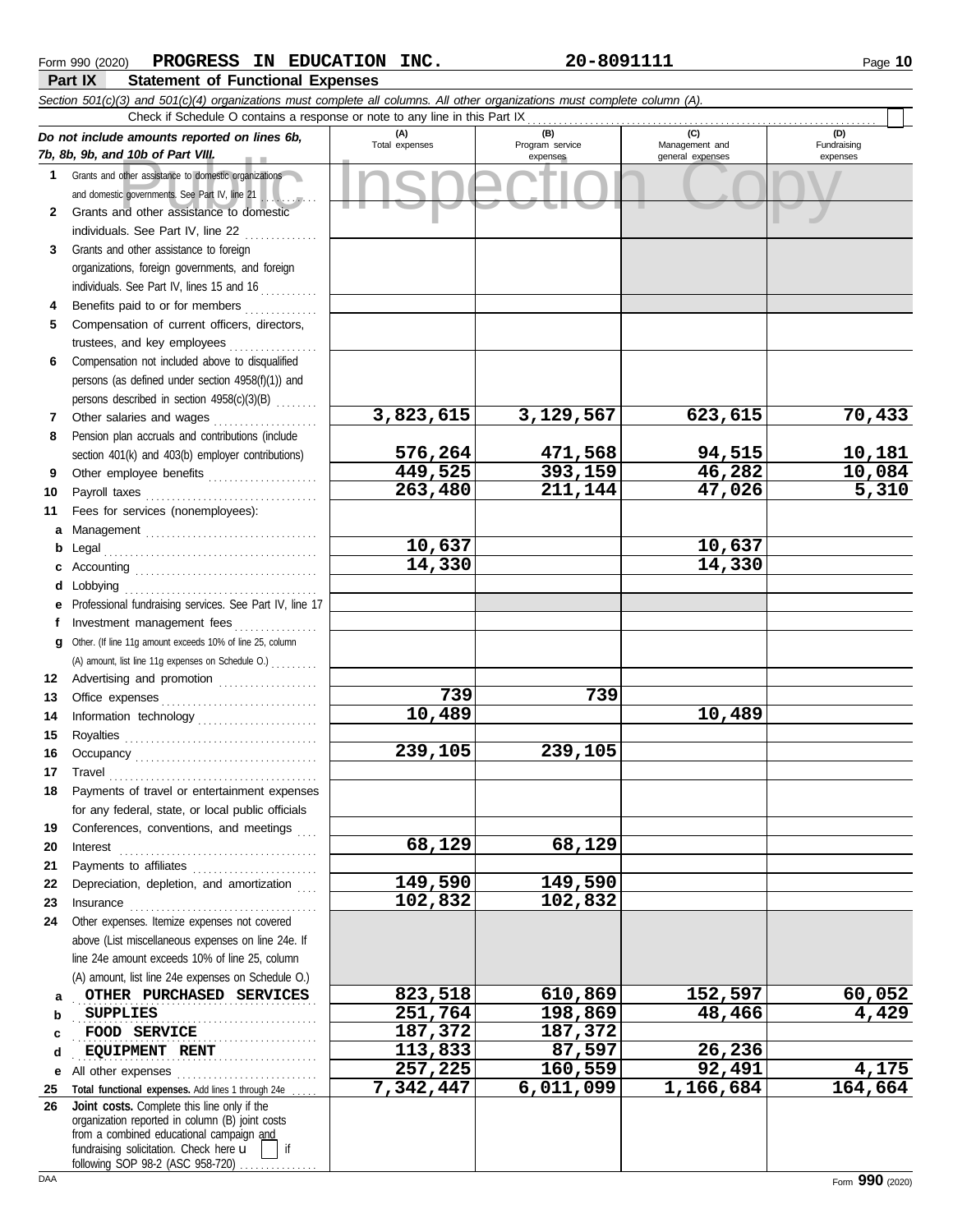|              | Section 501(c)(3) and 501(c)(4) organizations must complete all columns. All other organizations must complete column (A).                                                                                                                                                                                                                                                                                                                                                                                                                                                  |                        |                                    |                                           |                                |  |  |  |  |  |  |
|--------------|-----------------------------------------------------------------------------------------------------------------------------------------------------------------------------------------------------------------------------------------------------------------------------------------------------------------------------------------------------------------------------------------------------------------------------------------------------------------------------------------------------------------------------------------------------------------------------|------------------------|------------------------------------|-------------------------------------------|--------------------------------|--|--|--|--|--|--|
|              | Check if Schedule O contains a response or note to any line in this Part IX                                                                                                                                                                                                                                                                                                                                                                                                                                                                                                 |                        |                                    |                                           |                                |  |  |  |  |  |  |
|              | Do not include amounts reported on lines 6b,<br>7b, 8b, 9b, and 10b of Part VIII.                                                                                                                                                                                                                                                                                                                                                                                                                                                                                           | (A)<br>Total expenses  | (B)<br>Program service<br>expenses | (C)<br>Management and<br>general expenses | (D)<br>Fundraising<br>expenses |  |  |  |  |  |  |
| $\mathbf 1$  | Grants and other assistance to domestic organizations                                                                                                                                                                                                                                                                                                                                                                                                                                                                                                                       |                        |                                    |                                           |                                |  |  |  |  |  |  |
|              | and domestic governments. See Part IV, line 21                                                                                                                                                                                                                                                                                                                                                                                                                                                                                                                              |                        |                                    |                                           |                                |  |  |  |  |  |  |
|              | للمستقطع                                                                                                                                                                                                                                                                                                                                                                                                                                                                                                                                                                    |                        |                                    |                                           |                                |  |  |  |  |  |  |
| $\mathbf{2}$ | Grants and other assistance to domestic                                                                                                                                                                                                                                                                                                                                                                                                                                                                                                                                     |                        |                                    |                                           |                                |  |  |  |  |  |  |
|              | individuals. See Part IV, line 22                                                                                                                                                                                                                                                                                                                                                                                                                                                                                                                                           |                        |                                    |                                           |                                |  |  |  |  |  |  |
| 3            | Grants and other assistance to foreign                                                                                                                                                                                                                                                                                                                                                                                                                                                                                                                                      |                        |                                    |                                           |                                |  |  |  |  |  |  |
|              | organizations, foreign governments, and foreign                                                                                                                                                                                                                                                                                                                                                                                                                                                                                                                             |                        |                                    |                                           |                                |  |  |  |  |  |  |
|              | individuals. See Part IV, lines 15 and 16                                                                                                                                                                                                                                                                                                                                                                                                                                                                                                                                   |                        |                                    |                                           |                                |  |  |  |  |  |  |
| 4            | Benefits paid to or for members                                                                                                                                                                                                                                                                                                                                                                                                                                                                                                                                             |                        |                                    |                                           |                                |  |  |  |  |  |  |
| 5            | Compensation of current officers, directors,                                                                                                                                                                                                                                                                                                                                                                                                                                                                                                                                |                        |                                    |                                           |                                |  |  |  |  |  |  |
|              | trustees, and key employees<br>.                                                                                                                                                                                                                                                                                                                                                                                                                                                                                                                                            |                        |                                    |                                           |                                |  |  |  |  |  |  |
| 6            | Compensation not included above to disqualified                                                                                                                                                                                                                                                                                                                                                                                                                                                                                                                             |                        |                                    |                                           |                                |  |  |  |  |  |  |
|              | persons (as defined under section 4958(f)(1)) and                                                                                                                                                                                                                                                                                                                                                                                                                                                                                                                           |                        |                                    |                                           |                                |  |  |  |  |  |  |
|              | persons described in section 4958(c)(3)(B)                                                                                                                                                                                                                                                                                                                                                                                                                                                                                                                                  |                        |                                    |                                           |                                |  |  |  |  |  |  |
| 7            | Other salaries and wages<br>.                                                                                                                                                                                                                                                                                                                                                                                                                                                                                                                                               | 3,823,615              | 3,129,567                          | 623,615                                   | 70,433                         |  |  |  |  |  |  |
| 8            | Pension plan accruals and contributions (include                                                                                                                                                                                                                                                                                                                                                                                                                                                                                                                            |                        |                                    |                                           |                                |  |  |  |  |  |  |
|              | section 401(k) and 403(b) employer contributions)                                                                                                                                                                                                                                                                                                                                                                                                                                                                                                                           | 576,264                | 471,568                            | 94,515                                    | <u>10,181</u>                  |  |  |  |  |  |  |
| 9            | Other employee benefits                                                                                                                                                                                                                                                                                                                                                                                                                                                                                                                                                     | $\overline{449}$ , 525 | 393,159                            | 46,282                                    | 10,084                         |  |  |  |  |  |  |
| 10           |                                                                                                                                                                                                                                                                                                                                                                                                                                                                                                                                                                             | 263,480                | 211,144                            | 47,026                                    | 5,310                          |  |  |  |  |  |  |
| 11           | Fees for services (nonemployees):                                                                                                                                                                                                                                                                                                                                                                                                                                                                                                                                           |                        |                                    |                                           |                                |  |  |  |  |  |  |
| a            | Management                                                                                                                                                                                                                                                                                                                                                                                                                                                                                                                                                                  |                        |                                    |                                           |                                |  |  |  |  |  |  |
| b            |                                                                                                                                                                                                                                                                                                                                                                                                                                                                                                                                                                             | 10,637                 |                                    | 10,637                                    |                                |  |  |  |  |  |  |
|              |                                                                                                                                                                                                                                                                                                                                                                                                                                                                                                                                                                             | 14,330                 |                                    | 14,330                                    |                                |  |  |  |  |  |  |
| d            | Lobbying                                                                                                                                                                                                                                                                                                                                                                                                                                                                                                                                                                    |                        |                                    |                                           |                                |  |  |  |  |  |  |
|              | Professional fundraising services. See Part IV, line 17                                                                                                                                                                                                                                                                                                                                                                                                                                                                                                                     |                        |                                    |                                           |                                |  |  |  |  |  |  |
| f            | Investment management fees                                                                                                                                                                                                                                                                                                                                                                                                                                                                                                                                                  |                        |                                    |                                           |                                |  |  |  |  |  |  |
| g            | Other. (If line 11g amount exceeds 10% of line 25, column                                                                                                                                                                                                                                                                                                                                                                                                                                                                                                                   |                        |                                    |                                           |                                |  |  |  |  |  |  |
|              | (A) amount, list line 11g expenses on Schedule O.)                                                                                                                                                                                                                                                                                                                                                                                                                                                                                                                          |                        |                                    |                                           |                                |  |  |  |  |  |  |
| 12           | Advertising and promotion                                                                                                                                                                                                                                                                                                                                                                                                                                                                                                                                                   |                        |                                    |                                           |                                |  |  |  |  |  |  |
| 13           |                                                                                                                                                                                                                                                                                                                                                                                                                                                                                                                                                                             | 739                    | 739                                |                                           |                                |  |  |  |  |  |  |
| 14           | Information technology                                                                                                                                                                                                                                                                                                                                                                                                                                                                                                                                                      | 10,489                 |                                    | 10,489                                    |                                |  |  |  |  |  |  |
| 15           |                                                                                                                                                                                                                                                                                                                                                                                                                                                                                                                                                                             |                        |                                    |                                           |                                |  |  |  |  |  |  |
| 16           |                                                                                                                                                                                                                                                                                                                                                                                                                                                                                                                                                                             | 239,105                | 239,105                            |                                           |                                |  |  |  |  |  |  |
| 17           |                                                                                                                                                                                                                                                                                                                                                                                                                                                                                                                                                                             |                        |                                    |                                           |                                |  |  |  |  |  |  |
| 18           | $\begin{minipage}[c]{0.9\linewidth} \begin{tabular}{l} \textbf{Travel} \end{tabular} \end{minipage} \end{minipage} \begin{minipage}[c]{0.9\linewidth} \begin{tabular}{l} \textbf{True} \end{tabular} \end{minipage} \end{minipage} \begin{minipage}[c]{0.9\linewidth} \begin{tabular}{l} \textbf{True} \end{tabular} \end{minipage} \end{minipage} \begin{minipage}[c]{0.9\linewidth} \begin{tabular}{l} \textbf{True} \end{tabular} \end{minipage} \end{minipage} \begin{minipage}[c]{0.9\linewidth} \begin{tabular}{l} \$<br>Payments of travel or entertainment expenses |                        |                                    |                                           |                                |  |  |  |  |  |  |
|              | for any federal, state, or local public officials                                                                                                                                                                                                                                                                                                                                                                                                                                                                                                                           |                        |                                    |                                           |                                |  |  |  |  |  |  |
| 19           | Conferences, conventions, and meetings                                                                                                                                                                                                                                                                                                                                                                                                                                                                                                                                      |                        |                                    |                                           |                                |  |  |  |  |  |  |
| 20           |                                                                                                                                                                                                                                                                                                                                                                                                                                                                                                                                                                             | 68,129                 | 68,129                             |                                           |                                |  |  |  |  |  |  |
| 21           | $\textbf{Interest} \hspace{2em} \begin{minipage}{1em} \begin{minipage}{1em} \begin{minipage}{1em} \begin{minipage}{1em} \end{minipage} \end{minipage} \end{minipage} \begin{minipage}{1em} \begin{minipage}{1em} \begin{minipage}{1em} \begin{minipage}{1em} \end{minipage} \end{minipage} \end{minipage} \end{minipage} \begin{minipage}{1em} \begin{minipage}{1em} \begin{minipage}{1em} \begin{minipage}{1em} \end{minipage} \end{minipage} \end{minipage} \end{minipage} \begin{minipage}{1em}$<br>Payments to affiliates                                               |                        |                                    |                                           |                                |  |  |  |  |  |  |
| 22           | Depreciation, depletion, and amortization                                                                                                                                                                                                                                                                                                                                                                                                                                                                                                                                   | 149,590                | 149,590                            |                                           |                                |  |  |  |  |  |  |
| 23           |                                                                                                                                                                                                                                                                                                                                                                                                                                                                                                                                                                             | 102,832                | 102,832                            |                                           |                                |  |  |  |  |  |  |
| 24           | Other expenses. Itemize expenses not covered                                                                                                                                                                                                                                                                                                                                                                                                                                                                                                                                |                        |                                    |                                           |                                |  |  |  |  |  |  |
|              | above (List miscellaneous expenses on line 24e. If                                                                                                                                                                                                                                                                                                                                                                                                                                                                                                                          |                        |                                    |                                           |                                |  |  |  |  |  |  |
|              | line 24e amount exceeds 10% of line 25, column                                                                                                                                                                                                                                                                                                                                                                                                                                                                                                                              |                        |                                    |                                           |                                |  |  |  |  |  |  |
|              | (A) amount, list line 24e expenses on Schedule O.)                                                                                                                                                                                                                                                                                                                                                                                                                                                                                                                          |                        |                                    |                                           |                                |  |  |  |  |  |  |
|              | OTHER PURCHASED SERVICES                                                                                                                                                                                                                                                                                                                                                                                                                                                                                                                                                    | 823,518                | 610,869                            | 152,597                                   | 60,052                         |  |  |  |  |  |  |
| а            | <b>SUPPLIES</b>                                                                                                                                                                                                                                                                                                                                                                                                                                                                                                                                                             | 251,764                | 198,869                            | 48,466                                    | 4,429                          |  |  |  |  |  |  |
| b            |                                                                                                                                                                                                                                                                                                                                                                                                                                                                                                                                                                             | 187,372                | 187,372                            |                                           |                                |  |  |  |  |  |  |
| с            | FOOD SERVICE                                                                                                                                                                                                                                                                                                                                                                                                                                                                                                                                                                | 113,833                | 87,597                             | 26,236                                    |                                |  |  |  |  |  |  |
| d            | EQUIPMENT RENT                                                                                                                                                                                                                                                                                                                                                                                                                                                                                                                                                              | 257,225                | 160,559                            | 92,491                                    | 4,175                          |  |  |  |  |  |  |
| е            | All other expenses                                                                                                                                                                                                                                                                                                                                                                                                                                                                                                                                                          | 7,342,447              | 6,011,099                          | 1,166,684                                 | 164,664                        |  |  |  |  |  |  |
| 25<br>26     | Total functional expenses. Add lines 1 through 24e<br>Joint costs. Complete this line only if the                                                                                                                                                                                                                                                                                                                                                                                                                                                                           |                        |                                    |                                           |                                |  |  |  |  |  |  |
|              | organization reported in column (B) joint costs                                                                                                                                                                                                                                                                                                                                                                                                                                                                                                                             |                        |                                    |                                           |                                |  |  |  |  |  |  |
|              | from a combined educational campaign and                                                                                                                                                                                                                                                                                                                                                                                                                                                                                                                                    |                        |                                    |                                           |                                |  |  |  |  |  |  |
|              | fundraising solicitation. Check here u<br>if                                                                                                                                                                                                                                                                                                                                                                                                                                                                                                                                |                        |                                    |                                           |                                |  |  |  |  |  |  |
|              | following SOP 98-2 (ASC 958-720)                                                                                                                                                                                                                                                                                                                                                                                                                                                                                                                                            |                        |                                    |                                           |                                |  |  |  |  |  |  |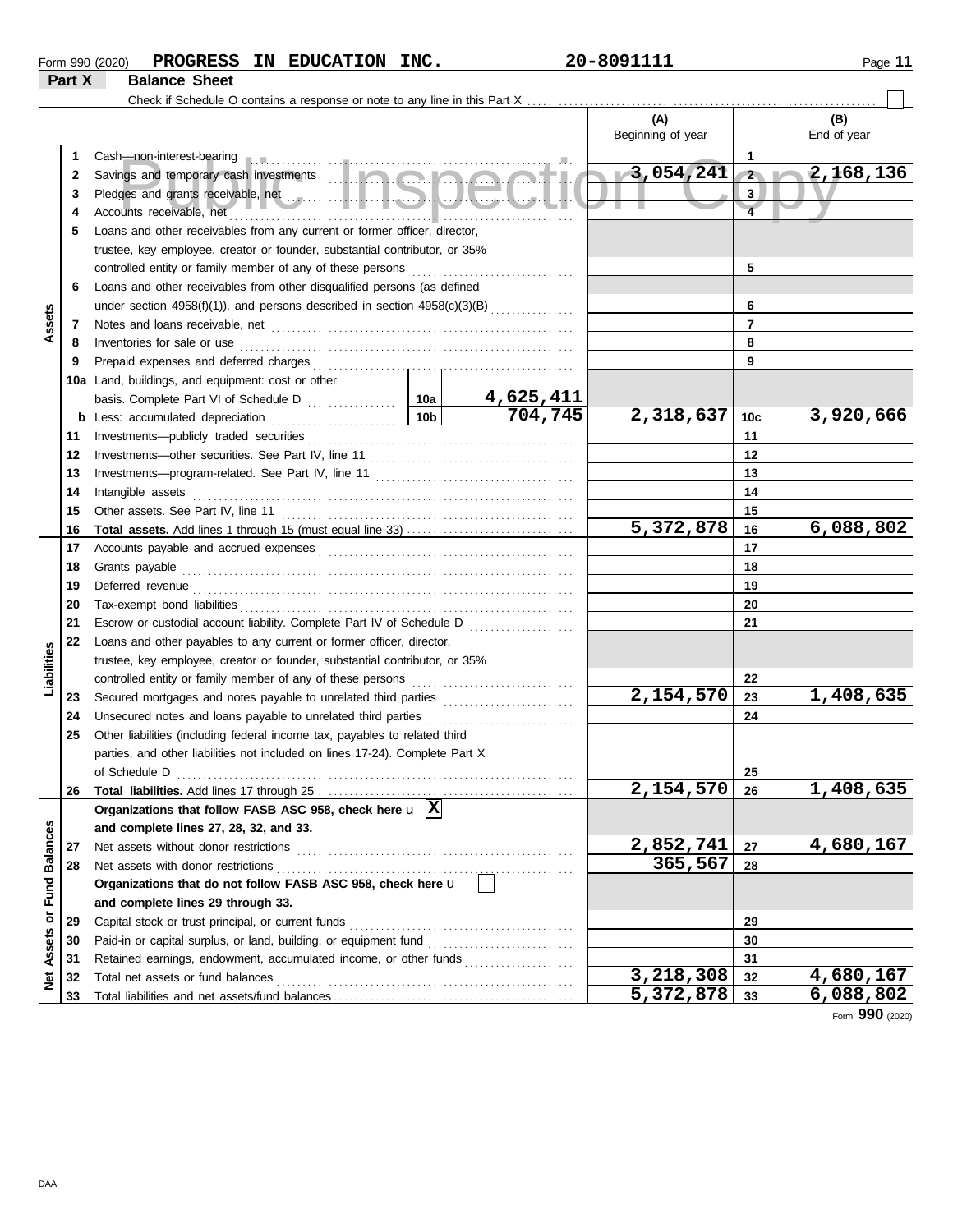| Form 990 (2020) | <b>PROGRESS</b>      | IN | <b>EDUCATION</b> | INC. | 20-8091111 | Page |
|-----------------|----------------------|----|------------------|------|------------|------|
| Part X          | <b>Balance Sheet</b> |    |                  |      |            |      |

|               |    | Check if Schedule O contains a response or note to any line in this Part X                                                                                                                                                           |         |           |                   |                |             |
|---------------|----|--------------------------------------------------------------------------------------------------------------------------------------------------------------------------------------------------------------------------------------|---------|-----------|-------------------|----------------|-------------|
|               |    |                                                                                                                                                                                                                                      |         |           | (A)               |                | (B)         |
|               |    |                                                                                                                                                                                                                                      |         |           | Beginning of year |                | End of year |
|               | 1. | Cash-non-interest-bearing production and contain an account of the cash-non-interest-bearing                                                                                                                                         |         |           |                   | 1              |             |
|               | 2  |                                                                                                                                                                                                                                      |         |           | $-3,054,241$      | $\mathbf{2}$   | 2,168,136   |
|               | 3  | Pledges and grants receivable, net encourage and service and service and service and service and service and service and service and service and service and service and service and service and service and service and servi       |         |           |                   | 3              |             |
|               |    | Accounts receivable, net                                                                                                                                                                                                             |         |           |                   | $\overline{4}$ |             |
|               | 5  | Loans and other receivables from any current or former officer, director,                                                                                                                                                            |         |           |                   |                |             |
|               |    | trustee, key employee, creator or founder, substantial contributor, or 35%                                                                                                                                                           |         |           |                   |                |             |
|               |    | controlled entity or family member of any of these persons                                                                                                                                                                           |         |           |                   | 5              |             |
|               | 6  | Loans and other receivables from other disqualified persons (as defined                                                                                                                                                              |         |           |                   |                |             |
|               |    | under section $4958(f)(1)$ ), and persons described in section $4958(c)(3)(B)$                                                                                                                                                       |         |           |                   | 6              |             |
| Assets        | 7  | Notes and loans receivable, net <b>construction</b> and construction of the state of the state of the state of the state of the state of the state of the state of the state of the state of the state of the state of the state of  |         |           |                   | $\overline{7}$ |             |
|               | 8  | Inventories for sale or use                                                                                                                                                                                                          |         |           |                   | 8              |             |
|               | 9  |                                                                                                                                                                                                                                      |         |           |                   | 9              |             |
|               |    | 10a Land, buildings, and equipment: cost or other                                                                                                                                                                                    |         |           |                   |                |             |
|               |    | basis. Complete Part VI of Schedule D                                                                                                                                                                                                | ∣ 10a   | 4,625,411 |                   |                |             |
|               |    | <b>b</b> Less: accumulated depreciation <i>[[[[[[[[[[[[[[[[[[[[[[[[[[[]]]]</i> ]]                                                                                                                                                    | 704,745 | 2,318,637 | 10c               | 3,920,666      |             |
|               | 11 |                                                                                                                                                                                                                                      |         |           | 11                |                |             |
|               | 12 |                                                                                                                                                                                                                                      |         |           | 12                |                |             |
|               | 13 |                                                                                                                                                                                                                                      |         | 13        |                   |                |             |
|               | 14 | Intangible assets                                                                                                                                                                                                                    |         |           | 14                |                |             |
|               | 15 | Other assets. See Part IV, line 11 <b>Constanting the Constantine Constantine Constantine Constantine Constantine Constantine Constantine Constantine Constantine Constantine Constantine Constantine Constantine Constantine Co</b> |         |           |                   | 15             |             |
|               | 16 |                                                                                                                                                                                                                                      |         |           | 5,372,878         | 16             | 6,088,802   |
|               | 17 |                                                                                                                                                                                                                                      |         |           |                   | 17             |             |
|               | 18 | Grants payable                                                                                                                                                                                                                       |         |           |                   | 18             |             |
|               | 19 |                                                                                                                                                                                                                                      |         |           |                   | 19             |             |
|               | 20 |                                                                                                                                                                                                                                      |         |           |                   | 20             |             |
|               | 21 | Escrow or custodial account liability. Complete Part IV of Schedule D                                                                                                                                                                |         |           |                   | 21             |             |
|               | 22 | Loans and other payables to any current or former officer, director,                                                                                                                                                                 |         |           |                   |                |             |
| Liabilities   |    | trustee, key employee, creator or founder, substantial contributor, or 35%                                                                                                                                                           |         |           |                   |                |             |
|               |    | controlled entity or family member of any of these persons                                                                                                                                                                           |         |           |                   | 22             |             |
|               | 23 | Secured mortgages and notes payable to unrelated third parties [11] [11] Secured mortgages and notes payable to unrelated third parties                                                                                              |         |           | 2,154,570         | 23             | 1,408,635   |
|               | 24 | Unsecured notes and loans payable to unrelated third parties [111] [11] Unsecured notes and loans payable to unrelated third parties                                                                                                 |         |           |                   | 24             |             |
|               | 25 | Other liabilities (including federal income tax, payables to related third                                                                                                                                                           |         |           |                   |                |             |
|               |    | parties, and other liabilities not included on lines 17-24). Complete Part X                                                                                                                                                         |         |           |                   |                |             |
|               |    |                                                                                                                                                                                                                                      |         |           |                   | 25             |             |
|               | 26 |                                                                                                                                                                                                                                      |         |           | 2,154,570         | 26             | 1,408,635   |
|               |    | Organizations that follow FASB ASC 958, check here $\mathbf{u}$  X                                                                                                                                                                   |         |           |                   |                |             |
|               |    | and complete lines 27, 28, 32, and 33.                                                                                                                                                                                               |         |           |                   |                |             |
|               | 27 | Net assets without donor restrictions                                                                                                                                                                                                |         |           | 2,852,741         | 27             | 4,680,167   |
|               | 28 | Net assets with donor restrictions                                                                                                                                                                                                   |         |           | 365,567           | 28             |             |
| Fund Balances |    | Organizations that do not follow FASB ASC 958, check here u                                                                                                                                                                          |         |           |                   |                |             |
|               |    | and complete lines 29 through 33.                                                                                                                                                                                                    |         |           |                   |                |             |
|               | 29 | Capital stock or trust principal, or current funds                                                                                                                                                                                   |         |           |                   | 29             |             |
|               | 30 |                                                                                                                                                                                                                                      |         |           |                   | 30             |             |
| Net Assets or | 31 | Retained earnings, endowment, accumulated income, or other funds                                                                                                                                                                     |         |           |                   | 31             |             |
|               | 32 | Total net assets or fund balances                                                                                                                                                                                                    |         |           | 3,218,308         | 32             | 4,680,167   |
|               | 33 |                                                                                                                                                                                                                                      |         |           | 5,372,878         | 33             | 6,088,802   |

Form **990** (2020)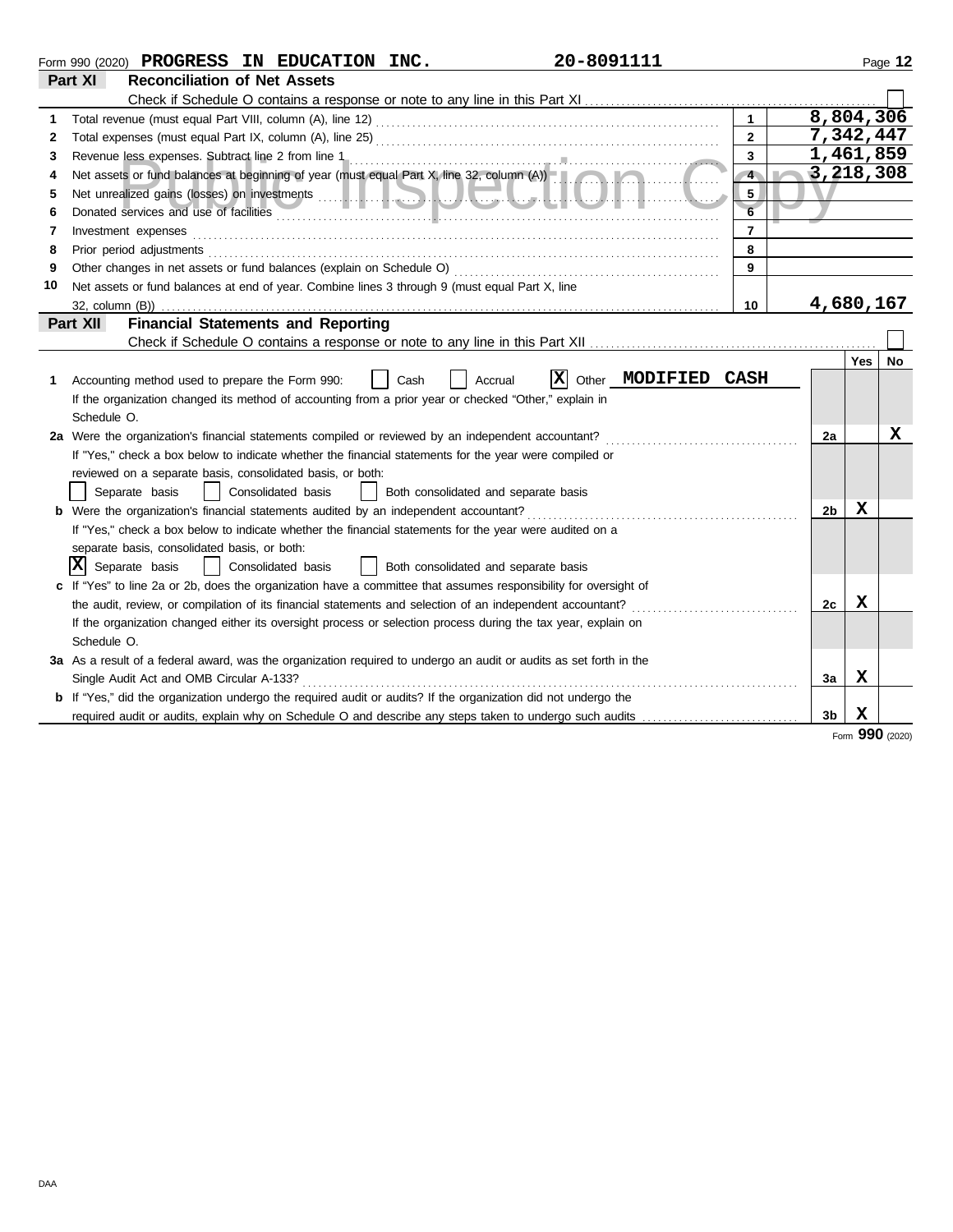|    | 20-8091111<br>Form 990 (2020) PROGRESS IN EDUCATION INC.                                                                  |                      |                |            | Page 12   |
|----|---------------------------------------------------------------------------------------------------------------------------|----------------------|----------------|------------|-----------|
|    | Part XI<br><b>Reconciliation of Net Assets</b>                                                                            |                      |                |            |           |
|    |                                                                                                                           |                      |                |            |           |
| 1  |                                                                                                                           | $\blacktriangleleft$ | 8,804,306      |            |           |
| 2  |                                                                                                                           | $\overline{2}$       | 7,342,447      |            |           |
| 3  |                                                                                                                           | $\mathbf{3}$         | 1,461,859      |            |           |
| 4  | Net assets or fund balances at beginning of year (must equal Part X, line 32, column (A))                                 | $\overline{4}$       | 3,218,308      |            |           |
| 5  |                                                                                                                           | 5                    |                |            |           |
| 6  | Donated services and use of facilities <b>contained a container and a container and a container and use of facilities</b> | 6                    |                |            |           |
| 7  | Investment expenses                                                                                                       | $\overline{7}$       |                |            |           |
| 8  | Prior period adjustments                                                                                                  | 8                    |                |            |           |
| 9  |                                                                                                                           | 9                    |                |            |           |
| 10 | Net assets or fund balances at end of year. Combine lines 3 through 9 (must equal Part X, line                            |                      |                |            |           |
|    | 32, column (B))                                                                                                           | 10                   | 4,680,167      |            |           |
|    | <b>Financial Statements and Reporting</b><br>Part XII                                                                     |                      |                |            |           |
|    |                                                                                                                           |                      |                |            |           |
|    |                                                                                                                           |                      |                | <b>Yes</b> | <b>No</b> |
| 1. | Other MODIFIED CASH<br>$ {\bf x} $<br>Accounting method used to prepare the Form 990:<br>Cash<br>Accrual                  |                      |                |            |           |
|    | If the organization changed its method of accounting from a prior year or checked "Other," explain in                     |                      |                |            |           |
|    | Schedule O.                                                                                                               |                      |                |            |           |
|    | 2a Were the organization's financial statements compiled or reviewed by an independent accountant?                        |                      | 2a             |            | x         |
|    | If "Yes," check a box below to indicate whether the financial statements for the year were compiled or                    |                      |                |            |           |
|    | reviewed on a separate basis, consolidated basis, or both:                                                                |                      |                |            |           |
|    | Separate basis<br>Consolidated basis<br>Both consolidated and separate basis                                              |                      |                |            |           |
|    | <b>b</b> Were the organization's financial statements audited by an independent accountant?                               |                      | 2 <sub>b</sub> | х          |           |
|    | If "Yes," check a box below to indicate whether the financial statements for the year were audited on a                   |                      |                |            |           |
|    | separate basis, consolidated basis, or both:                                                                              |                      |                |            |           |
|    | $ \mathbf{X} $ Separate basis<br>Consolidated basis<br>Both consolidated and separate basis                               |                      |                |            |           |
|    | If "Yes" to line 2a or 2b, does the organization have a committee that assumes responsibility for oversight of            |                      |                |            |           |
|    | the audit, review, or compilation of its financial statements and selection of an independent accountant?                 |                      | 2c             | x          |           |
|    | If the organization changed either its oversight process or selection process during the tax year, explain on             |                      |                |            |           |
|    | Schedule O.                                                                                                               |                      |                |            |           |
|    | 3a As a result of a federal award, was the organization required to undergo an audit or audits as set forth in the        |                      |                |            |           |
|    | Single Audit Act and OMB Circular A-133?                                                                                  |                      | 3a             | х          |           |
|    | <b>b</b> If "Yes," did the organization undergo the required audit or audits? If the organization did not undergo the     |                      |                |            |           |
|    | required audit or audits, explain why on Schedule O and describe any steps taken to undergo such audits                   |                      | 3 <sub>b</sub> | х          |           |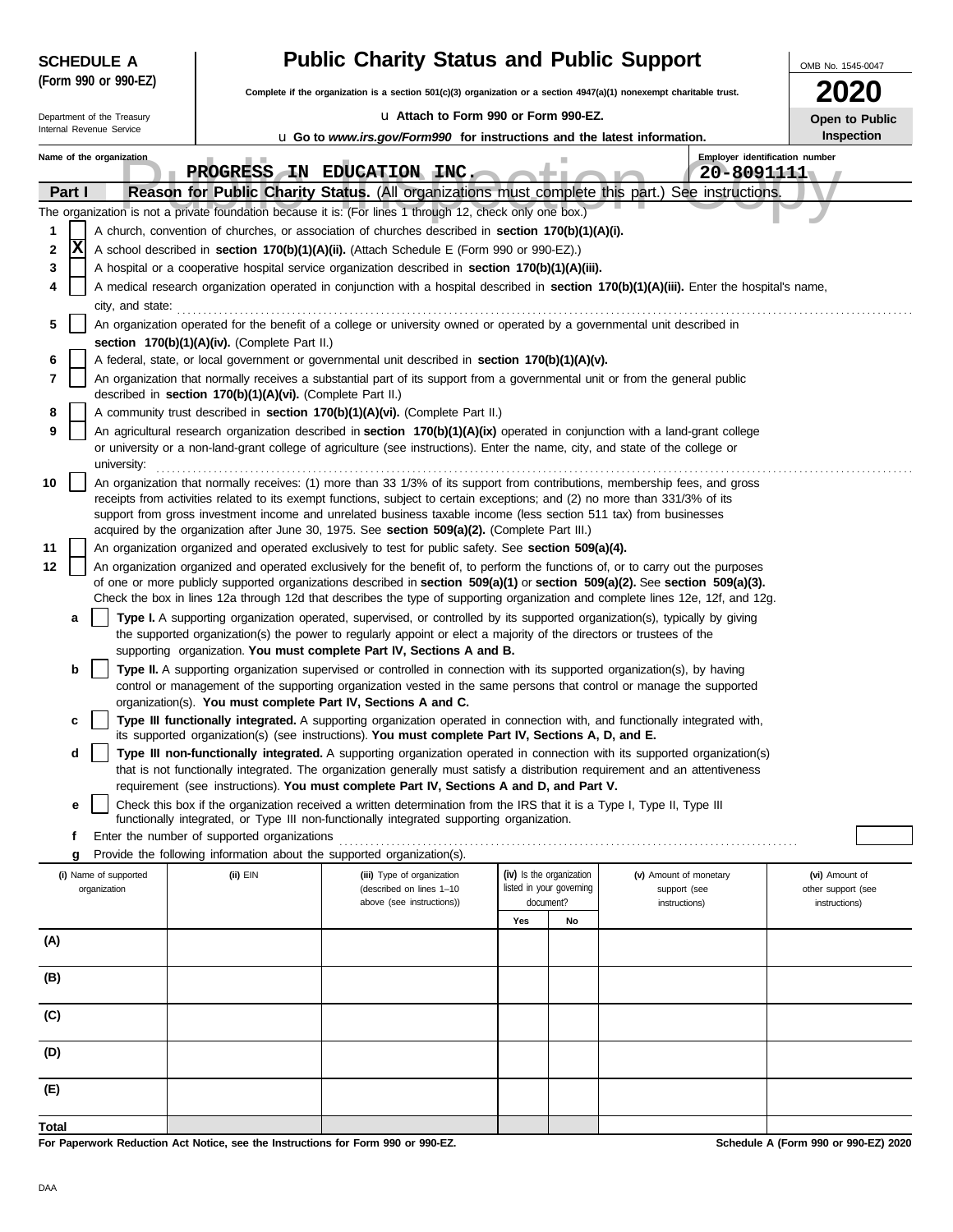|        | <b>SCHEDULE A</b>                     |                                                                                  | <b>Public Charity Status and Public Support</b>                                                                                                                                                                                                                                                                                                                 |                                       |                          |                                                         |                                                       |  |  |  |  |  |
|--------|---------------------------------------|----------------------------------------------------------------------------------|-----------------------------------------------------------------------------------------------------------------------------------------------------------------------------------------------------------------------------------------------------------------------------------------------------------------------------------------------------------------|---------------------------------------|--------------------------|---------------------------------------------------------|-------------------------------------------------------|--|--|--|--|--|
|        | (Form 990 or 990-EZ)                  |                                                                                  | Complete if the organization is a section $501(c)(3)$ organization or a section $4947(a)(1)$ nonexempt charitable trust.                                                                                                                                                                                                                                        |                                       |                          |                                                         |                                                       |  |  |  |  |  |
|        | Department of the Treasury            |                                                                                  | La Attach to Form 990 or Form 990-EZ.                                                                                                                                                                                                                                                                                                                           |                                       |                          |                                                         | Open to Public                                        |  |  |  |  |  |
|        | Internal Revenue Service              |                                                                                  | <b>u</b> Go to www.irs.gov/Form990 for instructions and the latest information.                                                                                                                                                                                                                                                                                 |                                       |                          |                                                         | Inspection                                            |  |  |  |  |  |
|        | Name of the organization              |                                                                                  | PROGRESS IN EDUCATION INC.                                                                                                                                                                                                                                                                                                                                      |                                       |                          | Employer identification number<br>20-8091111            |                                                       |  |  |  |  |  |
| Part I |                                       |                                                                                  | Reason for Public Charity Status. (All organizations must complete this part.) See instructions.                                                                                                                                                                                                                                                                |                                       |                          |                                                         |                                                       |  |  |  |  |  |
|        |                                       |                                                                                  | The organization is not a private foundation because it is: (For lines 1 through 12, check only one box.)                                                                                                                                                                                                                                                       |                                       |                          |                                                         |                                                       |  |  |  |  |  |
| 1      |                                       |                                                                                  | A church, convention of churches, or association of churches described in section 170(b)(1)(A)(i).                                                                                                                                                                                                                                                              |                                       |                          |                                                         |                                                       |  |  |  |  |  |
| 2      | x                                     |                                                                                  | A school described in section 170(b)(1)(A)(ii). (Attach Schedule E (Form 990 or 990-EZ).)                                                                                                                                                                                                                                                                       |                                       |                          |                                                         |                                                       |  |  |  |  |  |
| 3      |                                       |                                                                                  | A hospital or a cooperative hospital service organization described in section 170(b)(1)(A)(iii).                                                                                                                                                                                                                                                               |                                       |                          |                                                         |                                                       |  |  |  |  |  |
| 4      |                                       |                                                                                  | A medical research organization operated in conjunction with a hospital described in section 170(b)(1)(A)(iii). Enter the hospital's name,                                                                                                                                                                                                                      |                                       |                          |                                                         |                                                       |  |  |  |  |  |
| 5      |                                       |                                                                                  | city, and state: <b>contract and state</b> contract and state contract and state contract and state contract and state contract and state contract and state contract and state contract and state contract and state contract and<br>An organization operated for the benefit of a college or university owned or operated by a governmental unit described in |                                       |                          |                                                         |                                                       |  |  |  |  |  |
|        |                                       | section 170(b)(1)(A)(iv). (Complete Part II.)                                    |                                                                                                                                                                                                                                                                                                                                                                 |                                       |                          |                                                         |                                                       |  |  |  |  |  |
| 6      |                                       |                                                                                  | A federal, state, or local government or governmental unit described in section 170(b)(1)(A)(v).                                                                                                                                                                                                                                                                |                                       |                          |                                                         |                                                       |  |  |  |  |  |
| 7      |                                       | described in section 170(b)(1)(A)(vi). (Complete Part II.)                       | An organization that normally receives a substantial part of its support from a governmental unit or from the general public                                                                                                                                                                                                                                    |                                       |                          |                                                         |                                                       |  |  |  |  |  |
| 8      |                                       |                                                                                  | A community trust described in section 170(b)(1)(A)(vi). (Complete Part II.)                                                                                                                                                                                                                                                                                    |                                       |                          |                                                         |                                                       |  |  |  |  |  |
| 9      | university:                           |                                                                                  | An agricultural research organization described in section 170(b)(1)(A)(ix) operated in conjunction with a land-grant college<br>or university or a non-land-grant college of agriculture (see instructions). Enter the name, city, and state of the college or                                                                                                 |                                       |                          |                                                         |                                                       |  |  |  |  |  |
| 10     |                                       |                                                                                  | An organization that normally receives: (1) more than 33 1/3% of its support from contributions, membership fees, and gross                                                                                                                                                                                                                                     |                                       |                          |                                                         |                                                       |  |  |  |  |  |
|        |                                       |                                                                                  | receipts from activities related to its exempt functions, subject to certain exceptions; and (2) no more than 331/3% of its<br>support from gross investment income and unrelated business taxable income (less section 511 tax) from businesses<br>acquired by the organization after June 30, 1975. See section 509(a)(2). (Complete Part III.)               |                                       |                          |                                                         |                                                       |  |  |  |  |  |
| 11     |                                       |                                                                                  | An organization organized and operated exclusively to test for public safety. See section 509(a)(4).                                                                                                                                                                                                                                                            |                                       |                          |                                                         |                                                       |  |  |  |  |  |
| 12     |                                       |                                                                                  | An organization organized and operated exclusively for the benefit of, to perform the functions of, or to carry out the purposes                                                                                                                                                                                                                                |                                       |                          |                                                         |                                                       |  |  |  |  |  |
|        |                                       |                                                                                  | of one or more publicly supported organizations described in section 509(a)(1) or section 509(a)(2). See section 509(a)(3).<br>Check the box in lines 12a through 12d that describes the type of supporting organization and complete lines 12e, 12f, and 12g.                                                                                                  |                                       |                          |                                                         |                                                       |  |  |  |  |  |
| а      |                                       |                                                                                  | Type I. A supporting organization operated, supervised, or controlled by its supported organization(s), typically by giving<br>the supported organization(s) the power to regularly appoint or elect a majority of the directors or trustees of the<br>supporting organization. You must complete Part IV, Sections A and B.                                    |                                       |                          |                                                         |                                                       |  |  |  |  |  |
| b      |                                       |                                                                                  | Type II. A supporting organization supervised or controlled in connection with its supported organization(s), by having<br>control or management of the supporting organization vested in the same persons that control or manage the supported                                                                                                                 |                                       |                          |                                                         |                                                       |  |  |  |  |  |
| c      |                                       |                                                                                  | organization(s). You must complete Part IV, Sections A and C.<br>Type III functionally integrated. A supporting organization operated in connection with, and functionally integrated with,<br>its supported organization(s) (see instructions). You must complete Part IV, Sections A, D, and E.                                                               |                                       |                          |                                                         |                                                       |  |  |  |  |  |
| d      |                                       |                                                                                  | Type III non-functionally integrated. A supporting organization operated in connection with its supported organization(s)<br>that is not functionally integrated. The organization generally must satisfy a distribution requirement and an attentiveness                                                                                                       |                                       |                          |                                                         |                                                       |  |  |  |  |  |
|        |                                       |                                                                                  | requirement (see instructions). You must complete Part IV, Sections A and D, and Part V.                                                                                                                                                                                                                                                                        |                                       |                          |                                                         |                                                       |  |  |  |  |  |
| е      |                                       |                                                                                  | Check this box if the organization received a written determination from the IRS that it is a Type I, Type II, Type III<br>functionally integrated, or Type III non-functionally integrated supporting organization.                                                                                                                                            |                                       |                          |                                                         |                                                       |  |  |  |  |  |
| f      |                                       | Enter the number of supported organizations                                      |                                                                                                                                                                                                                                                                                                                                                                 |                                       |                          |                                                         |                                                       |  |  |  |  |  |
| g      |                                       | Provide the following information about the supported organization(s).           |                                                                                                                                                                                                                                                                                                                                                                 |                                       |                          |                                                         |                                                       |  |  |  |  |  |
|        | (i) Name of supported<br>organization | $(ii)$ EIN                                                                       | (iii) Type of organization<br>(described on lines 1-10<br>above (see instructions))                                                                                                                                                                                                                                                                             | (iv) Is the organization<br>document? | listed in your governing | (v) Amount of monetary<br>support (see<br>instructions) | (vi) Amount of<br>other support (see<br>instructions) |  |  |  |  |  |
|        |                                       |                                                                                  |                                                                                                                                                                                                                                                                                                                                                                 | Yes                                   | No                       |                                                         |                                                       |  |  |  |  |  |
| (A)    |                                       |                                                                                  |                                                                                                                                                                                                                                                                                                                                                                 |                                       |                          |                                                         |                                                       |  |  |  |  |  |
| (B)    |                                       |                                                                                  |                                                                                                                                                                                                                                                                                                                                                                 |                                       |                          |                                                         |                                                       |  |  |  |  |  |
| (C)    |                                       |                                                                                  |                                                                                                                                                                                                                                                                                                                                                                 |                                       |                          |                                                         |                                                       |  |  |  |  |  |
| (D)    |                                       |                                                                                  |                                                                                                                                                                                                                                                                                                                                                                 |                                       |                          |                                                         |                                                       |  |  |  |  |  |
| (E)    |                                       |                                                                                  |                                                                                                                                                                                                                                                                                                                                                                 |                                       |                          |                                                         |                                                       |  |  |  |  |  |
|        |                                       |                                                                                  |                                                                                                                                                                                                                                                                                                                                                                 |                                       |                          |                                                         |                                                       |  |  |  |  |  |
| Total  |                                       | For Paperwork Reduction Act Notice, see the Instructions for Form 990 or 990-EZ. |                                                                                                                                                                                                                                                                                                                                                                 |                                       |                          |                                                         | Schedule A (Form 990 or 990-EZ) 2020                  |  |  |  |  |  |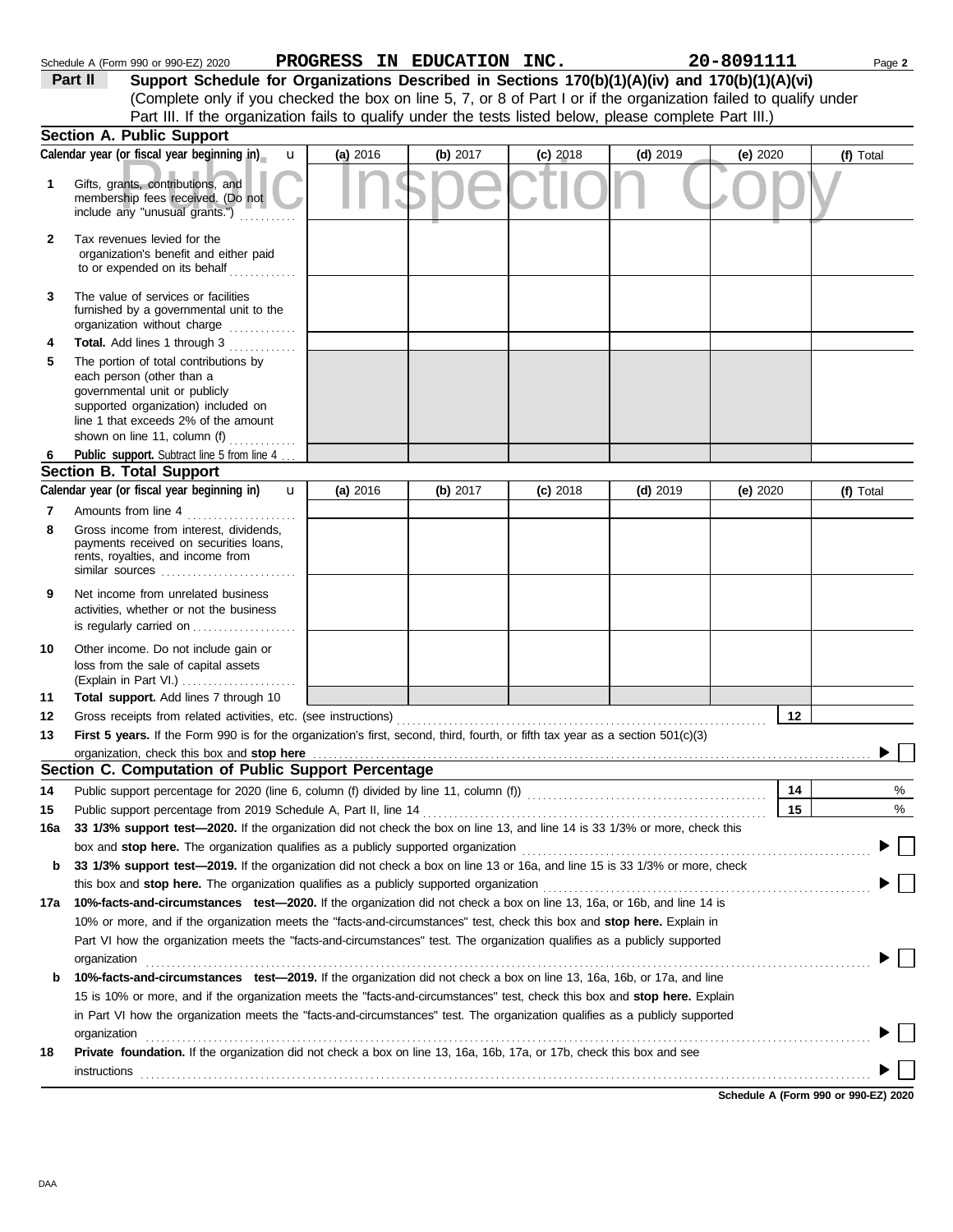|     | Part II<br>Support Schedule for Organizations Described in Sections 170(b)(1)(A)(iv) and 170(b)(1)(A)(vi)<br>(Complete only if you checked the box on line 5, 7, or 8 of Part I or if the organization failed to qualify under                       |          |          |            |            |            |           |
|-----|------------------------------------------------------------------------------------------------------------------------------------------------------------------------------------------------------------------------------------------------------|----------|----------|------------|------------|------------|-----------|
|     | Part III. If the organization fails to qualify under the tests listed below, please complete Part III.)<br><b>Section A. Public Support</b>                                                                                                          |          |          |            |            |            |           |
|     | Calendar year (or fiscal year beginning in)<br>u                                                                                                                                                                                                     | (a) 2016 | (b) 2017 | $(c)$ 2018 | $(d)$ 2019 | (e) $2020$ | (f) Total |
| 1   | Gifts, grants, contributions, and                                                                                                                                                                                                                    |          |          |            |            |            |           |
|     | membership fees received. (Do not<br>include any "unusual grants.")                                                                                                                                                                                  |          |          |            |            |            |           |
| 2   | Tax revenues levied for the<br>organization's benefit and either paid<br>to or expended on its behalf                                                                                                                                                |          |          |            |            |            |           |
| 3   | The value of services or facilities<br>furnished by a governmental unit to the<br>organization without charge                                                                                                                                        |          |          |            |            |            |           |
| 4   | Total. Add lines 1 through 3                                                                                                                                                                                                                         |          |          |            |            |            |           |
| 5   | The portion of total contributions by<br>each person (other than a<br>governmental unit or publicly<br>supported organization) included on<br>line 1 that exceeds 2% of the amount<br>shown on line 11, column (f)                                   |          |          |            |            |            |           |
| 6   | Public support. Subtract line 5 from line 4                                                                                                                                                                                                          |          |          |            |            |            |           |
|     | Section B. Total Support                                                                                                                                                                                                                             |          |          |            |            |            |           |
|     | Calendar year (or fiscal year beginning in)<br>$\mathbf{u}$                                                                                                                                                                                          | (a) 2016 | (b) 2017 | $(c)$ 2018 | $(d)$ 2019 | (e) $2020$ | (f) Total |
| 7   | Amounts from line 4                                                                                                                                                                                                                                  |          |          |            |            |            |           |
| 8   | Gross income from interest, dividends,<br>payments received on securities loans,<br>rents, royalties, and income from                                                                                                                                |          |          |            |            |            |           |
| 9   | Net income from unrelated business<br>activities, whether or not the business<br>is regularly carried on                                                                                                                                             |          |          |            |            |            |           |
| 10  | Other income. Do not include gain or<br>loss from the sale of capital assets                                                                                                                                                                         |          |          |            |            |            |           |
| 11  | Total support. Add lines 7 through 10                                                                                                                                                                                                                |          |          |            |            |            |           |
| 12  | Gross receipts from related activities, etc. (see instructions)                                                                                                                                                                                      |          |          |            |            |            | 12        |
| 13  | First 5 years. If the Form 990 is for the organization's first, second, third, fourth, or fifth tax year as a section 501(c)(3)                                                                                                                      |          |          |            |            |            |           |
|     | organization, check this box and stop here                                                                                                                                                                                                           |          |          |            |            |            |           |
|     | Section C. Computation of Public Support Percentage                                                                                                                                                                                                  |          |          |            |            |            |           |
| 14  | Public support percentage for 2020 (line 6, column (f) divided by line 11, column (f)) [[[[[[[[[[[[[[[[[[[[[[                                                                                                                                        |          |          |            |            |            | 14<br>%   |
| 15  |                                                                                                                                                                                                                                                      |          |          |            |            |            | 15<br>%   |
| 16a | 33 1/3% support test-2020. If the organization did not check the box on line 13, and line 14 is 33 1/3% or more, check this                                                                                                                          |          |          |            |            |            |           |
|     | box and stop here. The organization qualifies as a publicly supported organization <b>contained and stop here.</b> The organization                                                                                                                  |          |          |            |            |            |           |
| b   | 33 1/3% support test-2019. If the organization did not check a box on line 13 or 16a, and line 15 is 33 1/3% or more, check                                                                                                                          |          |          |            |            |            |           |
|     |                                                                                                                                                                                                                                                      |          |          |            |            |            |           |
|     | 17a 10%-facts-and-circumstances test-2020. If the organization did not check a box on line 13, 16a, or 16b, and line 14 is                                                                                                                           |          |          |            |            |            |           |
|     | 10% or more, and if the organization meets the "facts-and-circumstances" test, check this box and stop here. Explain in<br>Part VI how the organization meets the "facts-and-circumstances" test. The organization qualifies as a publicly supported |          |          |            |            |            |           |
|     | organization                                                                                                                                                                                                                                         |          |          |            |            |            |           |
| b   | 10%-facts-and-circumstances test-2019. If the organization did not check a box on line 13, 16a, 16b, or 17a, and line<br>15 is 10% or more, and if the organization meets the "facts-and-circumstances" test, check this box and stop here. Explain  |          |          |            |            |            |           |
|     | in Part VI how the organization meets the "facts-and-circumstances" test. The organization qualifies as a publicly supported                                                                                                                         |          |          |            |            |            |           |
|     | organization                                                                                                                                                                                                                                         |          |          |            |            |            |           |
| 18  | Private foundation. If the organization did not check a box on line 13, 16a, 16b, 17a, or 17b, check this box and see<br>instructions                                                                                                                |          |          |            |            |            |           |

Schedule A (Form 990 or 990-EZ) 2020 PR**OGRESS IN EDUCATION INC . 20-80911111** Pag**e 2** 

**PROGRESS IN EDUCATION INC. 20-8091111**

**Schedule A (Form 990 or 990-EZ) 2020**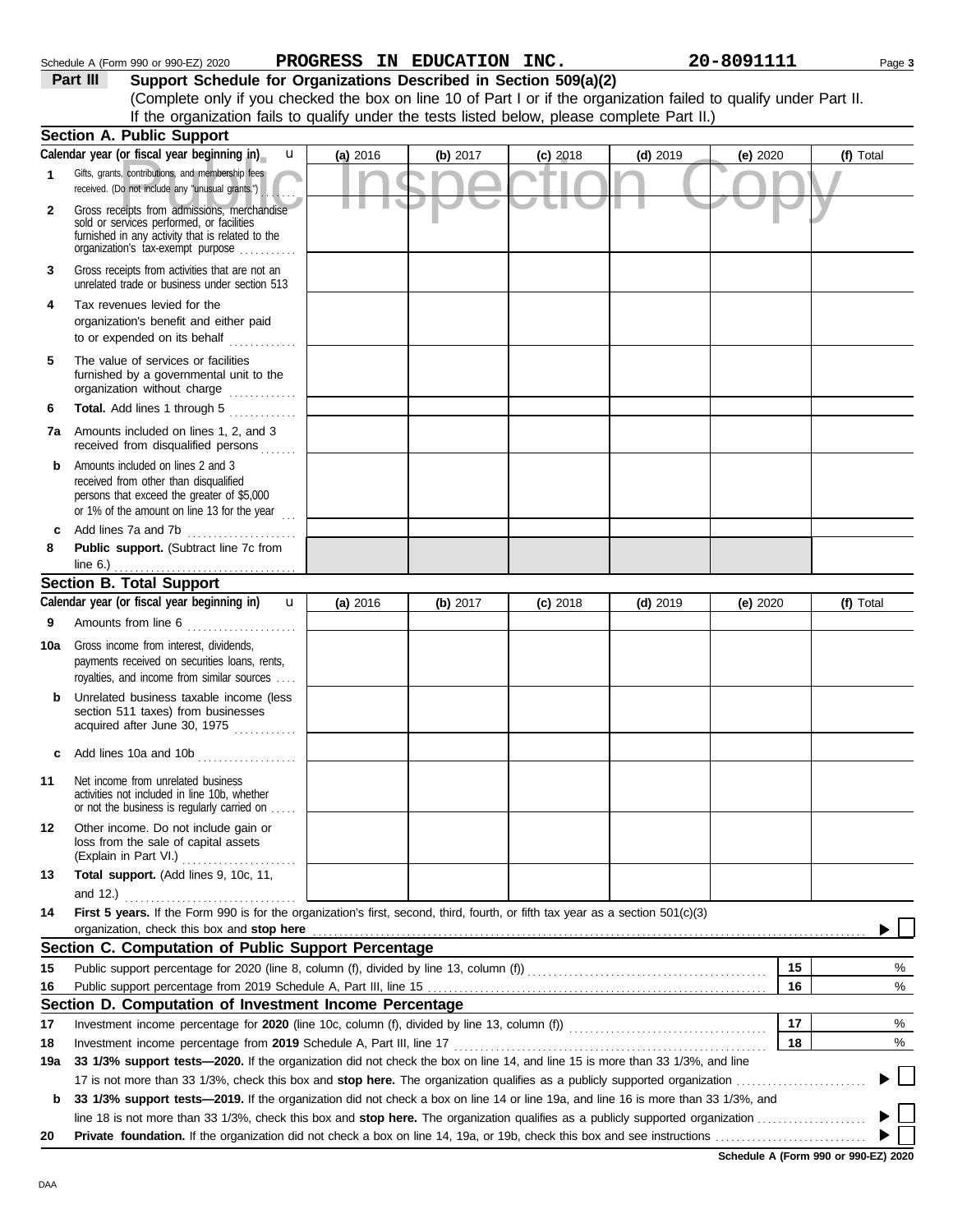| Gross receipts from activities that are not an<br>unrelated trade or business under section 513<br>Tax revenues levied for the<br>organization's benefit and either paid<br>to or expended on its behalf<br>The value of services or facilities<br>furnished by a governmental unit to the<br>organization without charge<br>Total. Add lines 1 through 5<br>an an Dùbhlachd an 1990.<br>Bhailtean an 1990<br>Amounts included on lines 1, 2, and 3<br>received from disqualified persons<br>.<br>Amounts included on lines 2 and 3<br>received from other than disqualified<br>persons that exceed the greater of \$5,000<br>or 1% of the amount on line 13 for the year<br>$\cdots$<br>Add lines 7a and 7b |                                                                                                                                                                                              |                                                                                                          |                                                                                                                                                                                                     |            |                                                                                                                                               |                                                                                                                              |                                                                                                                                                                                         |
|--------------------------------------------------------------------------------------------------------------------------------------------------------------------------------------------------------------------------------------------------------------------------------------------------------------------------------------------------------------------------------------------------------------------------------------------------------------------------------------------------------------------------------------------------------------------------------------------------------------------------------------------------------------------------------------------------------------|----------------------------------------------------------------------------------------------------------------------------------------------------------------------------------------------|----------------------------------------------------------------------------------------------------------|-----------------------------------------------------------------------------------------------------------------------------------------------------------------------------------------------------|------------|-----------------------------------------------------------------------------------------------------------------------------------------------|------------------------------------------------------------------------------------------------------------------------------|-----------------------------------------------------------------------------------------------------------------------------------------------------------------------------------------|
|                                                                                                                                                                                                                                                                                                                                                                                                                                                                                                                                                                                                                                                                                                              |                                                                                                                                                                                              |                                                                                                          |                                                                                                                                                                                                     |            |                                                                                                                                               |                                                                                                                              |                                                                                                                                                                                         |
|                                                                                                                                                                                                                                                                                                                                                                                                                                                                                                                                                                                                                                                                                                              |                                                                                                                                                                                              |                                                                                                          |                                                                                                                                                                                                     |            |                                                                                                                                               |                                                                                                                              |                                                                                                                                                                                         |
|                                                                                                                                                                                                                                                                                                                                                                                                                                                                                                                                                                                                                                                                                                              |                                                                                                                                                                                              |                                                                                                          |                                                                                                                                                                                                     |            |                                                                                                                                               |                                                                                                                              |                                                                                                                                                                                         |
|                                                                                                                                                                                                                                                                                                                                                                                                                                                                                                                                                                                                                                                                                                              |                                                                                                                                                                                              |                                                                                                          |                                                                                                                                                                                                     |            |                                                                                                                                               |                                                                                                                              |                                                                                                                                                                                         |
|                                                                                                                                                                                                                                                                                                                                                                                                                                                                                                                                                                                                                                                                                                              |                                                                                                                                                                                              |                                                                                                          |                                                                                                                                                                                                     |            |                                                                                                                                               |                                                                                                                              |                                                                                                                                                                                         |
|                                                                                                                                                                                                                                                                                                                                                                                                                                                                                                                                                                                                                                                                                                              |                                                                                                                                                                                              |                                                                                                          |                                                                                                                                                                                                     |            |                                                                                                                                               |                                                                                                                              |                                                                                                                                                                                         |
|                                                                                                                                                                                                                                                                                                                                                                                                                                                                                                                                                                                                                                                                                                              |                                                                                                                                                                                              |                                                                                                          |                                                                                                                                                                                                     |            |                                                                                                                                               |                                                                                                                              |                                                                                                                                                                                         |
| Public support. (Subtract line 7c from                                                                                                                                                                                                                                                                                                                                                                                                                                                                                                                                                                                                                                                                       |                                                                                                                                                                                              |                                                                                                          |                                                                                                                                                                                                     |            |                                                                                                                                               |                                                                                                                              |                                                                                                                                                                                         |
|                                                                                                                                                                                                                                                                                                                                                                                                                                                                                                                                                                                                                                                                                                              |                                                                                                                                                                                              |                                                                                                          |                                                                                                                                                                                                     |            |                                                                                                                                               |                                                                                                                              |                                                                                                                                                                                         |
|                                                                                                                                                                                                                                                                                                                                                                                                                                                                                                                                                                                                                                                                                                              |                                                                                                                                                                                              |                                                                                                          |                                                                                                                                                                                                     |            |                                                                                                                                               |                                                                                                                              |                                                                                                                                                                                         |
|                                                                                                                                                                                                                                                                                                                                                                                                                                                                                                                                                                                                                                                                                                              |                                                                                                                                                                                              |                                                                                                          |                                                                                                                                                                                                     |            |                                                                                                                                               |                                                                                                                              | (f) Total                                                                                                                                                                               |
| Gross income from interest, dividends,                                                                                                                                                                                                                                                                                                                                                                                                                                                                                                                                                                                                                                                                       |                                                                                                                                                                                              |                                                                                                          |                                                                                                                                                                                                     |            |                                                                                                                                               |                                                                                                                              |                                                                                                                                                                                         |
|                                                                                                                                                                                                                                                                                                                                                                                                                                                                                                                                                                                                                                                                                                              |                                                                                                                                                                                              |                                                                                                          |                                                                                                                                                                                                     |            |                                                                                                                                               |                                                                                                                              |                                                                                                                                                                                         |
| Unrelated business taxable income (less<br>section 511 taxes) from businesses                                                                                                                                                                                                                                                                                                                                                                                                                                                                                                                                                                                                                                |                                                                                                                                                                                              |                                                                                                          |                                                                                                                                                                                                     |            |                                                                                                                                               |                                                                                                                              |                                                                                                                                                                                         |
|                                                                                                                                                                                                                                                                                                                                                                                                                                                                                                                                                                                                                                                                                                              |                                                                                                                                                                                              |                                                                                                          |                                                                                                                                                                                                     |            |                                                                                                                                               |                                                                                                                              |                                                                                                                                                                                         |
| Net income from unrelated business<br>activities not included in line 10b, whether<br>or not the business is regularly carried on                                                                                                                                                                                                                                                                                                                                                                                                                                                                                                                                                                            |                                                                                                                                                                                              |                                                                                                          |                                                                                                                                                                                                     |            |                                                                                                                                               |                                                                                                                              |                                                                                                                                                                                         |
| Other income. Do not include gain or<br>loss from the sale of capital assets                                                                                                                                                                                                                                                                                                                                                                                                                                                                                                                                                                                                                                 |                                                                                                                                                                                              |                                                                                                          |                                                                                                                                                                                                     |            |                                                                                                                                               |                                                                                                                              |                                                                                                                                                                                         |
| Total support. (Add lines 9, 10c, 11,                                                                                                                                                                                                                                                                                                                                                                                                                                                                                                                                                                                                                                                                        |                                                                                                                                                                                              |                                                                                                          |                                                                                                                                                                                                     |            |                                                                                                                                               |                                                                                                                              |                                                                                                                                                                                         |
|                                                                                                                                                                                                                                                                                                                                                                                                                                                                                                                                                                                                                                                                                                              |                                                                                                                                                                                              |                                                                                                          |                                                                                                                                                                                                     |            |                                                                                                                                               |                                                                                                                              |                                                                                                                                                                                         |
|                                                                                                                                                                                                                                                                                                                                                                                                                                                                                                                                                                                                                                                                                                              |                                                                                                                                                                                              |                                                                                                          |                                                                                                                                                                                                     |            |                                                                                                                                               |                                                                                                                              |                                                                                                                                                                                         |
|                                                                                                                                                                                                                                                                                                                                                                                                                                                                                                                                                                                                                                                                                                              |                                                                                                                                                                                              |                                                                                                          |                                                                                                                                                                                                     |            |                                                                                                                                               |                                                                                                                              |                                                                                                                                                                                         |
|                                                                                                                                                                                                                                                                                                                                                                                                                                                                                                                                                                                                                                                                                                              |                                                                                                                                                                                              |                                                                                                          |                                                                                                                                                                                                     |            |                                                                                                                                               | 15                                                                                                                           | %                                                                                                                                                                                       |
|                                                                                                                                                                                                                                                                                                                                                                                                                                                                                                                                                                                                                                                                                                              |                                                                                                                                                                                              |                                                                                                          |                                                                                                                                                                                                     |            |                                                                                                                                               | 16                                                                                                                           | %                                                                                                                                                                                       |
|                                                                                                                                                                                                                                                                                                                                                                                                                                                                                                                                                                                                                                                                                                              |                                                                                                                                                                                              |                                                                                                          |                                                                                                                                                                                                     |            |                                                                                                                                               |                                                                                                                              |                                                                                                                                                                                         |
|                                                                                                                                                                                                                                                                                                                                                                                                                                                                                                                                                                                                                                                                                                              |                                                                                                                                                                                              |                                                                                                          |                                                                                                                                                                                                     |            |                                                                                                                                               | 17                                                                                                                           | %                                                                                                                                                                                       |
|                                                                                                                                                                                                                                                                                                                                                                                                                                                                                                                                                                                                                                                                                                              |                                                                                                                                                                                              |                                                                                                          |                                                                                                                                                                                                     |            |                                                                                                                                               | 18                                                                                                                           | %                                                                                                                                                                                       |
|                                                                                                                                                                                                                                                                                                                                                                                                                                                                                                                                                                                                                                                                                                              |                                                                                                                                                                                              |                                                                                                          |                                                                                                                                                                                                     |            |                                                                                                                                               |                                                                                                                              |                                                                                                                                                                                         |
|                                                                                                                                                                                                                                                                                                                                                                                                                                                                                                                                                                                                                                                                                                              |                                                                                                                                                                                              |                                                                                                          |                                                                                                                                                                                                     |            |                                                                                                                                               |                                                                                                                              |                                                                                                                                                                                         |
|                                                                                                                                                                                                                                                                                                                                                                                                                                                                                                                                                                                                                                                                                                              |                                                                                                                                                                                              |                                                                                                          |                                                                                                                                                                                                     |            |                                                                                                                                               |                                                                                                                              |                                                                                                                                                                                         |
|                                                                                                                                                                                                                                                                                                                                                                                                                                                                                                                                                                                                                                                                                                              |                                                                                                                                                                                              |                                                                                                          |                                                                                                                                                                                                     |            |                                                                                                                                               |                                                                                                                              |                                                                                                                                                                                         |
|                                                                                                                                                                                                                                                                                                                                                                                                                                                                                                                                                                                                                                                                                                              |                                                                                                                                                                                              |                                                                                                          |                                                                                                                                                                                                     |            |                                                                                                                                               |                                                                                                                              |                                                                                                                                                                                         |
|                                                                                                                                                                                                                                                                                                                                                                                                                                                                                                                                                                                                                                                                                                              |                                                                                                                                                                                              |                                                                                                          |                                                                                                                                                                                                     |            |                                                                                                                                               |                                                                                                                              |                                                                                                                                                                                         |
|                                                                                                                                                                                                                                                                                                                                                                                                                                                                                                                                                                                                                                                                                                              | <b>Section B. Total Support</b><br>Calendar year (or fiscal year beginning in)<br>payments received on securities loans, rents,<br>royalties, and income from similar sources<br>and $12.$ ) | (a) 2016<br>$\mathbf{u}$<br>Amounts from line 6<br>acquired after June 30, 1975<br>Add lines 10a and 10b | (b) $2017$<br>Section C. Computation of Public Support Percentage<br>Section D. Computation of Investment Income Percentage<br>Investment income percentage from 2019 Schedule A, Part III, line 17 | $(c)$ 2018 | $(d)$ 2019<br>First 5 years. If the Form 990 is for the organization's first, second, third, fourth, or fifth tax year as a section 501(c)(3) | 33 1/3% support tests-2020. If the organization did not check the box on line 14, and line 15 is more than 33 1/3%, and line | (e) $2020$<br>33 1/3% support tests—2019. If the organization did not check a box on line 14 or line 19a, and line 16 is more than 33 1/3%, and<br>Schedule A (Form 990 or 990-EZ) 2020 |

### **Part III Support Schedule for Organizations Described in Section 509(a)(2)** (Complete only if you checked the box on line 10 of Part I or if the organization failed to qualify under Part II. If the organization fails to qualify under the tests listed below, please complete Part II.)

or its Cal year Degitiming it by the California of the California Cal 2018<br>Do not include any "unusual grants."<br>Public Inspection admissions, merchandise<br>Philos Reformed or facilities

**(a)** 2016 **(b)** 2017 **(c)** 2018 **(d)** 2019 **(e)** 2020 **(f)** Total

**1**

Gifts, grants, contributions, and membership fees received. (Do not include any "unusual grants.")

**Section A. Public Support**

**Calendar year (or fiscal year beginning in)** 

Gross receipts from admissions, merchandise sold or services performed, or facilities

. . . . . . .

u

**2**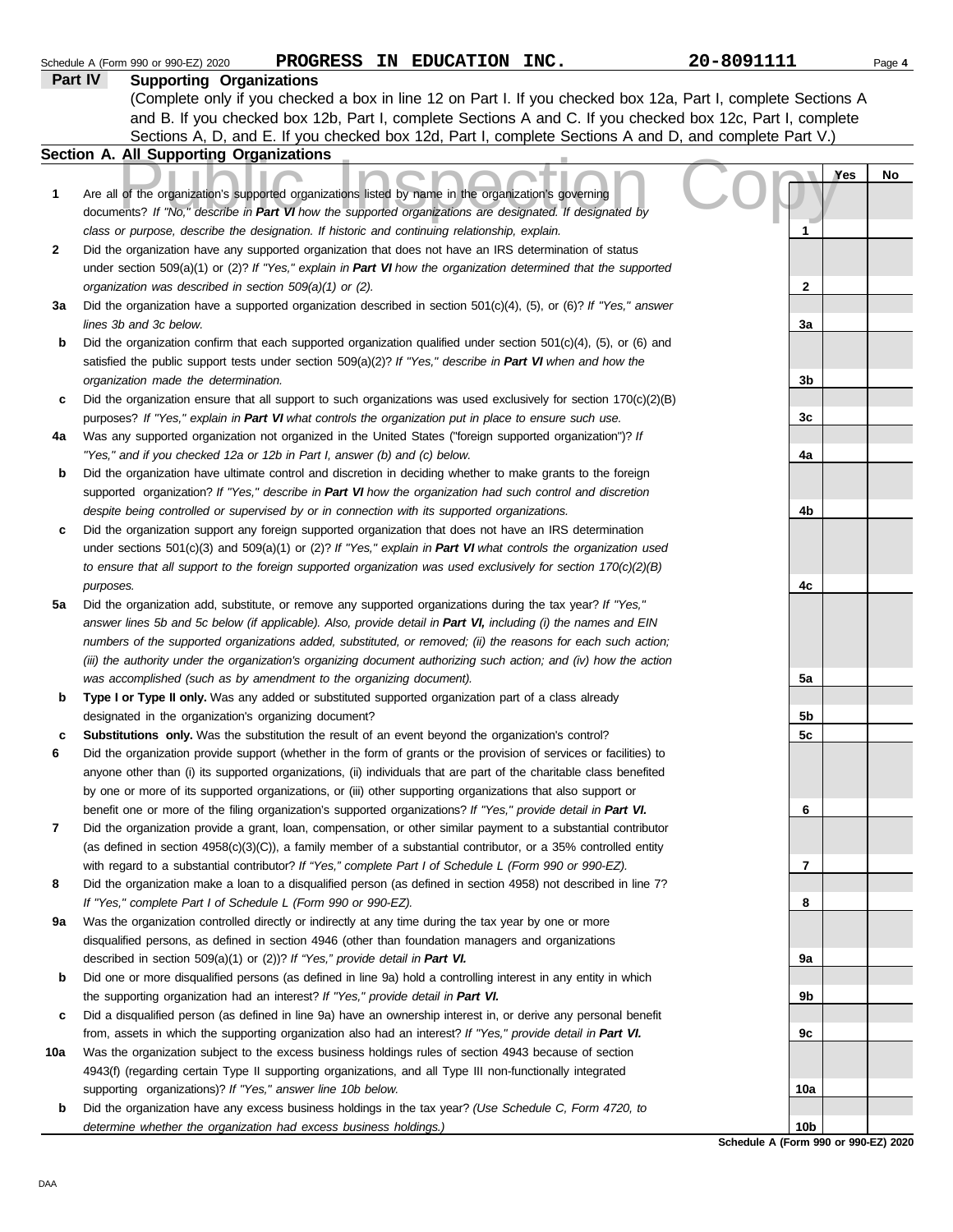|     | PROGRESS IN EDUCATION INC.<br>Schedule A (Form 990 or 990-EZ) 2020                                                    | 20-8091111     | Page 4 |
|-----|-----------------------------------------------------------------------------------------------------------------------|----------------|--------|
|     | Part IV<br><b>Supporting Organizations</b>                                                                            |                |        |
|     | (Complete only if you checked a box in line 12 on Part I. If you checked box 12a, Part I, complete Sections A         |                |        |
|     | and B. If you checked box 12b, Part I, complete Sections A and C. If you checked box 12c, Part I, complete            |                |        |
|     | Sections A, D, and E. If you checked box 12d, Part I, complete Sections A and D, and complete Part V.)                |                |        |
|     | Section A. All Supporting Organizations                                                                               |                |        |
|     |                                                                                                                       | Yes            | No     |
| 1   | Are all of the organization's supported organizations listed by name in the organization's governing                  |                |        |
|     | documents? If "No," describe in Part VI how the supported organizations are designated. If designated by              |                |        |
|     | class or purpose, describe the designation. If historic and continuing relationship, explain.                         | 1              |        |
| 2   | Did the organization have any supported organization that does not have an IRS determination of status                |                |        |
|     | under section 509(a)(1) or (2)? If "Yes," explain in Part VI how the organization determined that the supported       |                |        |
|     | organization was described in section 509(a)(1) or (2).                                                               | $\mathbf{2}$   |        |
| За  | Did the organization have a supported organization described in section $501(c)(4)$ , (5), or (6)? If "Yes," answer   |                |        |
|     | lines 3b and 3c below.                                                                                                | 3a             |        |
| b   | Did the organization confirm that each supported organization qualified under section $501(c)(4)$ , (5), or (6) and   |                |        |
|     | satisfied the public support tests under section 509(a)(2)? If "Yes," describe in Part VI when and how the            |                |        |
|     | organization made the determination.                                                                                  | 3b             |        |
| c   | Did the organization ensure that all support to such organizations was used exclusively for section $170(c)(2)(B)$    |                |        |
|     | purposes? If "Yes," explain in Part VI what controls the organization put in place to ensure such use.                | 3c             |        |
| 4a  | Was any supported organization not organized in the United States ("foreign supported organization")? If              |                |        |
|     | "Yes," and if you checked 12a or 12b in Part I, answer (b) and (c) below.                                             | 4a             |        |
| b   | Did the organization have ultimate control and discretion in deciding whether to make grants to the foreign           |                |        |
|     | supported organization? If "Yes," describe in Part VI how the organization had such control and discretion            |                |        |
|     | despite being controlled or supervised by or in connection with its supported organizations.                          | 4b             |        |
| c   | Did the organization support any foreign supported organization that does not have an IRS determination               |                |        |
|     | under sections $501(c)(3)$ and $509(a)(1)$ or $(2)?$ If "Yes," explain in Part VI what controls the organization used |                |        |
|     | to ensure that all support to the foreign supported organization was used exclusively for section $170(c)(2)(B)$      |                |        |
|     | purposes.                                                                                                             | 4c             |        |
| 5a  | Did the organization add, substitute, or remove any supported organizations during the tax year? If "Yes,"            |                |        |
|     | answer lines 5b and 5c below (if applicable). Also, provide detail in Part VI, including (i) the names and EIN        |                |        |
|     | numbers of the supported organizations added, substituted, or removed; (ii) the reasons for each such action;         |                |        |
|     | (iii) the authority under the organization's organizing document authorizing such action; and (iv) how the action     |                |        |
|     | was accomplished (such as by amendment to the organizing document).                                                   | 5a             |        |
| b   | Type I or Type II only. Was any added or substituted supported organization part of a class already                   |                |        |
|     | designated in the organization's organizing document?                                                                 | 5 <sub>b</sub> |        |
| c   | Substitutions only. Was the substitution the result of an event beyond the organization's control?                    | 5c             |        |
|     | Did the organization provide support (whether in the form of grants or the provision of services or facilities) to    |                |        |
|     | anyone other than (i) its supported organizations, (ii) individuals that are part of the charitable class benefited   |                |        |
|     | by one or more of its supported organizations, or (iii) other supporting organizations that also support or           |                |        |
|     | benefit one or more of the filing organization's supported organizations? If "Yes," provide detail in Part VI.        | 6              |        |
| 7   | Did the organization provide a grant, loan, compensation, or other similar payment to a substantial contributor       |                |        |
|     | (as defined in section $4958(c)(3)(C)$ ), a family member of a substantial contributor, or a 35% controlled entity    |                |        |
|     | with regard to a substantial contributor? If "Yes," complete Part I of Schedule L (Form 990 or 990-EZ).               | 7              |        |
| 8   | Did the organization make a loan to a disqualified person (as defined in section 4958) not described in line 7?       |                |        |
|     | If "Yes," complete Part I of Schedule L (Form 990 or 990-EZ).                                                         | 8              |        |
| 9а  | Was the organization controlled directly or indirectly at any time during the tax year by one or more                 |                |        |
|     | disqualified persons, as defined in section 4946 (other than foundation managers and organizations                    |                |        |
|     | described in section 509(a)(1) or (2))? If "Yes," provide detail in Part VI.                                          | 9а             |        |
| b   | Did one or more disqualified persons (as defined in line 9a) hold a controlling interest in any entity in which       |                |        |
|     | the supporting organization had an interest? If "Yes," provide detail in Part VI.                                     | 9b             |        |
| c   | Did a disqualified person (as defined in line 9a) have an ownership interest in, or derive any personal benefit       |                |        |
|     | from, assets in which the supporting organization also had an interest? If "Yes," provide detail in Part VI.          | 9c             |        |
| 10a | Was the organization subject to the excess business holdings rules of section 4943 because of section                 |                |        |
|     | 4943(f) (regarding certain Type II supporting organizations, and all Type III non-functionally integrated             |                |        |
|     | supporting organizations)? If "Yes," answer line 10b below.                                                           | 10a            |        |
| b   | Did the organization have any excess business holdings in the tax year? (Use Schedule C, Form 4720, to                |                |        |
|     | determine whether the organization had excess business holdings.)                                                     | 10b            |        |

**Schedule A (Form 990 or 990-EZ) 2020**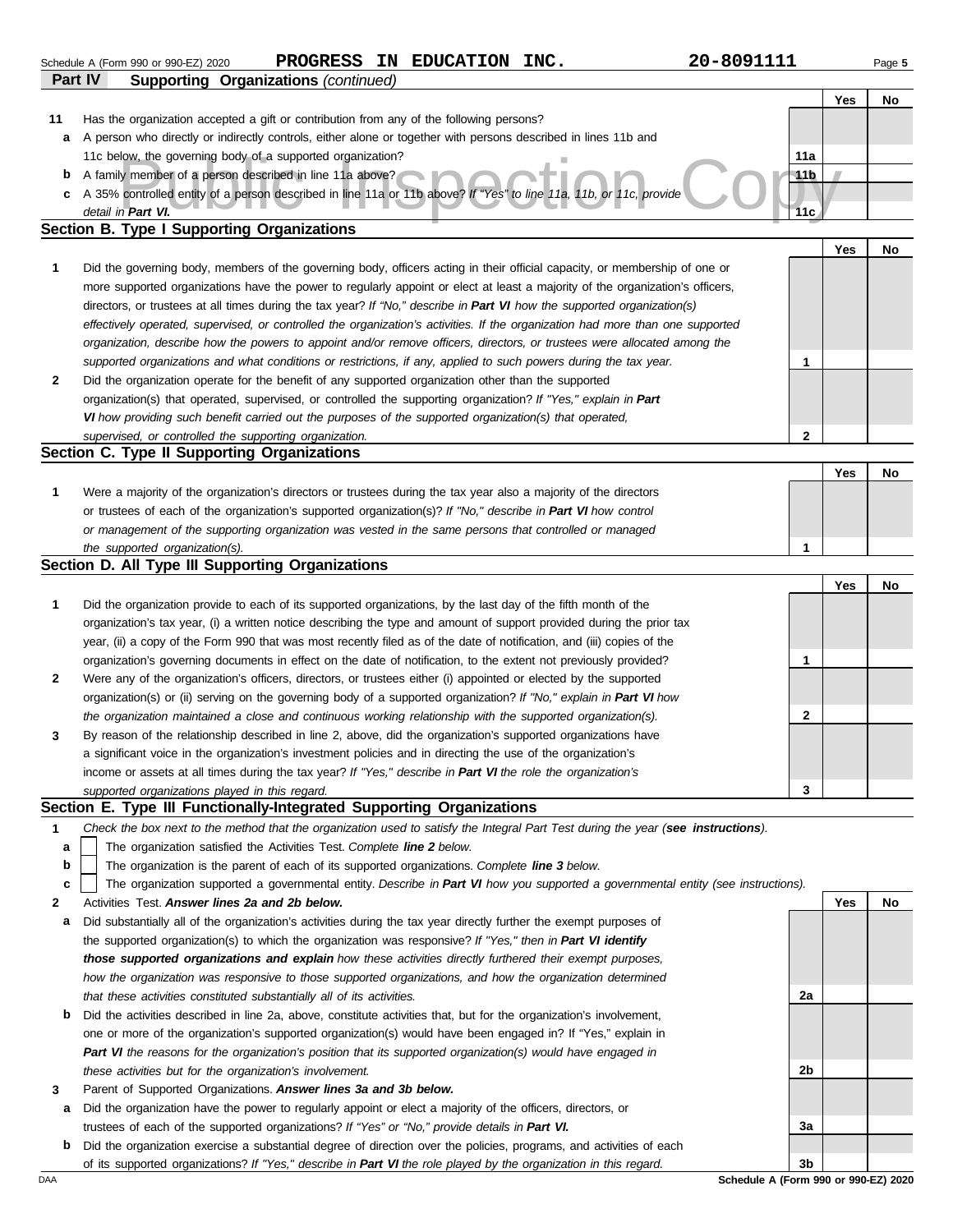|    |                                                                                                                                   |              | Yes | No |
|----|-----------------------------------------------------------------------------------------------------------------------------------|--------------|-----|----|
| 11 | Has the organization accepted a gift or contribution from any of the following persons?                                           |              |     |    |
| а  | A person who directly or indirectly controls, either alone or together with persons described in lines 11b and                    |              |     |    |
|    | 11c below, the governing body of a supported organization?                                                                        | 11a          |     |    |
| b  | A family member of a person described in line 11a above?                                                                          | 11b          |     |    |
| c  | A 35% controlled entity of a person described in line 11a or 11b above? If "Yes" to line 11a, 11b, or 11c, provide                |              |     |    |
|    | detail in Part VI.                                                                                                                | 11c          |     |    |
|    | <b>Section B. Type I Supporting Organizations</b>                                                                                 |              |     |    |
|    |                                                                                                                                   |              | Yes | No |
| 1  | Did the governing body, members of the governing body, officers acting in their official capacity, or membership of one or        |              |     |    |
|    | more supported organizations have the power to regularly appoint or elect at least a majority of the organization's officers,     |              |     |    |
|    | directors, or trustees at all times during the tax year? If "No," describe in Part VI how the supported organization(s)           |              |     |    |
|    | effectively operated, supervised, or controlled the organization's activities. If the organization had more than one supported    |              |     |    |
|    | organization, describe how the powers to appoint and/or remove officers, directors, or trustees were allocated among the          |              |     |    |
|    | supported organizations and what conditions or restrictions, if any, applied to such powers during the tax year.                  | 1            |     |    |
| 2  | Did the organization operate for the benefit of any supported organization other than the supported                               |              |     |    |
|    | organization(s) that operated, supervised, or controlled the supporting organization? If "Yes," explain in Part                   |              |     |    |
|    | VI how providing such benefit carried out the purposes of the supported organization(s) that operated,                            |              |     |    |
|    |                                                                                                                                   | $\mathbf{2}$ |     |    |
|    | supervised, or controlled the supporting organization.<br>Section C. Type II Supporting Organizations                             |              |     |    |
|    |                                                                                                                                   |              |     |    |
|    |                                                                                                                                   |              | Yes | No |
| 1  | Were a majority of the organization's directors or trustees during the tax year also a majority of the directors                  |              |     |    |
|    | or trustees of each of the organization's supported organization(s)? If "No," describe in Part VI how control                     |              |     |    |
|    | or management of the supporting organization was vested in the same persons that controlled or managed                            |              |     |    |
|    | the supported organization(s).                                                                                                    | 1            |     |    |
|    | Section D. All Type III Supporting Organizations                                                                                  |              |     |    |
|    |                                                                                                                                   |              | Yes | No |
| 1  | Did the organization provide to each of its supported organizations, by the last day of the fifth month of the                    |              |     |    |
|    | organization's tax year, (i) a written notice describing the type and amount of support provided during the prior tax             |              |     |    |
|    | year, (ii) a copy of the Form 990 that was most recently filed as of the date of notification, and (iii) copies of the            |              |     |    |
|    | organization's governing documents in effect on the date of notification, to the extent not previously provided?                  | 1            |     |    |
| 2  | Were any of the organization's officers, directors, or trustees either (i) appointed or elected by the supported                  |              |     |    |
|    | organization(s) or (ii) serving on the governing body of a supported organization? If "No," explain in Part VI how                |              |     |    |
|    | the organization maintained a close and continuous working relationship with the supported organization(s).                       | 2            |     |    |
| 3  | By reason of the relationship described in line 2, above, did the organization's supported organizations have                     |              |     |    |
|    | a significant voice in the organization's investment policies and in directing the use of the organization's                      |              |     |    |
|    | income or assets at all times during the tax year? If "Yes," describe in Part VI the role the organization's                      |              |     |    |
|    | supported organizations played in this regard.                                                                                    | 3            |     |    |
|    | Section E. Type III Functionally-Integrated Supporting Organizations                                                              |              |     |    |
| 1  | Check the box next to the method that the organization used to satisfy the Integral Part Test during the year (see instructions). |              |     |    |
| a  | The organization satisfied the Activities Test. Complete line 2 below.                                                            |              |     |    |
| b  | The organization is the parent of each of its supported organizations. Complete line 3 below.                                     |              |     |    |
| c  | The organization supported a governmental entity. Describe in Part VI how you supported a governmental entity (see instructions). |              |     |    |
| 2  | Activities Test. Answer lines 2a and 2b below.                                                                                    |              | Yes | No |
| а  | Did substantially all of the organization's activities during the tax year directly further the exempt purposes of                |              |     |    |
|    | the supported organization(s) to which the organization was responsive? If "Yes," then in Part VI identify                        |              |     |    |
|    | those supported organizations and explain how these activities directly furthered their exempt purposes,                          |              |     |    |
|    | how the organization was responsive to those supported organizations, and how the organization determined                         |              |     |    |
|    | that these activities constituted substantially all of its activities.                                                            | 2a           |     |    |
| b  | Did the activities described in line 2a, above, constitute activities that, but for the organization's involvement,               |              |     |    |
|    | one or more of the organization's supported organization(s) would have been engaged in? If "Yes," explain in                      |              |     |    |
|    |                                                                                                                                   |              |     |    |
|    | Part VI the reasons for the organization's position that its supported organization(s) would have engaged in                      |              |     |    |
|    | these activities but for the organization's involvement.                                                                          | 2b           |     |    |
| 3  | Parent of Supported Organizations. Answer lines 3a and 3b below.                                                                  |              |     |    |
| а  | Did the organization have the power to regularly appoint or elect a majority of the officers, directors, or                       |              |     |    |
|    | trustees of each of the supported organizations? If "Yes" or "No," provide details in Part VI.                                    | За           |     |    |
| b  | Did the organization exercise a substantial degree of direction over the policies, programs, and activities of each               |              |     |    |
|    | of its supported organizations? If "Yes," describe in Part VI the role played by the organization in this regard.                 | 3b           |     |    |

|         | Schedule A (Form 990 or 990-EZ) 2020 | <b>PROGRESS</b>                  | ΙN | <b>EDUCATION</b> | INC. | 20-8091111 | Page 5 |
|---------|--------------------------------------|----------------------------------|----|------------------|------|------------|--------|
| Part IV | Supporting                           | <b>Organizations</b> (continued) |    |                  |      |            |        |
|         |                                      |                                  |    |                  |      |            |        |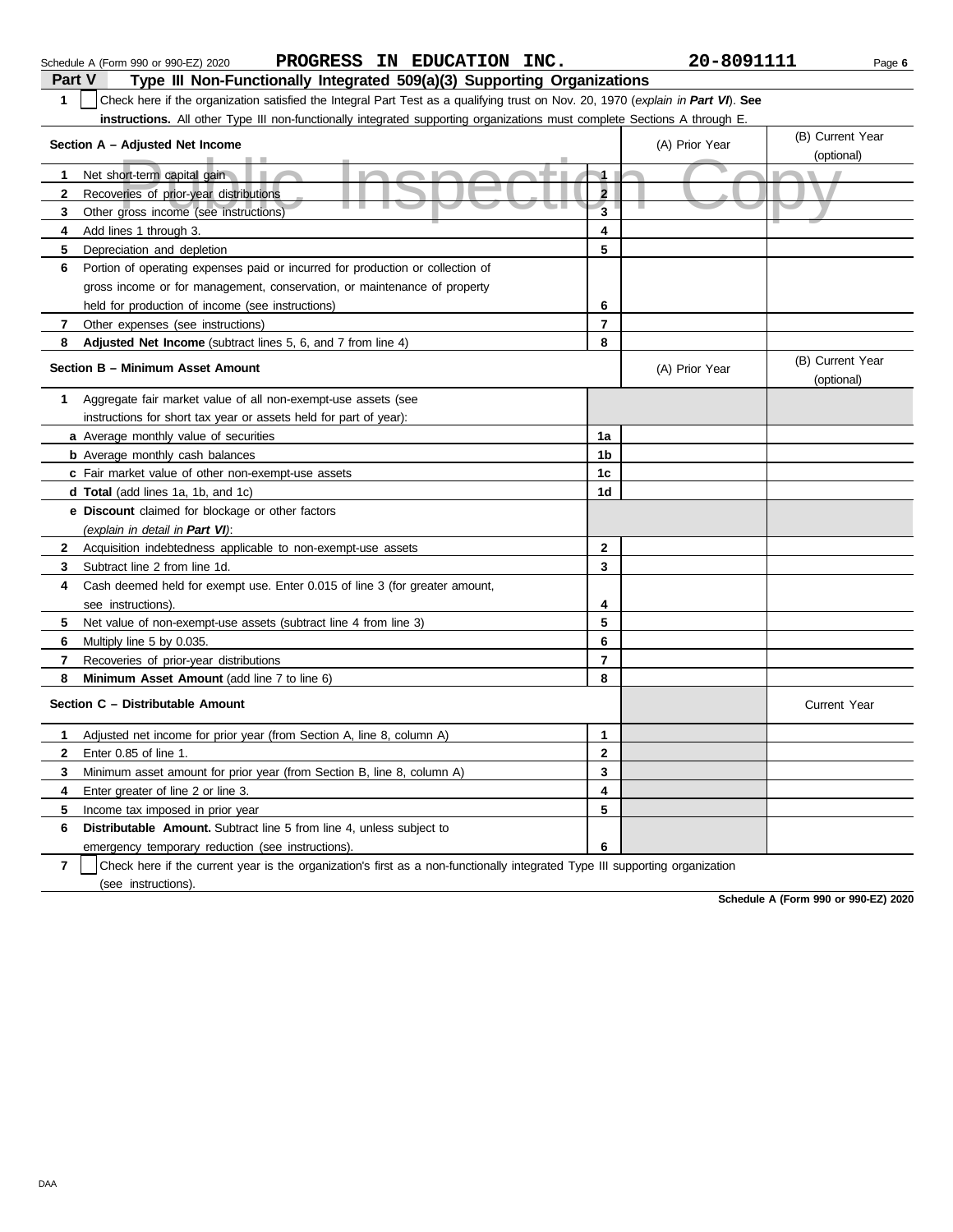|               | PROGRESS IN EDUCATION INC.<br>Schedule A (Form 990 or 990-EZ) 2020                                                               |                         | 20-8091111     |                                | Page 6 |
|---------------|----------------------------------------------------------------------------------------------------------------------------------|-------------------------|----------------|--------------------------------|--------|
| <b>Part V</b> | Type III Non-Functionally Integrated 509(a)(3) Supporting Organizations                                                          |                         |                |                                |        |
| $\mathbf{1}$  | Check here if the organization satisfied the Integral Part Test as a qualifying trust on Nov. 20, 1970 (explain in Part VI). See |                         |                |                                |        |
|               | <b>instructions.</b> All other Type III non-functionally integrated supporting organizations must complete Sections A through E. |                         |                |                                |        |
|               | Section A - Adjusted Net Income                                                                                                  |                         | (A) Prior Year | (B) Current Year               |        |
|               |                                                                                                                                  |                         |                | (optional)                     |        |
| 1             | Net short-term capital gain<br><b>M</b>                                                                                          | $\blacksquare$          |                |                                |        |
| 2             | Recoveries of prior-year distributions                                                                                           | $\overline{\mathbf{2}}$ |                |                                |        |
| 3             | Other gross income (see instructions)                                                                                            | $\overline{\mathbf{3}}$ |                |                                |        |
| 4             | Add lines 1 through 3.                                                                                                           | 4                       |                |                                |        |
| 5             | Depreciation and depletion                                                                                                       | 5                       |                |                                |        |
| 6             | Portion of operating expenses paid or incurred for production or collection of                                                   |                         |                |                                |        |
|               | gross income or for management, conservation, or maintenance of property                                                         |                         |                |                                |        |
|               | held for production of income (see instructions)                                                                                 | 6                       |                |                                |        |
| 7             | Other expenses (see instructions)                                                                                                | $\overline{7}$          |                |                                |        |
| 8             | <b>Adjusted Net Income</b> (subtract lines 5, 6, and 7 from line 4)                                                              | 8                       |                |                                |        |
|               | Section B - Minimum Asset Amount                                                                                                 |                         | (A) Prior Year | (B) Current Year<br>(optional) |        |
| 1             | Aggregate fair market value of all non-exempt-use assets (see                                                                    |                         |                |                                |        |
|               | instructions for short tax year or assets held for part of year):                                                                |                         |                |                                |        |
|               | a Average monthly value of securities                                                                                            | 1a                      |                |                                |        |
|               | <b>b</b> Average monthly cash balances                                                                                           | 1b                      |                |                                |        |
|               | c Fair market value of other non-exempt-use assets                                                                               | 1c                      |                |                                |        |
|               | <b>d Total</b> (add lines 1a, 1b, and 1c)                                                                                        | 1d                      |                |                                |        |
|               | <b>e</b> Discount claimed for blockage or other factors                                                                          |                         |                |                                |        |
|               | (explain in detail in Part VI):                                                                                                  |                         |                |                                |        |
|               | 2 Acquisition indebtedness applicable to non-exempt-use assets                                                                   | $\mathbf{2}$            |                |                                |        |
| 3             | Subtract line 2 from line 1d.                                                                                                    | 3                       |                |                                |        |
| 4             | Cash deemed held for exempt use. Enter 0.015 of line 3 (for greater amount,                                                      |                         |                |                                |        |
|               | see instructions).                                                                                                               | 4                       |                |                                |        |
| 5             | Net value of non-exempt-use assets (subtract line 4 from line 3)                                                                 | 5                       |                |                                |        |
| 6             | Multiply line 5 by 0.035.                                                                                                        | 6                       |                |                                |        |
| 7             | Recoveries of prior-year distributions                                                                                           | $\overline{\mathbf{r}}$ |                |                                |        |
| 8             | Minimum Asset Amount (add line 7 to line 6)                                                                                      | 8                       |                |                                |        |
|               | Section C - Distributable Amount                                                                                                 |                         |                | <b>Current Year</b>            |        |
| 1             | Adjusted net income for prior year (from Section A, line 8, column A)                                                            | 1                       |                |                                |        |
| 2             | Enter 0.85 of line 1.                                                                                                            | 2                       |                |                                |        |
| 3             | Minimum asset amount for prior year (from Section B, line 8, column A)                                                           | 3                       |                |                                |        |
| 4             | Enter greater of line 2 or line 3.                                                                                               | 4                       |                |                                |        |
| 5             | Income tax imposed in prior year                                                                                                 | 5                       |                |                                |        |
| 6             | <b>Distributable Amount.</b> Subtract line 5 from line 4, unless subject to                                                      |                         |                |                                |        |
|               | emergency temporary reduction (see instructions).                                                                                | 6                       |                |                                |        |

emergency temporary reduction (see instructions).

**7** (see instructions). Check here if the current year is the organization's first as a non-functionally integrated Type III supporting organization

**Schedule A (Form 990 or 990-EZ) 2020**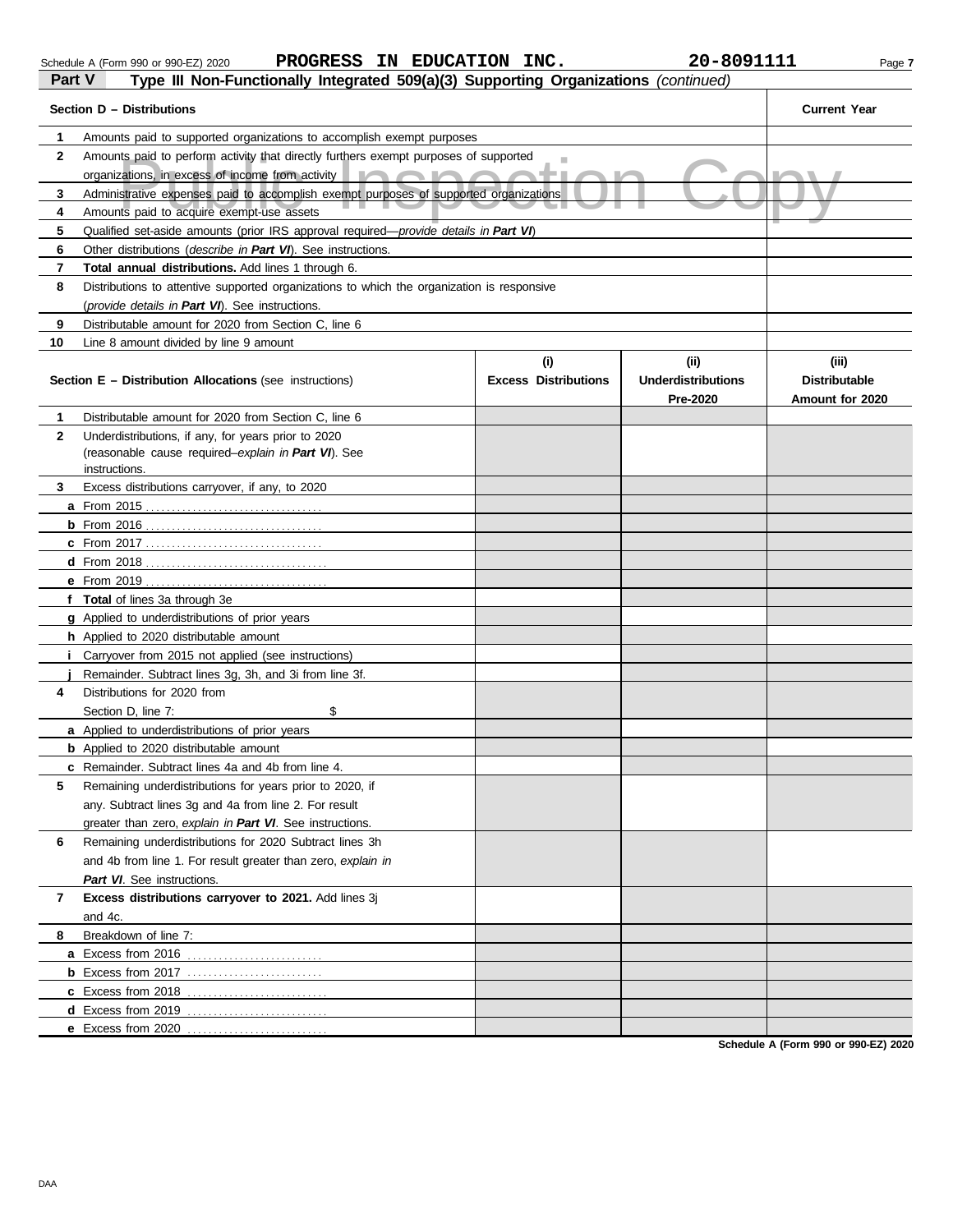| Part V | Type III Non-Fu |
|--------|-----------------|

|        | Schedule A (Form 990 or 990-EZ) 2020                                                |  | PROGRESS IN EDUCATION INC. | 20-8091111 | Page 7 |
|--------|-------------------------------------------------------------------------------------|--|----------------------------|------------|--------|
| Part V | Type III Non-Functionally Integrated 509(a)(3) Supporting Organizations (continued) |  |                            |            |        |
|        |                                                                                     |  |                            |            |        |

|                | Section D - Distributions                                                                  | <b>Current Year</b>         |                           |                      |
|----------------|--------------------------------------------------------------------------------------------|-----------------------------|---------------------------|----------------------|
| 1              | Amounts paid to supported organizations to accomplish exempt purposes                      |                             |                           |                      |
| $\mathbf{2}$   | Amounts paid to perform activity that directly furthers exempt purposes of supported       | п                           |                           |                      |
|                | organizations, in excess of income from activity                                           | . .                         |                           |                      |
| 3              | Administrative expenses paid to accomplish exempt purposes of supported organizations      |                             |                           |                      |
| 4              | Amounts paid to acquire exempt-use assets                                                  |                             |                           |                      |
| 5              | Qualified set-aside amounts (prior IRS approval required-provide details in Part VI)       |                             |                           |                      |
| 6              | Other distributions (describe in Part VI). See instructions.                               |                             |                           |                      |
| 7              | <b>Total annual distributions.</b> Add lines 1 through 6.                                  |                             |                           |                      |
| 8              | Distributions to attentive supported organizations to which the organization is responsive |                             |                           |                      |
|                | (provide details in Part VI). See instructions.                                            |                             |                           |                      |
| 9              | Distributable amount for 2020 from Section C, line 6                                       |                             |                           |                      |
| 10             | Line 8 amount divided by line 9 amount                                                     |                             |                           |                      |
|                |                                                                                            | (i)                         | (iii)                     | (iii)                |
|                | <b>Section E - Distribution Allocations (see instructions)</b>                             | <b>Excess Distributions</b> | <b>Underdistributions</b> | <b>Distributable</b> |
|                |                                                                                            |                             | Pre-2020                  | Amount for 2020      |
| 1              | Distributable amount for 2020 from Section C, line 6                                       |                             |                           |                      |
| $\mathbf{2}$   | Underdistributions, if any, for years prior to 2020                                        |                             |                           |                      |
|                | (reasonable cause required-explain in Part VI). See                                        |                             |                           |                      |
| 3              | instructions.<br>Excess distributions carryover, if any, to 2020                           |                             |                           |                      |
|                |                                                                                            |                             |                           |                      |
|                | <b>b</b> From $2016$<br>. <u>.</u> .                                                       |                             |                           |                      |
|                |                                                                                            |                             |                           |                      |
|                | $d$ From 2018                                                                              |                             |                           |                      |
|                | <b>e</b> From 2019                                                                         |                             |                           |                      |
|                | f Total of lines 3a through 3e                                                             |                             |                           |                      |
|                | <b>g</b> Applied to underdistributions of prior years                                      |                             |                           |                      |
|                | <b>h</b> Applied to 2020 distributable amount                                              |                             |                           |                      |
|                | Carryover from 2015 not applied (see instructions)                                         |                             |                           |                      |
|                | Remainder. Subtract lines 3g, 3h, and 3i from line 3f.                                     |                             |                           |                      |
| 4              | Distributions for 2020 from                                                                |                             |                           |                      |
|                | \$<br>Section D, line 7:                                                                   |                             |                           |                      |
|                | <b>a</b> Applied to underdistributions of prior years                                      |                             |                           |                      |
|                | <b>b</b> Applied to 2020 distributable amount                                              |                             |                           |                      |
|                | <b>c</b> Remainder. Subtract lines 4a and 4b from line 4.                                  |                             |                           |                      |
| 5              | Remaining underdistributions for years prior to 2020, if                                   |                             |                           |                      |
|                | any. Subtract lines 3g and 4a from line 2. For result                                      |                             |                           |                      |
|                | greater than zero, explain in Part VI. See instructions.                                   |                             |                           |                      |
| 6              | Remaining underdistributions for 2020 Subtract lines 3h                                    |                             |                           |                      |
|                | and 4b from line 1. For result greater than zero, explain in                               |                             |                           |                      |
|                | Part VI. See instructions.                                                                 |                             |                           |                      |
| $\overline{7}$ | Excess distributions carryover to 2021. Add lines 3j                                       |                             |                           |                      |
|                | and 4c.                                                                                    |                             |                           |                      |
| 8              | Breakdown of line 7:                                                                       |                             |                           |                      |
|                | a Excess from 2016                                                                         |                             |                           |                      |
|                |                                                                                            |                             |                           |                      |
|                | c Excess from 2018                                                                         |                             |                           |                      |
|                | <b>d</b> Excess from 2019                                                                  |                             |                           |                      |
|                | e Excess from 2020                                                                         |                             |                           |                      |

**Schedule A (Form 990 or 990-EZ) 2020**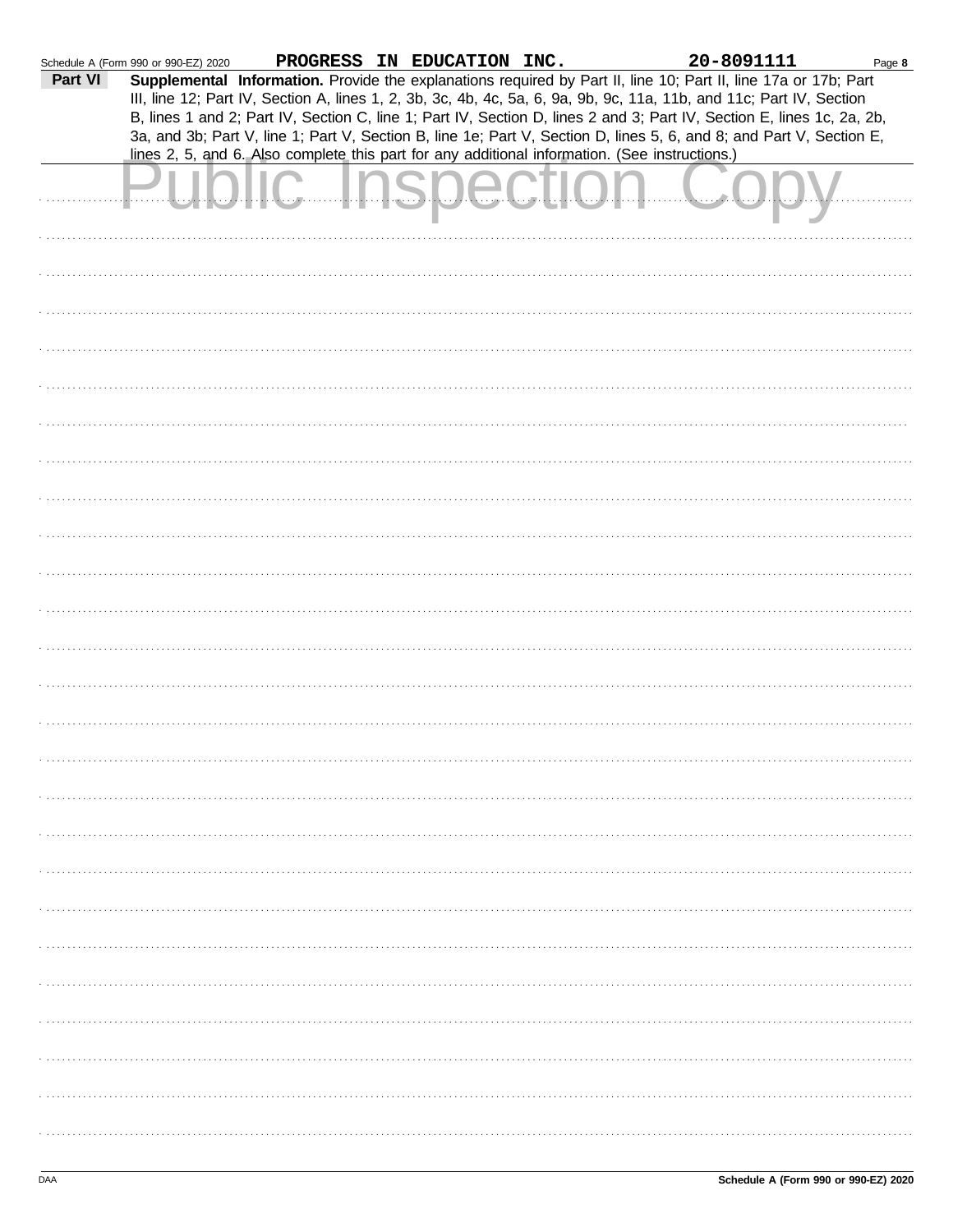| Part VI | Schedule A (Form 990 or 990-EZ) 2020 | lines 2, 5, and 6. Also complete this part for any additional information. (See instructions.) | PROGRESS IN EDUCATION INC. |  | 20-8091111<br>Supplemental Information. Provide the explanations required by Part II, line 10; Part II, line 17a or 17b; Part<br>III, line 12; Part IV, Section A, lines 1, 2, 3b, 3c, 4b, 4c, 5a, 6, 9a, 9b, 9c, 11a, 11b, and 11c; Part IV, Section<br>B, lines 1 and 2; Part IV, Section C, line 1; Part IV, Section D, lines 2 and 3; Part IV, Section E, lines 1c, 2a, 2b,<br>3a, and 3b; Part V, line 1; Part V, Section B, line 1e; Part V, Section D, lines 5, 6, and 8; and Part V, Section E, | Page 8 |
|---------|--------------------------------------|------------------------------------------------------------------------------------------------|----------------------------|--|---------------------------------------------------------------------------------------------------------------------------------------------------------------------------------------------------------------------------------------------------------------------------------------------------------------------------------------------------------------------------------------------------------------------------------------------------------------------------------------------------------|--------|
|         |                                      |                                                                                                |                            |  |                                                                                                                                                                                                                                                                                                                                                                                                                                                                                                         |        |
|         |                                      |                                                                                                |                            |  |                                                                                                                                                                                                                                                                                                                                                                                                                                                                                                         |        |
|         |                                      |                                                                                                |                            |  |                                                                                                                                                                                                                                                                                                                                                                                                                                                                                                         |        |
|         |                                      |                                                                                                |                            |  |                                                                                                                                                                                                                                                                                                                                                                                                                                                                                                         |        |
|         |                                      |                                                                                                |                            |  |                                                                                                                                                                                                                                                                                                                                                                                                                                                                                                         |        |
|         |                                      |                                                                                                |                            |  |                                                                                                                                                                                                                                                                                                                                                                                                                                                                                                         |        |
|         |                                      |                                                                                                |                            |  |                                                                                                                                                                                                                                                                                                                                                                                                                                                                                                         |        |
|         |                                      |                                                                                                |                            |  |                                                                                                                                                                                                                                                                                                                                                                                                                                                                                                         |        |
|         |                                      |                                                                                                |                            |  |                                                                                                                                                                                                                                                                                                                                                                                                                                                                                                         |        |
|         |                                      |                                                                                                |                            |  |                                                                                                                                                                                                                                                                                                                                                                                                                                                                                                         |        |
|         |                                      |                                                                                                |                            |  |                                                                                                                                                                                                                                                                                                                                                                                                                                                                                                         |        |
|         |                                      |                                                                                                |                            |  |                                                                                                                                                                                                                                                                                                                                                                                                                                                                                                         |        |
|         |                                      |                                                                                                |                            |  |                                                                                                                                                                                                                                                                                                                                                                                                                                                                                                         |        |
|         |                                      |                                                                                                |                            |  |                                                                                                                                                                                                                                                                                                                                                                                                                                                                                                         |        |
|         |                                      |                                                                                                |                            |  |                                                                                                                                                                                                                                                                                                                                                                                                                                                                                                         |        |
|         |                                      |                                                                                                |                            |  |                                                                                                                                                                                                                                                                                                                                                                                                                                                                                                         |        |
|         |                                      |                                                                                                |                            |  |                                                                                                                                                                                                                                                                                                                                                                                                                                                                                                         |        |
|         |                                      |                                                                                                |                            |  |                                                                                                                                                                                                                                                                                                                                                                                                                                                                                                         |        |
|         |                                      |                                                                                                |                            |  |                                                                                                                                                                                                                                                                                                                                                                                                                                                                                                         |        |
|         |                                      |                                                                                                |                            |  |                                                                                                                                                                                                                                                                                                                                                                                                                                                                                                         |        |
|         |                                      |                                                                                                |                            |  |                                                                                                                                                                                                                                                                                                                                                                                                                                                                                                         |        |
|         |                                      |                                                                                                |                            |  |                                                                                                                                                                                                                                                                                                                                                                                                                                                                                                         |        |
|         |                                      |                                                                                                |                            |  |                                                                                                                                                                                                                                                                                                                                                                                                                                                                                                         |        |
|         |                                      |                                                                                                |                            |  |                                                                                                                                                                                                                                                                                                                                                                                                                                                                                                         |        |
|         |                                      |                                                                                                |                            |  |                                                                                                                                                                                                                                                                                                                                                                                                                                                                                                         |        |
|         |                                      |                                                                                                |                            |  |                                                                                                                                                                                                                                                                                                                                                                                                                                                                                                         |        |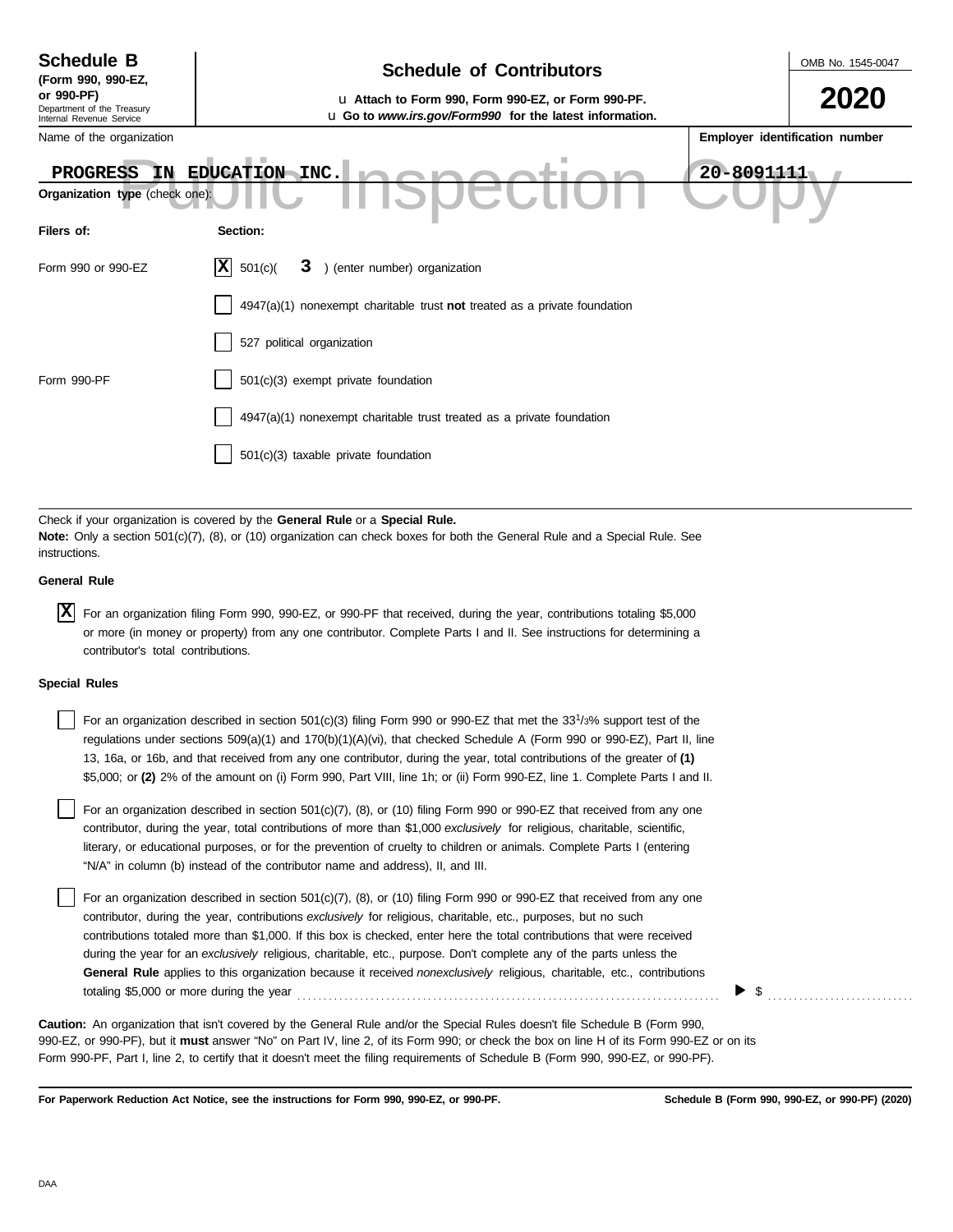| <b>Schedule B</b><br>(Form 990, 990-EZ,                              | <b>Schedule of Contributors</b>                                                                               |            | OMB No. 1545-0047              |
|----------------------------------------------------------------------|---------------------------------------------------------------------------------------------------------------|------------|--------------------------------|
| or 990-PF)<br>Department of the Treasury<br>Internal Revenue Service | u Attach to Form 990, Form 990-EZ, or Form 990-PF.<br>u Go to www.irs.gov/Form990 for the latest information. |            | 2020                           |
| Name of the organization                                             |                                                                                                               |            | Employer identification number |
| <b>PROGRESS</b><br>IN.<br>Organization type (check one):             | EDUCATION INC.                                                                                                | 20-8091111 |                                |
| Filers of:                                                           | Section:                                                                                                      |            |                                |
| Form 990 or 990-EZ                                                   | $\vert \mathbf{X} \vert$<br>) (enter number) organization<br>501(c)<br>3                                      |            |                                |
|                                                                      | $4947(a)(1)$ nonexempt charitable trust not treated as a private foundation                                   |            |                                |
|                                                                      | 527 political organization                                                                                    |            |                                |
| Form 990-PF                                                          | 501(c)(3) exempt private foundation                                                                           |            |                                |
|                                                                      | $4947(a)(1)$ nonexempt charitable trust treated as a private foundation                                       |            |                                |
|                                                                      | 501(c)(3) taxable private foundation                                                                          |            |                                |
|                                                                      |                                                                                                               |            |                                |

Check if your organization is covered by the **General Rule** or a **Special Rule. Note:** Only a section 501(c)(7), (8), or (10) organization can check boxes for both the General Rule and a Special Rule. See instructions.

## **General Rule**

For an organization filing Form 990, 990-EZ, or 990-PF that received, during the year, contributions totaling \$5,000 **X**or more (in money or property) from any one contributor. Complete Parts I and II. See instructions for determining a contributor's total contributions.

### **Special Rules**

| For an organization described in section 501(c)(3) filing Form 990 or 990-EZ that met the 33 <sup>1</sup> /3% support test of the |
|-----------------------------------------------------------------------------------------------------------------------------------|
| regulations under sections 509(a)(1) and 170(b)(1)(A)(vi), that checked Schedule A (Form 990 or 990-EZ), Part II, line            |
| 13, 16a, or 16b, and that received from any one contributor, during the year, total contributions of the greater of (1)           |
| \$5,000; or (2) 2% of the amount on (i) Form 990, Part VIII, line 1h; or (ii) Form 990-EZ, line 1. Complete Parts I and II.       |

literary, or educational purposes, or for the prevention of cruelty to children or animals. Complete Parts I (entering For an organization described in section 501(c)(7), (8), or (10) filing Form 990 or 990-EZ that received from any one contributor, during the year, total contributions of more than \$1,000 *exclusively* for religious, charitable, scientific, "N/A" in column (b) instead of the contributor name and address), II, and III.

For an organization described in section 501(c)(7), (8), or (10) filing Form 990 or 990-EZ that received from any one contributor, during the year, contributions *exclusively* for religious, charitable, etc., purposes, but no such contributions totaled more than \$1,000. If this box is checked, enter here the total contributions that were received during the year for an *exclusively* religious, charitable, etc., purpose. Don't complete any of the parts unless the **General Rule** applies to this organization because it received *nonexclusively* religious, charitable, etc., contributions totaling \$5,000 or more during the year . . . . . . . . . . . . . . . . . . . . . . . . . . . . . . . . . . . . . . . . . . . . . . . . . . . . . . . . . . . . . . . . . . . . . . . . . . . . . . . . .

990-EZ, or 990-PF), but it **must** answer "No" on Part IV, line 2, of its Form 990; or check the box on line H of its Form 990-EZ or on its Form 990-PF, Part I, line 2, to certify that it doesn't meet the filing requirements of Schedule B (Form 990, 990-EZ, or 990-PF). **Caution:** An organization that isn't covered by the General Rule and/or the Special Rules doesn't file Schedule B (Form 990,

**For Paperwork Reduction Act Notice, see the instructions for Form 990, 990-EZ, or 990-PF.**

 $\blacktriangleright$  \$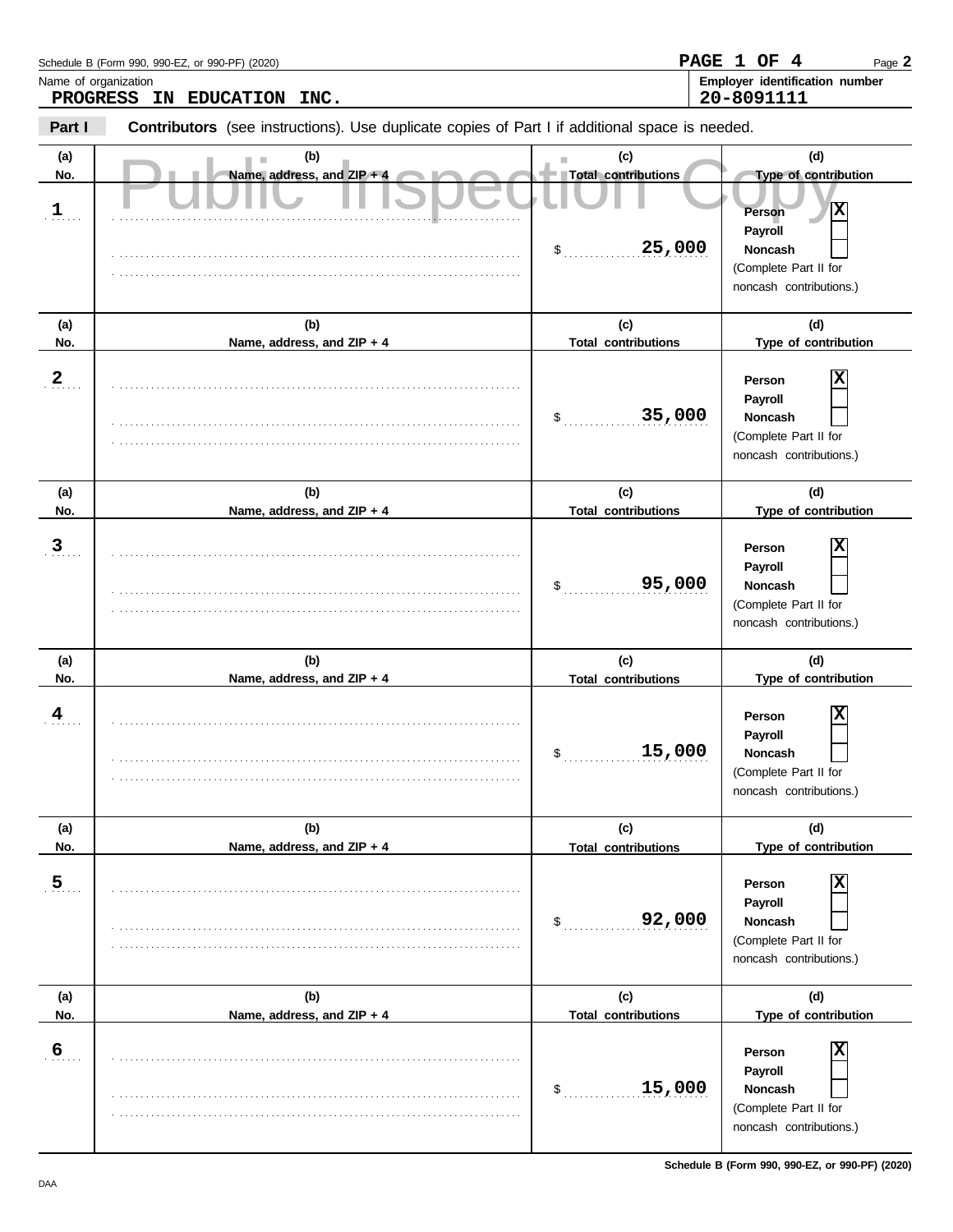| Schedule B (Form 990, 990-EZ, or 990-PF) (2020) | PAGE 1 OF 4 |            | Page 2                                |
|-------------------------------------------------|-------------|------------|---------------------------------------|
| Name of organization                            |             |            | <b>Employer identification number</b> |
| PROGRESS IN EDUCATION INC.                      |             | 20-8091111 |                                       |

**Part I Contributors** (see instructions). Use duplicate copies of Part I if additional space is needed.

| (a)               | (b)                        | (c)                        | (d)                                                                                          |
|-------------------|----------------------------|----------------------------|----------------------------------------------------------------------------------------------|
| No.               | Name, address, and ZIP + 4 | Total contributions        | Type of contribution                                                                         |
| $\mathbf{1}$      |                            | 25,000<br>\$               | X<br>Person<br>Payroll<br><b>Noncash</b><br>(Complete Part II for<br>noncash contributions.) |
| (a)               | (b)                        | (c)                        | (d)                                                                                          |
| No.               | Name, address, and ZIP + 4 | <b>Total contributions</b> | Type of contribution                                                                         |
| $\frac{2}{\cdot}$ |                            | 35,000<br>\$               | Χ<br>Person<br>Payroll<br><b>Noncash</b><br>(Complete Part II for<br>noncash contributions.) |
| (a)               | (b)                        | (c)                        | (d)                                                                                          |
| No.               | Name, address, and ZIP + 4 | <b>Total contributions</b> | Type of contribution                                                                         |
| $\mathbf{3}$      |                            | 95,000<br>\$               | Χ<br>Person<br>Payroll<br><b>Noncash</b><br>(Complete Part II for<br>noncash contributions.) |
| (a)               | (b)                        | (c)                        | (d)                                                                                          |
| No.               | Name, address, and ZIP + 4 | <b>Total contributions</b> | Type of contribution                                                                         |
| 4                 |                            | 15,000<br>\$               | Χ<br>Person<br>Payroll<br><b>Noncash</b><br>(Complete Part II for<br>noncash contributions.) |
| (a)               | (b)                        | (c)                        | (d)                                                                                          |
| No.               | Name, address, and ZIP + 4 | <b>Total contributions</b> | Type of contribution                                                                         |
| 5 <sub>1</sub>    |                            | 92,000<br>\$               | X<br>Person<br>Payroll<br>Noncash<br>(Complete Part II for<br>noncash contributions.)        |
| (a)               | (b)                        | (c)                        | (d)                                                                                          |
| No.               |                            |                            | Type of contribution                                                                         |
|                   | Name, address, and ZIP + 4 | <b>Total contributions</b> |                                                                                              |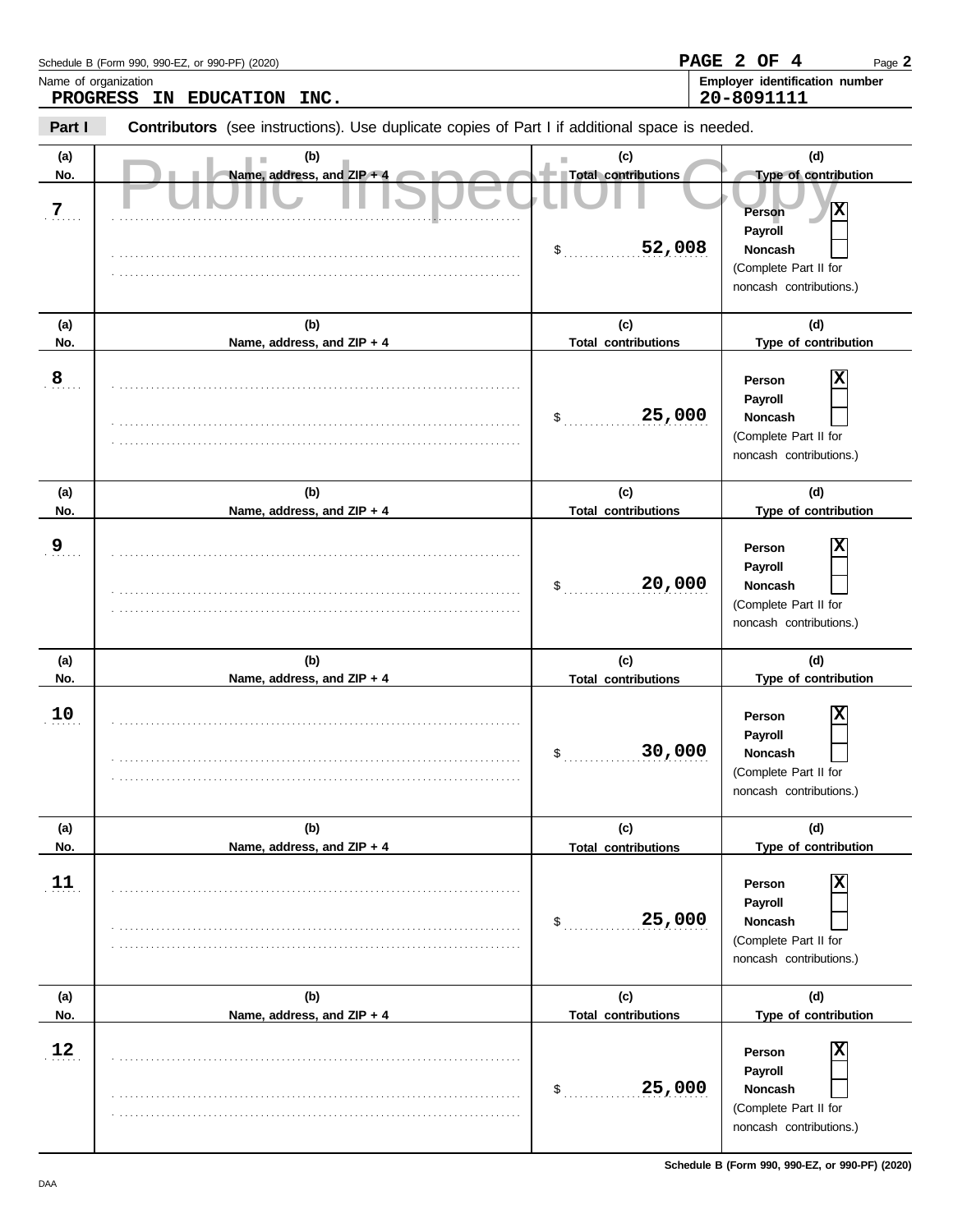| Schedule B (Form 990, 990-EZ, or 990-PF) (2020)    | PAGE 2 OF<br>Page $\bm{2}$                          |
|----------------------------------------------------|-----------------------------------------------------|
| Name of organization<br>PROGRESS IN EDUCATION INC. | <b>Employer identification number</b><br>20-8091111 |
|                                                    |                                                     |

**Part I Contributors** (see instructions). Use duplicate copies of Part I if additional space is needed.

| (a)<br>No.     | (b)<br>Name, address, and ZIP + 4 | (c)<br>×<br>Total contributions            | (d)<br>Type of contribution                                                                                   |
|----------------|-----------------------------------|--------------------------------------------|---------------------------------------------------------------------------------------------------------------|
| $\overline{z}$ |                                   | 52,008<br>\$                               | X<br>Person<br>Payroll<br><b>Noncash</b><br>(Complete Part II for<br>noncash contributions.)                  |
| (a)<br>No.     | (b)<br>Name, address, and ZIP + 4 | (c)<br><b>Total contributions</b>          | (d)<br>Type of contribution                                                                                   |
| $\overline{8}$ |                                   | 25,000<br>\$                               | х<br>Person<br>Payroll<br>Noncash<br>(Complete Part II for<br>noncash contributions.)                         |
| (a)<br>No.     | (b)<br>Name, address, and ZIP + 4 | (c)<br><b>Total contributions</b>          | (d)<br>Type of contribution                                                                                   |
| <u>ِ و</u>     |                                   | 20,000<br>\$                               | Person<br>Payroll<br>Noncash<br>(Complete Part II for<br>noncash contributions.)                              |
|                |                                   |                                            |                                                                                                               |
| (a)            | (b)                               | (c)                                        | (d)                                                                                                           |
| No.<br>10      | Name, address, and ZIP + 4        | <b>Total contributions</b><br>30,000<br>\$ | Type of contribution<br>х<br>Person<br>Payroll<br>Noncash<br>(Complete Part II for<br>noncash contributions.) |
| (a)            | (b)                               | (c)                                        | (d)                                                                                                           |
| No.<br>11      | Name, address, and ZIP + 4        | <b>Total contributions</b><br>25,000<br>\$ | Type of contribution<br>Person<br>Payroll<br>Noncash<br>(Complete Part II for<br>noncash contributions.)      |
| (a)<br>No.     | (b)<br>Name, address, and ZIP + 4 | (c)<br><b>Total contributions</b>          | (d)<br>Type of contribution                                                                                   |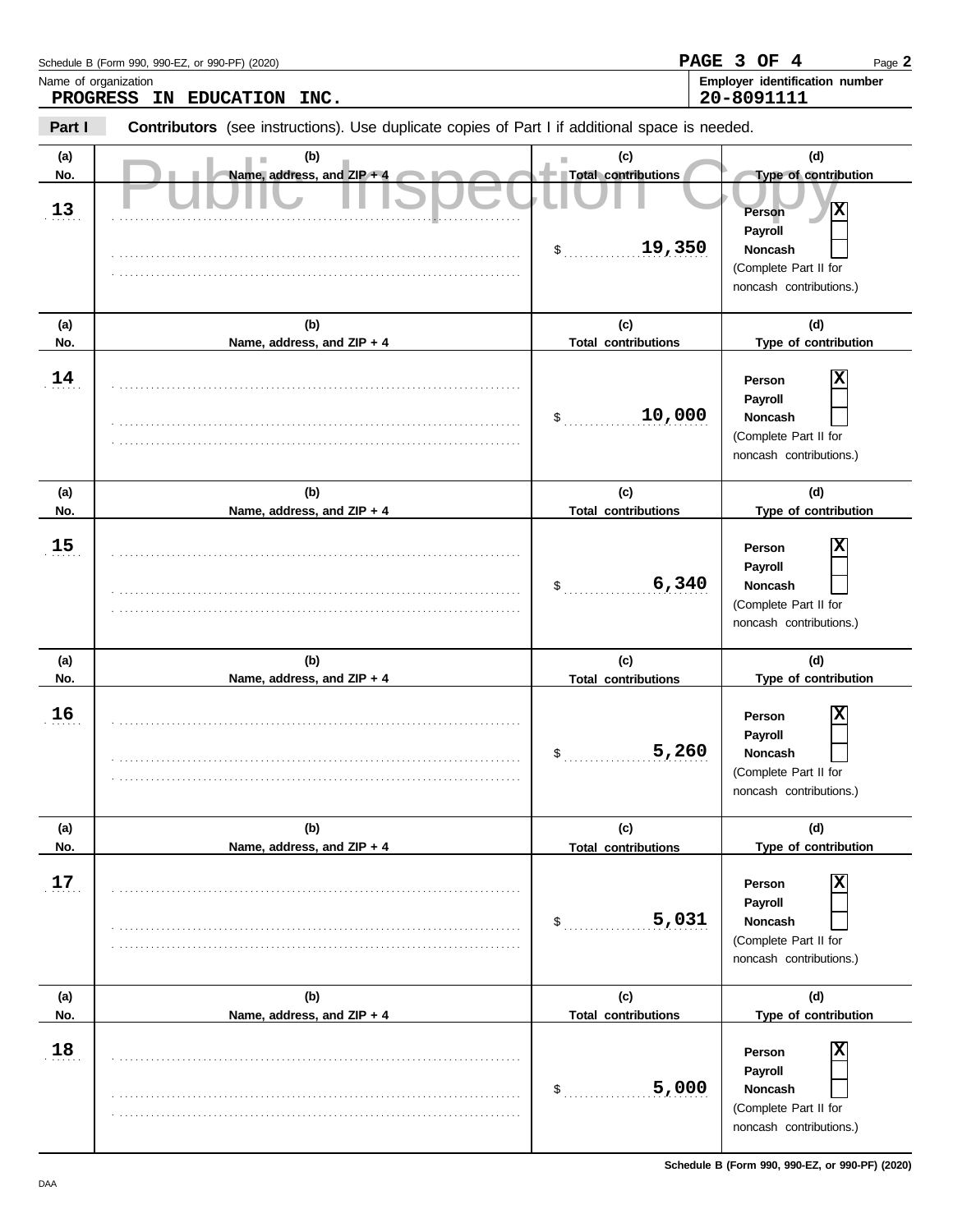| Schedule B (Form 990, 990-EZ, or 990-PF) (2020) | PAGE 3 OF |            | Page 2                                |
|-------------------------------------------------|-----------|------------|---------------------------------------|
| Name of organization                            |           |            | <b>Employer identification number</b> |
| <b>PROGRESS IN</b><br>INC.<br><b>EDUCATION</b>  |           | 20-8091111 |                                       |

| Part I |  | <b>Contributors</b> (see instructions). Use duplicate copies of Part I if additional space is needed. |  |  |  |  |  |  |
|--------|--|-------------------------------------------------------------------------------------------------------|--|--|--|--|--|--|
|--------|--|-------------------------------------------------------------------------------------------------------|--|--|--|--|--|--|

| (a)        | (b)                               | (c)<br>ш                                  | (d)                                                                                                                                 |
|------------|-----------------------------------|-------------------------------------------|-------------------------------------------------------------------------------------------------------------------------------------|
| No.<br>13  | Name, address, and ZIP + 4        | Total contributions<br>19,350<br>\$       | Type of contribution<br>$\overline{\mathbf{x}}$<br>Person<br>Payroll<br>Noncash<br>(Complete Part II for<br>noncash contributions.) |
| (a)<br>No. | (b)<br>Name, address, and ZIP + 4 | (c)<br><b>Total contributions</b>         | (d)<br>Type of contribution                                                                                                         |
| 14         |                                   | 10,000<br>\$                              | X<br>Person<br>Payroll<br>Noncash<br>(Complete Part II for<br>noncash contributions.)                                               |
| (a)<br>No. | (b)<br>Name, address, and ZIP + 4 | (c)<br><b>Total contributions</b>         | (d)<br>Type of contribution                                                                                                         |
| 15         |                                   | 6,340<br>\$                               | X<br>Person<br>Payroll<br>Noncash<br>(Complete Part II for<br>noncash contributions.)                                               |
| (a)        | (b)                               | (c)                                       | (d)                                                                                                                                 |
| No.        | Name, address, and ZIP + 4        | <b>Total contributions</b>                | Type of contribution                                                                                                                |
| 16         |                                   | 5,260<br>\$                               | X<br>Person<br>Payroll<br>Noncash<br>(Complete Part II for<br>noncash contributions.)                                               |
| (a)<br>No. | (b)<br>Name, address, and ZIP + 4 | (c)                                       | (d)<br>Type of contribution                                                                                                         |
| 17         |                                   | <b>Total contributions</b><br>5,031<br>\$ | X<br>Person<br>Payroll<br>Noncash<br>(Complete Part II for<br>noncash contributions.)                                               |
| (a)<br>No. | (b)<br>Name, address, and ZIP + 4 | (c)<br><b>Total contributions</b>         | (d)<br>Type of contribution                                                                                                         |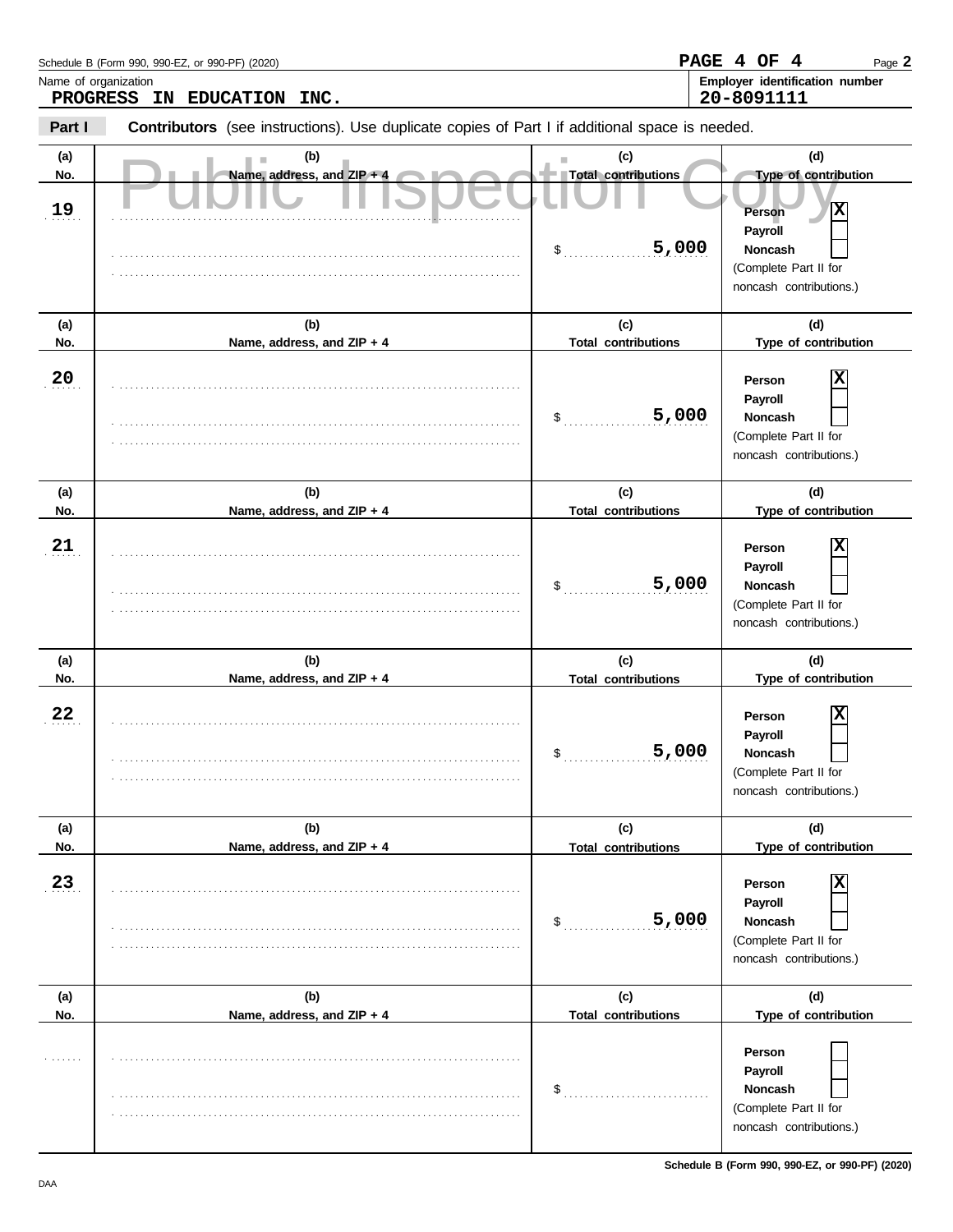|            | Schedule B (Form 990, 990-EZ, or 990-PF) (2020)                                                       |                                   | PAGE 4 OF<br>-4<br>Page 2                    |
|------------|-------------------------------------------------------------------------------------------------------|-----------------------------------|----------------------------------------------|
|            | Name of organization<br><b>PROGRESS</b><br>EDUCATION INC.<br>IN.                                      |                                   | Employer identification number<br>20-8091111 |
| Part I     | <b>Contributors</b> (see instructions). Use duplicate copies of Part I if additional space is needed. |                                   |                                              |
| (a)<br>No. | (b)<br>Name, address, and $ZIP + 4$                                                                   | (c)<br><b>Total contributions</b> | (d)<br><b>Type of contribution</b>           |
| 19<br>.    |                                                                                                       |                                   | x<br>Person                                  |
|            |                                                                                                       | 5,000                             | Payroll<br><b>Noncash</b><br>.               |

|            |                                   |                                   | (Complete Part II for<br>noncash contributions.)                                 |
|------------|-----------------------------------|-----------------------------------|----------------------------------------------------------------------------------|
| (a)<br>No. | (b)<br>Name, address, and ZIP + 4 | (c)<br><b>Total contributions</b> | (d)<br>Type of contribution                                                      |
| 20         |                                   | 5,000<br>$\sim$                   | Person<br>Payroll<br>Noncash<br>(Complete Part II for<br>noncash contributions.) |
| (a)        | (b)                               | (c)                               | (d)                                                                              |
| No.        | Name, address, and ZIP + 4        | <b>Total contributions</b>        | Type of contribution                                                             |
| 21         |                                   | 5,000<br>$\mathfrak{S}^-$         | Person<br>Payroll<br>Noncash<br>(Complete Part II for<br>noncash contributions.) |
| (a)        | (b)                               | (c)                               | (d)                                                                              |
| No.        | Name, address, and ZIP + 4        | <b>Total contributions</b>        | Type of contribution                                                             |
| 22         |                                   | 5,000<br>\$                       | Person<br>Payroll<br>Noncash<br>(Complete Part II for<br>noncash contributions.) |
| (a)        | (b)                               | (c)                               | (d)                                                                              |
| No.        | Name, address, and ZIP + 4        | <b>Total contributions</b>        | Type of contribution                                                             |
| 23         |                                   | 5,000<br>\$                       | Person<br>Payroll<br>Noncash<br>(Complete Part II for<br>noncash contributions.) |
| (a)        | (b)                               | (c)                               | (d)                                                                              |
| No.        | Name, address, and ZIP + 4        | <b>Total contributions</b>        | Type of contribution                                                             |
|            |                                   | \$                                | Person<br>Payroll<br>Noncash<br>(Complete Part II for<br>noncash contributions.) |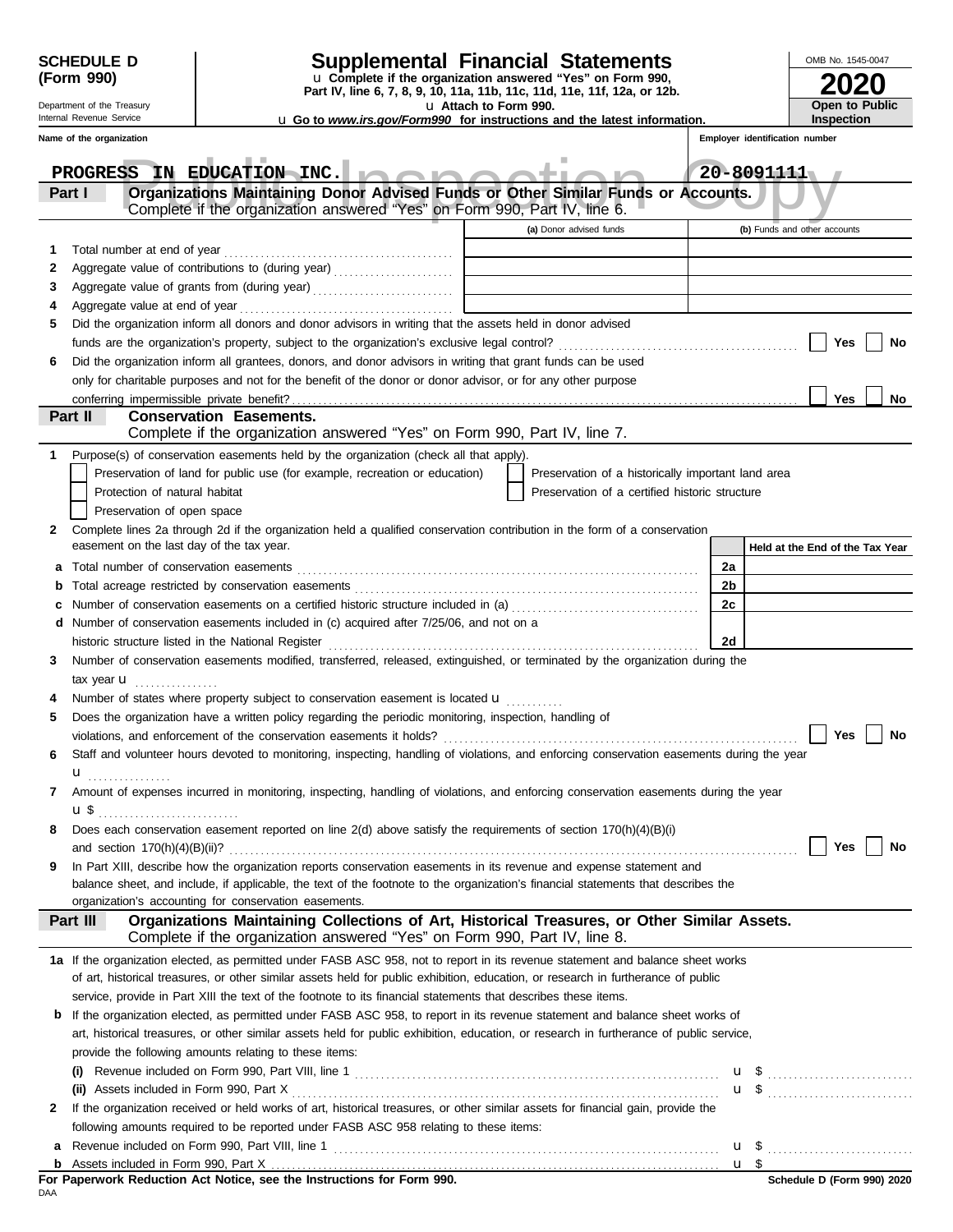| <b>SCHEDULE D</b> |  |
|-------------------|--|
| (Form 990)        |  |

Department of the Treasury Internal Revenue Service

# **SCHEDULE D Supplemental Financial Statements**

**Part IV, line 6, 7, 8, 9, 10, 11a, 11b, 11c, 11d, 11e, 11f, 12a, or 12b.** u **Complete if the organization answered "Yes" on Form 990,**

u **Attach to Form 990.** 

**2020 Open to Public Inspection**

OMB No. 1545-0047

**Employer identification number** u **Go to** *www.irs.gov/Form990* **for instructions and the latest information.**

|   | Name of the organization                                                                                                                                                                    | Employer identification number  |
|---|---------------------------------------------------------------------------------------------------------------------------------------------------------------------------------------------|---------------------------------|
|   | PROGRESS IN EDUCATION INC.                                                                                                                                                                  | 20-8091111                      |
|   | Organizations Maintaining Donor Advised Funds or Other Similar Funds or Accounts.<br>Part I<br>Complete if the organization answered "Yes" on Form 990, Part IV, line 6.                    |                                 |
|   | (a) Donor advised funds                                                                                                                                                                     | (b) Funds and other accounts    |
| 1 | Total number at end of year                                                                                                                                                                 |                                 |
| 2 | Aggregate value of contributions to (during year) [11] [11] Aggregate value of contributions to (during year)<br>the control of the control of the control of the control of the control of |                                 |
| 3 |                                                                                                                                                                                             |                                 |
| 4 | Aggregate value at end of year                                                                                                                                                              |                                 |
| 5 | Did the organization inform all donors and donor advisors in writing that the assets held in donor advised                                                                                  |                                 |
|   | funds are the organization's property, subject to the organization's exclusive legal control?                                                                                               | Yes<br>No                       |
| 6 | Did the organization inform all grantees, donors, and donor advisors in writing that grant funds can be used                                                                                |                                 |
|   | only for charitable purposes and not for the benefit of the donor or donor advisor, or for any other purpose                                                                                |                                 |
|   |                                                                                                                                                                                             | Yes<br>No                       |
|   | Part II<br><b>Conservation Easements.</b>                                                                                                                                                   |                                 |
|   | Complete if the organization answered "Yes" on Form 990, Part IV, line 7.                                                                                                                   |                                 |
|   | Purpose(s) of conservation easements held by the organization (check all that apply).                                                                                                       |                                 |
|   | Preservation of land for public use (for example, recreation or education)<br>Preservation of a historically important land area                                                            |                                 |
|   | Protection of natural habitat<br>Preservation of a certified historic structure                                                                                                             |                                 |
|   | Preservation of open space                                                                                                                                                                  |                                 |
| 2 | Complete lines 2a through 2d if the organization held a qualified conservation contribution in the form of a conservation                                                                   |                                 |
|   | easement on the last day of the tax year.                                                                                                                                                   | Held at the End of the Tax Year |
| а | Total number of conservation easements                                                                                                                                                      | 2a                              |
| b |                                                                                                                                                                                             | 2 <sub>b</sub>                  |
|   | Number of conservation easements on a certified historic structure included in (a) [[[[[[[[[[[[[[[[[[[[[[[[[]]]]]]]                                                                         | 2c                              |
| d | Number of conservation easements included in (c) acquired after 7/25/06, and not on a                                                                                                       |                                 |
|   | historic structure listed in the National Register                                                                                                                                          | 2d                              |
| 3 | Number of conservation easements modified, transferred, released, extinguished, or terminated by the organization during the                                                                |                                 |
|   | tax year <b>u</b>                                                                                                                                                                           |                                 |
|   | Number of states where property subject to conservation easement is located $\mathbf u$                                                                                                     |                                 |
| 5 | Does the organization have a written policy regarding the periodic monitoring, inspection, handling of                                                                                      |                                 |
|   |                                                                                                                                                                                             | <b>Yes</b><br>No                |
|   | Staff and volunteer hours devoted to monitoring, inspecting, handling of violations, and enforcing conservation easements during the year                                                   |                                 |
|   |                                                                                                                                                                                             |                                 |
|   | Amount of expenses incurred in monitoring, inspecting, handling of violations, and enforcing conservation easements during the year                                                         |                                 |
|   | u \$<br>Does each conservation easement reported on line 2(d) above satisfy the requirements of section 170(h)(4)(B)(i)                                                                     |                                 |
| 8 | and section $170(h)(4)(B)(ii)?$                                                                                                                                                             | Yes<br>No                       |
| 9 | In Part XIII, describe how the organization reports conservation easements in its revenue and expense statement and                                                                         |                                 |
|   | balance sheet, and include, if applicable, the text of the footnote to the organization's financial statements that describes the                                                           |                                 |
|   | organization's accounting for conservation easements.                                                                                                                                       |                                 |
|   | Organizations Maintaining Collections of Art, Historical Treasures, or Other Similar Assets.<br>Part III                                                                                    |                                 |
|   | Complete if the organization answered "Yes" on Form 990, Part IV, line 8.                                                                                                                   |                                 |
|   | 1a If the organization elected, as permitted under FASB ASC 958, not to report in its revenue statement and balance sheet works                                                             |                                 |
|   | of art, historical treasures, or other similar assets held for public exhibition, education, or research in furtherance of public                                                           |                                 |
|   | service, provide in Part XIII the text of the footnote to its financial statements that describes these items.                                                                              |                                 |
| b | If the organization elected, as permitted under FASB ASC 958, to report in its revenue statement and balance sheet works of                                                                 |                                 |
|   | art, historical treasures, or other similar assets held for public exhibition, education, or research in furtherance of public service,                                                     |                                 |
|   | provide the following amounts relating to these items:                                                                                                                                      |                                 |
|   | (i)                                                                                                                                                                                         | u \$                            |
|   | (ii) Assets included in Form 990, Part X                                                                                                                                                    | $\mathbf{u}$ \$                 |
| 2 | If the organization received or held works of art, historical treasures, or other similar assets for financial gain, provide the                                                            |                                 |
|   | following amounts required to be reported under FASB ASC 958 relating to these items:                                                                                                       |                                 |
| а |                                                                                                                                                                                             | u \$                            |
|   |                                                                                                                                                                                             | u \$                            |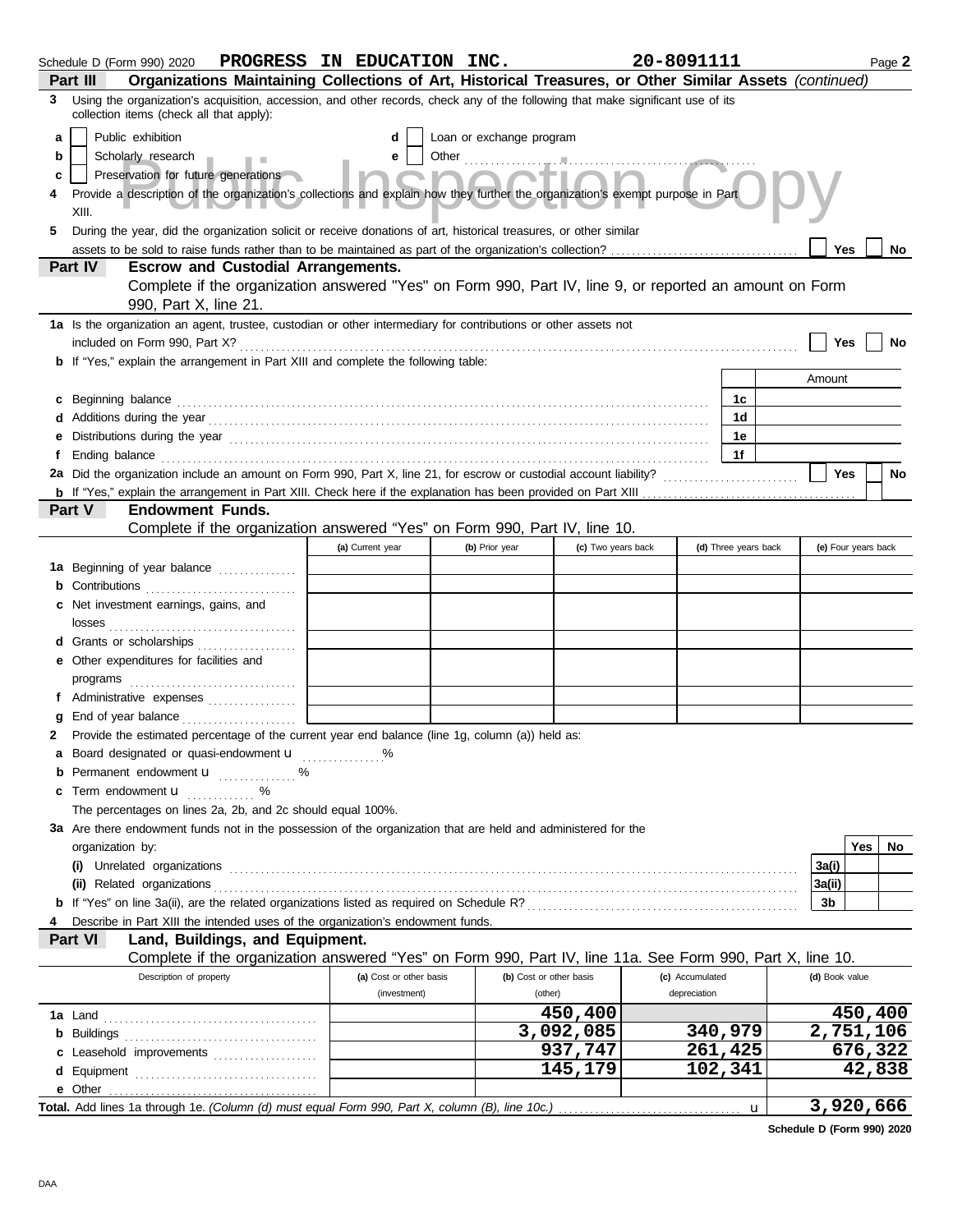|    | Schedule D (Form 990) 2020 PROGRESS IN EDUCATION INC.                                                                                                                                                                                |  |                                         |  |                                    |                    | 20-8091111 |                                 |                      |                | Page 2              |
|----|--------------------------------------------------------------------------------------------------------------------------------------------------------------------------------------------------------------------------------------|--|-----------------------------------------|--|------------------------------------|--------------------|------------|---------------------------------|----------------------|----------------|---------------------|
|    | Organizations Maintaining Collections of Art, Historical Treasures, or Other Similar Assets (continued)<br>Part III                                                                                                                  |  |                                         |  |                                    |                    |            |                                 |                      |                |                     |
| 3  | Using the organization's acquisition, accession, and other records, check any of the following that make significant use of its<br>collection items (check all that apply):                                                          |  |                                         |  |                                    |                    |            |                                 |                      |                |                     |
| a  | Public exhibition                                                                                                                                                                                                                    |  | d                                       |  | Loan or exchange program           |                    |            |                                 |                      |                |                     |
| b  | Scholarly research                                                                                                                                                                                                                   |  | е                                       |  |                                    |                    |            |                                 |                      |                |                     |
| c  | Preservation for future generations                                                                                                                                                                                                  |  |                                         |  |                                    |                    |            |                                 |                      |                |                     |
|    | Provide a description of the organization's collections and explain how they further the organization's exempt purpose in Part<br>II IV<br>XIII.                                                                                     |  |                                         |  |                                    |                    |            |                                 |                      |                |                     |
| 5. | During the year, did the organization solicit or receive donations of art, historical treasures, or other similar                                                                                                                    |  |                                         |  |                                    |                    |            |                                 |                      |                |                     |
|    |                                                                                                                                                                                                                                      |  |                                         |  |                                    |                    |            |                                 |                      | <b>Yes</b>     | No                  |
|    | <b>Part IV</b><br><b>Escrow and Custodial Arrangements.</b>                                                                                                                                                                          |  |                                         |  |                                    |                    |            |                                 |                      |                |                     |
|    | Complete if the organization answered "Yes" on Form 990, Part IV, line 9, or reported an amount on Form<br>990, Part X, line 21.                                                                                                     |  |                                         |  |                                    |                    |            |                                 |                      |                |                     |
|    | 1a Is the organization an agent, trustee, custodian or other intermediary for contributions or other assets not                                                                                                                      |  |                                         |  |                                    |                    |            |                                 |                      |                |                     |
|    |                                                                                                                                                                                                                                      |  |                                         |  |                                    |                    |            |                                 |                      | Yes            | No                  |
|    | <b>b</b> If "Yes," explain the arrangement in Part XIII and complete the following table:                                                                                                                                            |  |                                         |  |                                    |                    |            |                                 |                      |                |                     |
|    |                                                                                                                                                                                                                                      |  |                                         |  |                                    |                    |            |                                 |                      | Amount         |                     |
|    | c Beginning balance <b>contract the contract of the contract of the contract of the contract of the contract of the contract of the contract of the contract of the contract of the contract of the contract of the contract of </b> |  |                                         |  |                                    |                    |            |                                 | 1c                   |                |                     |
|    |                                                                                                                                                                                                                                      |  |                                         |  |                                    |                    |            |                                 | 1d                   |                |                     |
|    | Distributions during the year <i>manufacture contained and a contained a contained and a contained a contained and a</i>                                                                                                             |  |                                         |  |                                    |                    |            |                                 | 1e                   |                |                     |
|    |                                                                                                                                                                                                                                      |  |                                         |  |                                    |                    |            |                                 | 1f                   |                |                     |
|    | 2a Did the organization include an amount on Form 990, Part X, line 21, for escrow or custodial account liability?                                                                                                                   |  |                                         |  |                                    |                    |            |                                 |                      | <b>Yes</b>     | No                  |
|    | <b>Endowment Funds.</b>                                                                                                                                                                                                              |  |                                         |  |                                    |                    |            |                                 |                      |                |                     |
|    | <b>Part V</b><br>Complete if the organization answered "Yes" on Form 990, Part IV, line 10.                                                                                                                                          |  |                                         |  |                                    |                    |            |                                 |                      |                |                     |
|    |                                                                                                                                                                                                                                      |  | (a) Current year                        |  | (b) Prior year                     | (c) Two years back |            |                                 | (d) Three years back |                | (e) Four years back |
|    |                                                                                                                                                                                                                                      |  |                                         |  |                                    |                    |            |                                 |                      |                |                     |
|    | 1a Beginning of year balance                                                                                                                                                                                                         |  |                                         |  |                                    |                    |            |                                 |                      |                |                     |
|    | c Net investment earnings, gains, and                                                                                                                                                                                                |  |                                         |  |                                    |                    |            |                                 |                      |                |                     |
|    |                                                                                                                                                                                                                                      |  |                                         |  |                                    |                    |            |                                 |                      |                |                     |
|    | d Grants or scholarships                                                                                                                                                                                                             |  |                                         |  |                                    |                    |            |                                 |                      |                |                     |
|    | e Other expenditures for facilities and                                                                                                                                                                                              |  |                                         |  |                                    |                    |            |                                 |                      |                |                     |
|    |                                                                                                                                                                                                                                      |  |                                         |  |                                    |                    |            |                                 |                      |                |                     |
|    | f Administrative expenses                                                                                                                                                                                                            |  |                                         |  |                                    |                    |            |                                 |                      |                |                     |
|    | End of year balance <i>contained</i> and the same of the same of the same of the same of the same of the same of the s                                                                                                               |  |                                         |  |                                    |                    |            |                                 |                      |                |                     |
|    | Provide the estimated percentage of the current year end balance (line 1g, column (a)) held as:                                                                                                                                      |  |                                         |  |                                    |                    |            |                                 |                      |                |                     |
|    | a Board designated or quasi-endowment u                                                                                                                                                                                              |  |                                         |  |                                    |                    |            |                                 |                      |                |                     |
|    | <b>b</b> Permanent endowment <b>u</b> %                                                                                                                                                                                              |  |                                         |  |                                    |                    |            |                                 |                      |                |                     |
|    | c Term endowment <b>u</b> %                                                                                                                                                                                                          |  |                                         |  |                                    |                    |            |                                 |                      |                |                     |
|    | The percentages on lines 2a, 2b, and 2c should equal 100%.                                                                                                                                                                           |  |                                         |  |                                    |                    |            |                                 |                      |                |                     |
|    | 3a Are there endowment funds not in the possession of the organization that are held and administered for the                                                                                                                        |  |                                         |  |                                    |                    |            |                                 |                      |                |                     |
|    | organization by:                                                                                                                                                                                                                     |  |                                         |  |                                    |                    |            |                                 |                      |                | <b>Yes</b><br>No    |
|    |                                                                                                                                                                                                                                      |  |                                         |  |                                    |                    |            |                                 |                      | 3a(i)          |                     |
|    |                                                                                                                                                                                                                                      |  |                                         |  |                                    |                    |            |                                 |                      | 3a(ii)         |                     |
|    |                                                                                                                                                                                                                                      |  |                                         |  |                                    |                    |            |                                 |                      | 3b             |                     |
|    | Describe in Part XIII the intended uses of the organization's endowment funds.                                                                                                                                                       |  |                                         |  |                                    |                    |            |                                 |                      |                |                     |
|    | Land, Buildings, and Equipment.<br><b>Part VI</b>                                                                                                                                                                                    |  |                                         |  |                                    |                    |            |                                 |                      |                |                     |
|    | Complete if the organization answered "Yes" on Form 990, Part IV, line 11a. See Form 990, Part X, line 10.                                                                                                                           |  |                                         |  |                                    |                    |            |                                 |                      |                |                     |
|    | Description of property                                                                                                                                                                                                              |  | (a) Cost or other basis<br>(investment) |  | (b) Cost or other basis<br>(other) |                    |            | (c) Accumulated<br>depreciation |                      | (d) Book value |                     |
|    |                                                                                                                                                                                                                                      |  |                                         |  |                                    | 450,400            |            |                                 |                      |                | 450,400             |
|    |                                                                                                                                                                                                                                      |  |                                         |  |                                    | 3,092,085          |            |                                 | 340,979              |                | 2,751,106           |
|    |                                                                                                                                                                                                                                      |  |                                         |  |                                    | 937,747            |            |                                 | 261,425              |                | 676,322             |
|    | c Leasehold improvements                                                                                                                                                                                                             |  |                                         |  |                                    | 145,179            |            |                                 | 102,341              |                | 42,838              |
|    |                                                                                                                                                                                                                                      |  |                                         |  |                                    |                    |            |                                 |                      |                |                     |
|    | Total. Add lines 1a through 1e. (Column (d) must equal Form 990, Part X, column (B), line 10c.)                                                                                                                                      |  |                                         |  |                                    |                    |            |                                 | u                    |                | 3,920,666           |
|    |                                                                                                                                                                                                                                      |  |                                         |  |                                    |                    |            |                                 |                      |                |                     |

**Schedule D (Form 990) 2020**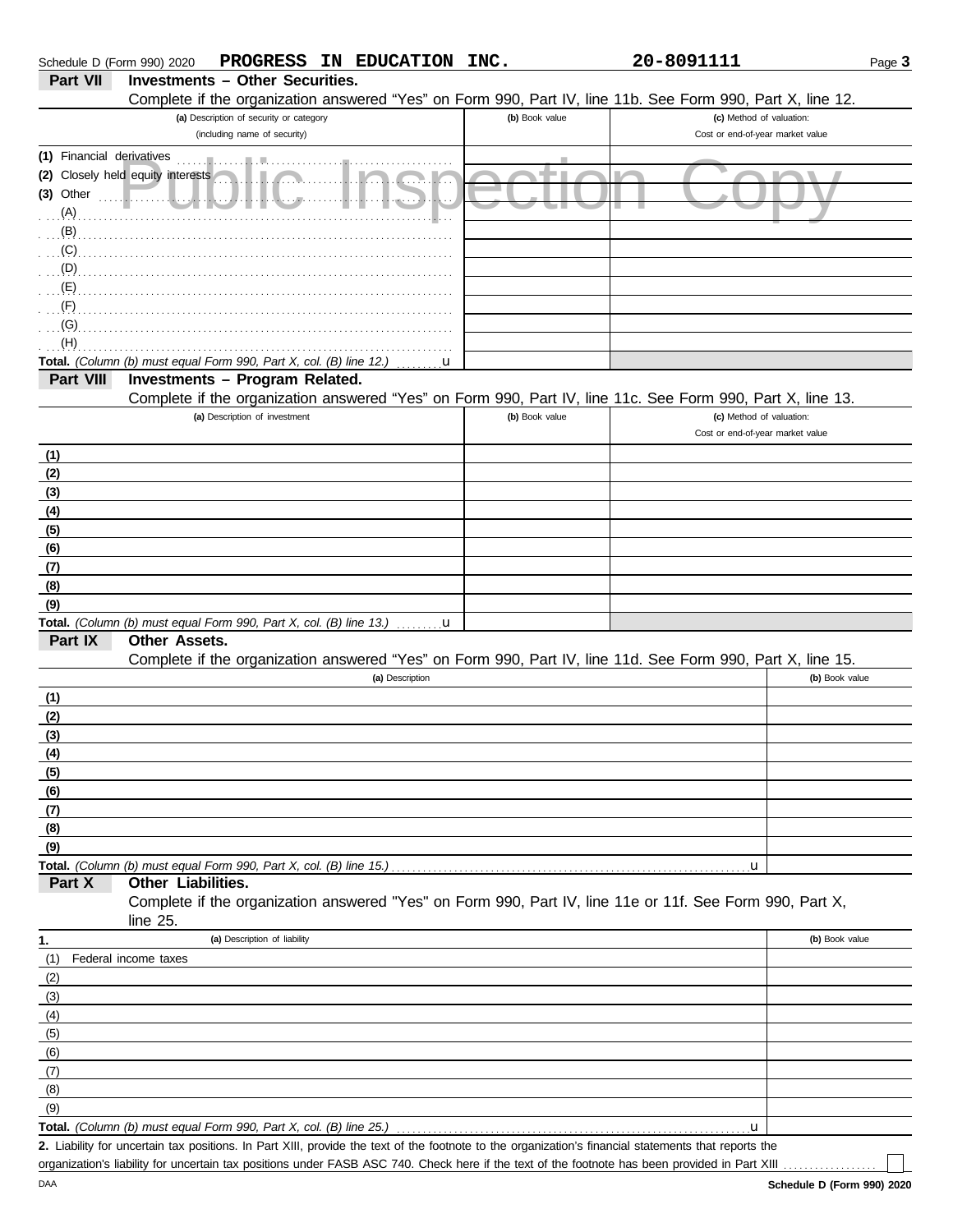| Schedule D (Form 990) 2020 | PROGRESS IN EDUCATION                                                                                                                                | INC.           | 20-8091111                                                   | Page 3         |
|----------------------------|------------------------------------------------------------------------------------------------------------------------------------------------------|----------------|--------------------------------------------------------------|----------------|
| <b>Part VII</b>            | <b>Investments - Other Securities.</b>                                                                                                               |                |                                                              |                |
|                            | Complete if the organization answered "Yes" on Form 990, Part IV, line 11b. See Form 990, Part X, line 12.                                           |                |                                                              |                |
|                            | (a) Description of security or category<br>(including name of security)                                                                              | (b) Book value | (c) Method of valuation:<br>Cost or end-of-year market value |                |
| (1) Financial derivatives  |                                                                                                                                                      |                |                                                              |                |
|                            | (2) Closely held equity interests                                                                                                                    |                |                                                              |                |
| $(3)$ Other                |                                                                                                                                                      |                |                                                              |                |
| (A)                        |                                                                                                                                                      |                |                                                              |                |
| (B)                        |                                                                                                                                                      |                |                                                              |                |
| (C)                        |                                                                                                                                                      |                |                                                              |                |
| (D)                        |                                                                                                                                                      |                |                                                              |                |
| (E)                        |                                                                                                                                                      |                |                                                              |                |
| (F)<br>(G)                 |                                                                                                                                                      |                |                                                              |                |
| (H)                        |                                                                                                                                                      |                |                                                              |                |
|                            | Total. (Column (b) must equal Form 990, Part X, col. (B) line 12.)                                                                                   | u              |                                                              |                |
| Part VIII                  | Investments - Program Related.                                                                                                                       |                |                                                              |                |
|                            | Complete if the organization answered "Yes" on Form 990, Part IV, line 11c. See Form 990, Part X, line 13.                                           |                |                                                              |                |
|                            | (a) Description of investment                                                                                                                        | (b) Book value | (c) Method of valuation:                                     |                |
|                            |                                                                                                                                                      |                | Cost or end-of-year market value                             |                |
| (1)                        |                                                                                                                                                      |                |                                                              |                |
| (2)                        |                                                                                                                                                      |                |                                                              |                |
| (3)<br>(4)                 |                                                                                                                                                      |                |                                                              |                |
| (5)                        |                                                                                                                                                      |                |                                                              |                |
| (6)                        |                                                                                                                                                      |                |                                                              |                |
| (7)                        |                                                                                                                                                      |                |                                                              |                |
| (8)                        |                                                                                                                                                      |                |                                                              |                |
| (9)                        |                                                                                                                                                      |                |                                                              |                |
|                            | <b>Total.</b> (Column (b) must equal Form 990, Part X, col. (B) line 13.) $\ldots \ldots \mathbf{u}$                                                 |                |                                                              |                |
| Part IX                    | Other Assets.                                                                                                                                        |                |                                                              |                |
|                            | Complete if the organization answered "Yes" on Form 990, Part IV, line 11d. See Form 990, Part X, line 15.<br>(a) Description                        |                |                                                              | (b) Book value |
| (1)                        |                                                                                                                                                      |                |                                                              |                |
| (2)                        |                                                                                                                                                      |                |                                                              |                |
| (3)                        |                                                                                                                                                      |                |                                                              |                |
| (4)                        |                                                                                                                                                      |                |                                                              |                |
| (5)                        |                                                                                                                                                      |                |                                                              |                |
| (6)                        |                                                                                                                                                      |                |                                                              |                |
| (7)                        |                                                                                                                                                      |                |                                                              |                |
| (8)                        |                                                                                                                                                      |                |                                                              |                |
| (9)                        |                                                                                                                                                      |                |                                                              |                |
| Part X                     | Other Liabilities.                                                                                                                                   |                | u                                                            |                |
|                            | Complete if the organization answered "Yes" on Form 990, Part IV, line 11e or 11f. See Form 990, Part X,                                             |                |                                                              |                |
|                            | line $25$ .                                                                                                                                          |                |                                                              |                |
| 1.                         | (a) Description of liability                                                                                                                         |                |                                                              | (b) Book value |
| (1)                        | Federal income taxes                                                                                                                                 |                |                                                              |                |
| (2)                        |                                                                                                                                                      |                |                                                              |                |
| (3)                        |                                                                                                                                                      |                |                                                              |                |
| (4)                        |                                                                                                                                                      |                |                                                              |                |
| (5)                        |                                                                                                                                                      |                |                                                              |                |
| (6)                        |                                                                                                                                                      |                |                                                              |                |
| (7)                        |                                                                                                                                                      |                |                                                              |                |
| (8)                        |                                                                                                                                                      |                |                                                              |                |
| (9)                        | Total. (Column (b) must equal Form 990, Part X, col. (B) line 25.)                                                                                   |                | u                                                            |                |
|                            | 2. Liability for uncertain tax positions. In Part XIII, provide the text of the footnote to the organization's financial statements that reports the |                |                                                              |                |
|                            | organization's liability for uncertain tax positions under FASB ASC 740. Check here if the text of the footnote has been provided in Part XIII       |                |                                                              |                |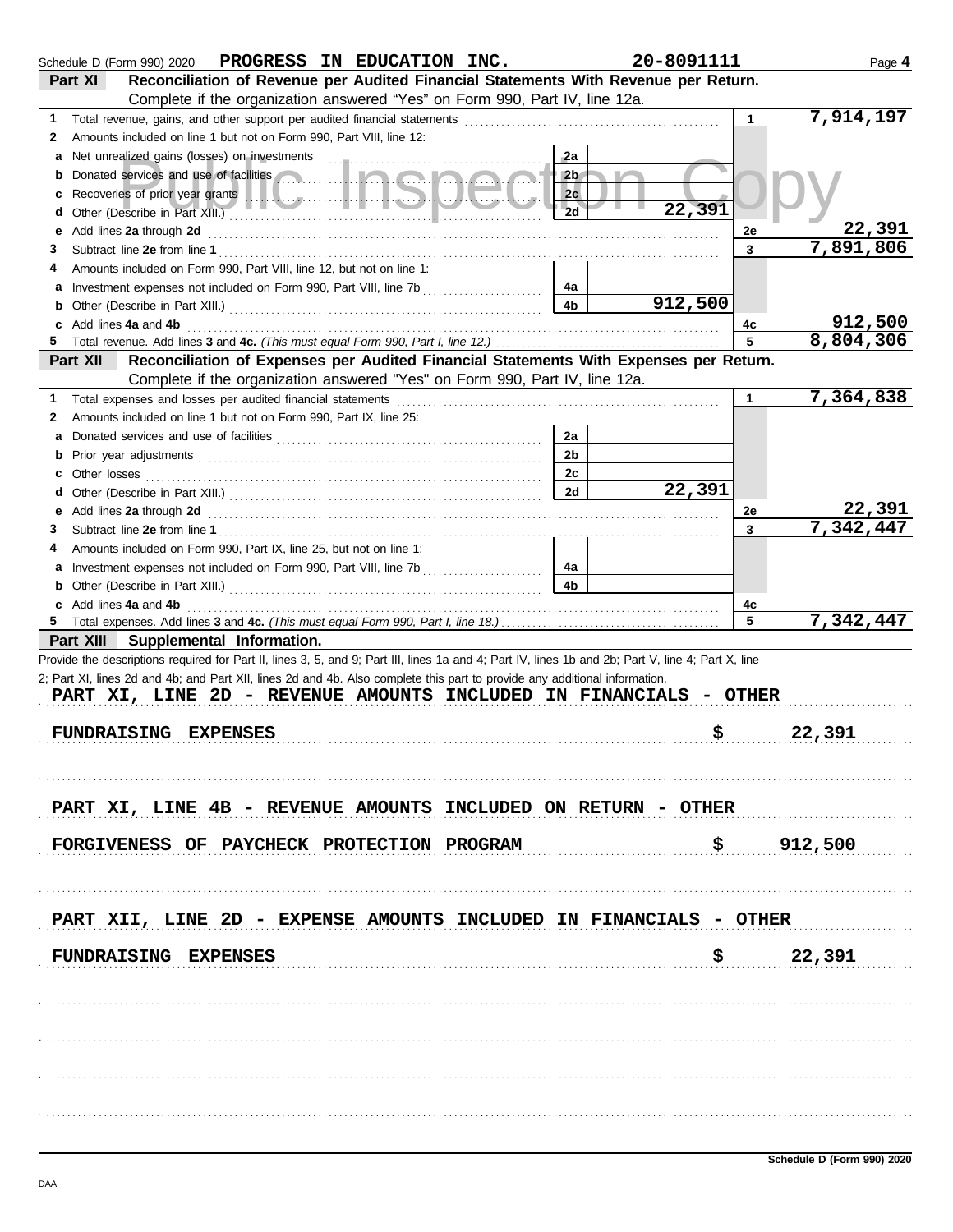|    | Schedule D (Form 990) 2020 PROGRESS IN EDUCATION INC.                                                                                              |                | 20-8091111 |                      | Page 4    |
|----|----------------------------------------------------------------------------------------------------------------------------------------------------|----------------|------------|----------------------|-----------|
|    | Reconciliation of Revenue per Audited Financial Statements With Revenue per Return.<br>Part XI                                                     |                |            |                      |           |
|    | Complete if the organization answered "Yes" on Form 990, Part IV, line 12a.                                                                        |                |            |                      |           |
| 1. | Total revenue, gains, and other support per audited financial statements                                                                           |                |            | $\mathbf{1}$         | 7,914,197 |
| 2  | Amounts included on line 1 but not on Form 990, Part VIII, line 12:                                                                                |                |            |                      |           |
|    |                                                                                                                                                    | -2a            |            |                      |           |
| b  |                                                                                                                                                    | 2 <sub>b</sub> |            |                      |           |
| c  |                                                                                                                                                    | 2c             |            |                      |           |
| d  |                                                                                                                                                    | 2d             | 22,391     |                      |           |
| е  | Add lines 2a through 2d                                                                                                                            |                |            | 2e                   | 22,391    |
| 3  |                                                                                                                                                    |                |            | 3                    | 7,891,806 |
|    | Amounts included on Form 990. Part VIII. line 12, but not on line 1:                                                                               |                |            |                      |           |
|    |                                                                                                                                                    | 4a             |            |                      |           |
| b  |                                                                                                                                                    | 4 <sub>b</sub> | 912,500    |                      |           |
|    | Add lines 4a and 4b                                                                                                                                |                |            | 4c                   | 912,500   |
|    |                                                                                                                                                    |                |            | 5                    | 8,804,306 |
|    | Reconciliation of Expenses per Audited Financial Statements With Expenses per Return.<br>Part XII                                                  |                |            |                      |           |
|    | Complete if the organization answered "Yes" on Form 990, Part IV, line 12a.                                                                        |                |            |                      |           |
|    | Total expenses and losses per audited financial statements                                                                                         |                |            | $\blacktriangleleft$ | 7,364,838 |
|    | Amounts included on line 1 but not on Form 990, Part IX, line 25:                                                                                  |                |            |                      |           |
| 2  |                                                                                                                                                    |                |            |                      |           |
|    |                                                                                                                                                    | 2a             |            |                      |           |
| b  |                                                                                                                                                    | 2 <sub>b</sub> |            |                      |           |
|    |                                                                                                                                                    | 2c             |            |                      |           |
|    |                                                                                                                                                    | 2d             | 22,391     |                      |           |
| е  | Add lines 2a through 2d [11] Add [12] Add [12] Add lines 2a through 2d [12] Add lines 2a through 2d                                                |                |            | 2e                   | 22,391    |
| 3  |                                                                                                                                                    |                |            | 3                    | 7,342,447 |
|    | Amounts included on Form 990, Part IX, line 25, but not on line 1:                                                                                 |                |            |                      |           |
|    |                                                                                                                                                    | 4a             |            |                      |           |
| b  |                                                                                                                                                    | 4 <sub>b</sub> |            |                      |           |
|    | Add lines 4a and 4b                                                                                                                                |                |            | 4c                   |           |
| 5  |                                                                                                                                                    |                |            | 5                    | 7,342,447 |
|    | Part XIII Supplemental Information.                                                                                                                |                |            |                      |           |
|    | Provide the descriptions required for Part II, lines 3, 5, and 9; Part III, lines 1a and 4; Part IV, lines 1b and 2b; Part V, line 4; Part X, line |                |            |                      |           |
|    | 2; Part XI, lines 2d and 4b; and Part XII, lines 2d and 4b. Also complete this part to provide any additional information.                         |                |            |                      |           |
|    | PART XI, LINE 2D - REVENUE AMOUNTS INCLUDED IN FINANCIALS - OTHER                                                                                  |                |            |                      |           |
|    |                                                                                                                                                    |                |            |                      |           |
|    | <b>FUNDRAISING EXPENSES</b>                                                                                                                        |                | \$         |                      | 22,391    |
|    |                                                                                                                                                    |                |            |                      |           |
|    |                                                                                                                                                    |                |            |                      |           |
|    |                                                                                                                                                    |                |            |                      |           |
|    | PART XI, LINE 4B - REVENUE AMOUNTS INCLUDED ON RETURN - OTHER                                                                                      |                |            |                      |           |
|    |                                                                                                                                                    |                |            |                      |           |
|    | FORGIVENESS OF PAYCHECK PROTECTION PROGRAM                                                                                                         |                |            |                      | \$912,500 |
|    |                                                                                                                                                    |                |            |                      |           |
|    |                                                                                                                                                    |                |            |                      |           |
|    |                                                                                                                                                    |                |            |                      |           |
|    | PART XII, LINE 2D - EXPENSE AMOUNTS INCLUDED IN FINANCIALS - OTHER                                                                                 |                |            |                      |           |
|    |                                                                                                                                                    |                |            |                      |           |
|    | <b>FUNDRAISING EXPENSES</b>                                                                                                                        |                | \$         |                      | 22,391    |
|    |                                                                                                                                                    |                |            |                      |           |
|    |                                                                                                                                                    |                |            |                      |           |
|    |                                                                                                                                                    |                |            |                      |           |
|    |                                                                                                                                                    |                |            |                      |           |
|    |                                                                                                                                                    |                |            |                      |           |
|    |                                                                                                                                                    |                |            |                      |           |
|    |                                                                                                                                                    |                |            |                      |           |
|    |                                                                                                                                                    |                |            |                      |           |
|    |                                                                                                                                                    |                |            |                      |           |
|    |                                                                                                                                                    |                |            |                      |           |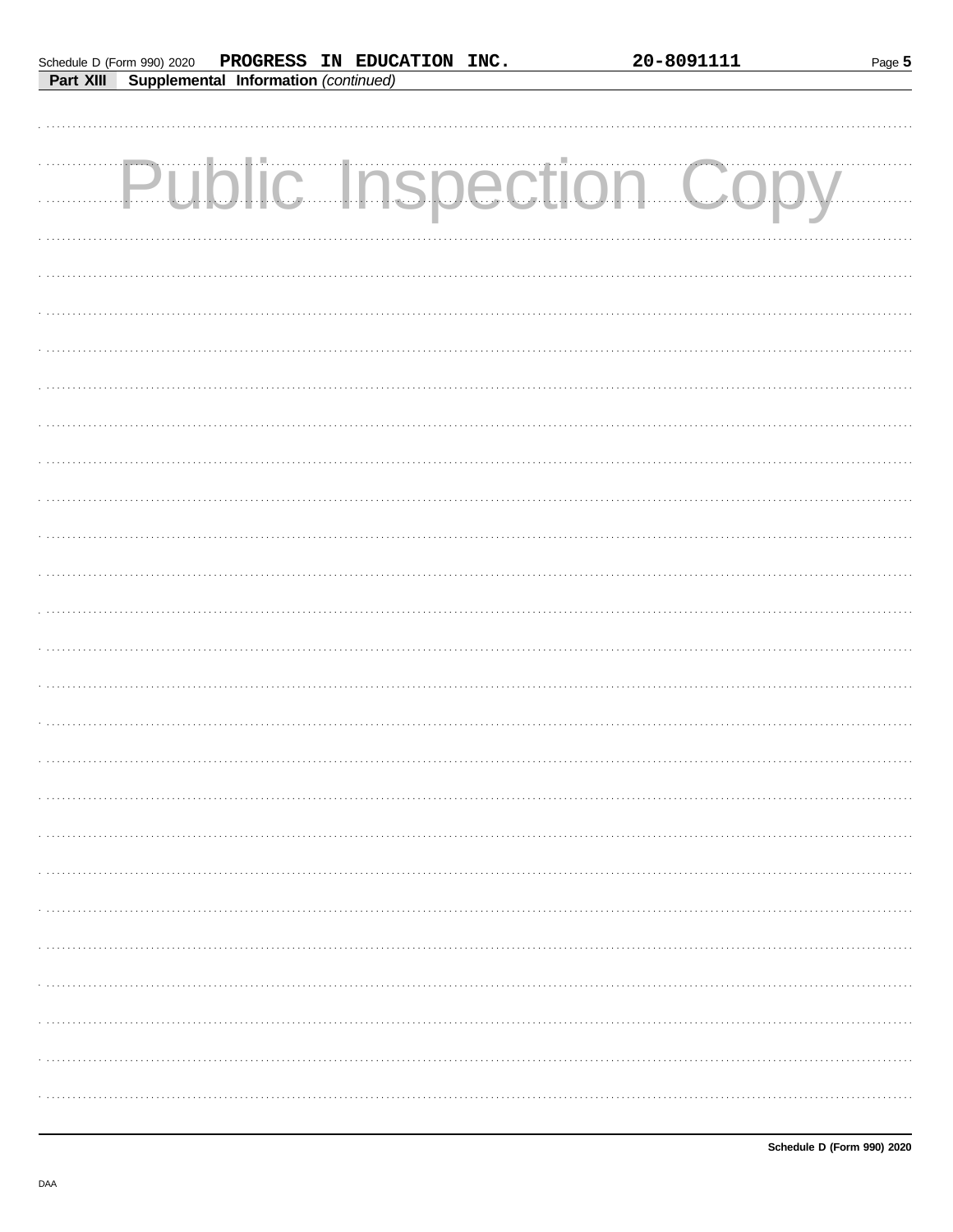| Schedule D (Form 990) 2020 |                                             | PROGRESS IN EDUCATION INC. |  |
|----------------------------|---------------------------------------------|----------------------------|--|
| Part XIII                  | <b>Supplemental Information (continued)</b> |                            |  |

Page 5

| <b>Public Inspection Copy</b> |
|-------------------------------|
|                               |
|                               |
|                               |
|                               |
|                               |
|                               |
|                               |
|                               |
|                               |
|                               |
|                               |
|                               |
|                               |
|                               |
|                               |
|                               |
|                               |
|                               |
|                               |
|                               |
|                               |
|                               |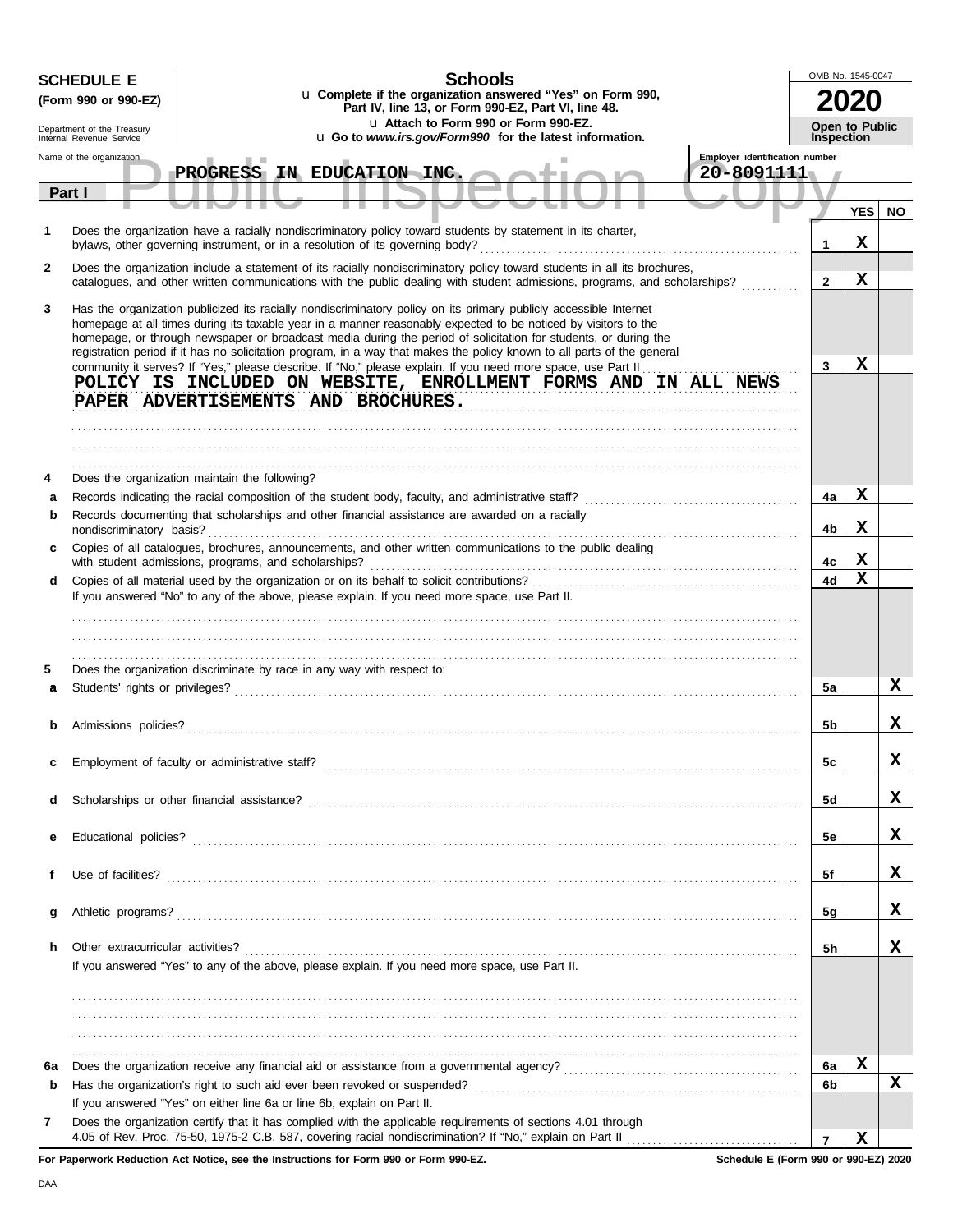|        | <b>SCHEDULE E</b>                                      | <b>Schools</b>                                                                                                                                                                                                                                                                                                                                                                                                                                                                                                                                                                                                                                                       | OMB No. 1545-0047 |                       |           |
|--------|--------------------------------------------------------|----------------------------------------------------------------------------------------------------------------------------------------------------------------------------------------------------------------------------------------------------------------------------------------------------------------------------------------------------------------------------------------------------------------------------------------------------------------------------------------------------------------------------------------------------------------------------------------------------------------------------------------------------------------------|-------------------|-----------------------|-----------|
|        | (Form 990 or 990-EZ)                                   | u Complete if the organization answered "Yes" on Form 990,<br>Part IV, line 13, or Form 990-EZ, Part VI, line 48.                                                                                                                                                                                                                                                                                                                                                                                                                                                                                                                                                    |                   |                       |           |
|        | Department of the Treasury<br>Internal Revenue Service | u Attach to Form 990 or Form 990-EZ.<br>u Go to www.irs.gov/Form990 for the latest information.                                                                                                                                                                                                                                                                                                                                                                                                                                                                                                                                                                      | <b>Inspection</b> | <b>Open to Public</b> |           |
|        | Name of the organization                               | Employer identification number                                                                                                                                                                                                                                                                                                                                                                                                                                                                                                                                                                                                                                       |                   |                       |           |
|        |                                                        | PROGRESS IN EDUCATION INC.<br>20-8091111                                                                                                                                                                                                                                                                                                                                                                                                                                                                                                                                                                                                                             |                   |                       |           |
|        | Part I                                                 |                                                                                                                                                                                                                                                                                                                                                                                                                                                                                                                                                                                                                                                                      |                   | <b>YES</b>            | <b>NO</b> |
| 1      |                                                        | Does the organization have a racially nondiscriminatory policy toward students by statement in its charter,<br>bylaws, other governing instrument, or in a resolution of its governing body?                                                                                                                                                                                                                                                                                                                                                                                                                                                                         | 1                 | x                     |           |
| 2      |                                                        | Does the organization include a statement of its racially nondiscriminatory policy toward students in all its brochures,<br>catalogues, and other written communications with the public dealing with student admissions, programs, and scholarships?                                                                                                                                                                                                                                                                                                                                                                                                                | $\overline{2}$    | x                     |           |
| 3      |                                                        | Has the organization publicized its racially nondiscriminatory policy on its primary publicly accessible Internet<br>homepage at all times during its taxable year in a manner reasonably expected to be noticed by visitors to the<br>homepage, or through newspaper or broadcast media during the period of solicitation for students, or during the<br>registration period if it has no solicitation program, in a way that makes the policy known to all parts of the general<br>community it serves? If "Yes," please describe. If "No," please explain. If you need more space, use Part II<br>POLICY IS INCLUDED ON WEBSITE, ENROLLMENT FORMS AND IN ALL NEWS | 3                 | x                     |           |
|        |                                                        | PAPER ADVERTISEMENTS AND BROCHURES.                                                                                                                                                                                                                                                                                                                                                                                                                                                                                                                                                                                                                                  |                   |                       |           |
|        |                                                        |                                                                                                                                                                                                                                                                                                                                                                                                                                                                                                                                                                                                                                                                      |                   |                       |           |
|        |                                                        |                                                                                                                                                                                                                                                                                                                                                                                                                                                                                                                                                                                                                                                                      |                   |                       |           |
|        |                                                        |                                                                                                                                                                                                                                                                                                                                                                                                                                                                                                                                                                                                                                                                      |                   |                       |           |
| 4      |                                                        | Does the organization maintain the following?                                                                                                                                                                                                                                                                                                                                                                                                                                                                                                                                                                                                                        |                   | х                     |           |
| a<br>b |                                                        | Records indicating the racial composition of the student body, faculty, and administrative staff? [ [ [ [ [ ] ]<br>Records documenting that scholarships and other financial assistance are awarded on a racially                                                                                                                                                                                                                                                                                                                                                                                                                                                    | 4a                |                       |           |
| c      | nondiscriminatory basis?                               | Copies of all catalogues, brochures, announcements, and other written communications to the public dealing                                                                                                                                                                                                                                                                                                                                                                                                                                                                                                                                                           | 4b                | х                     |           |
|        |                                                        | with student admissions, programs, and scholarships?                                                                                                                                                                                                                                                                                                                                                                                                                                                                                                                                                                                                                 | 4c                | х                     |           |
| d      |                                                        |                                                                                                                                                                                                                                                                                                                                                                                                                                                                                                                                                                                                                                                                      | 4d                | $\mathbf x$           |           |
|        |                                                        | If you answered "No" to any of the above, please explain. If you need more space, use Part II.                                                                                                                                                                                                                                                                                                                                                                                                                                                                                                                                                                       |                   |                       |           |
|        |                                                        |                                                                                                                                                                                                                                                                                                                                                                                                                                                                                                                                                                                                                                                                      |                   |                       |           |
|        |                                                        |                                                                                                                                                                                                                                                                                                                                                                                                                                                                                                                                                                                                                                                                      |                   |                       |           |
| 5      |                                                        | Does the organization discriminate by race in any way with respect to:                                                                                                                                                                                                                                                                                                                                                                                                                                                                                                                                                                                               |                   |                       |           |
| a      |                                                        |                                                                                                                                                                                                                                                                                                                                                                                                                                                                                                                                                                                                                                                                      | 5a                |                       | x         |
|        |                                                        |                                                                                                                                                                                                                                                                                                                                                                                                                                                                                                                                                                                                                                                                      |                   |                       |           |
|        | Admissions policies?                                   |                                                                                                                                                                                                                                                                                                                                                                                                                                                                                                                                                                                                                                                                      | 5b                |                       | X         |
|        |                                                        |                                                                                                                                                                                                                                                                                                                                                                                                                                                                                                                                                                                                                                                                      |                   |                       | х         |
| c      |                                                        |                                                                                                                                                                                                                                                                                                                                                                                                                                                                                                                                                                                                                                                                      | 5c                |                       |           |
| d      |                                                        |                                                                                                                                                                                                                                                                                                                                                                                                                                                                                                                                                                                                                                                                      | 5d                |                       | х         |
|        |                                                        |                                                                                                                                                                                                                                                                                                                                                                                                                                                                                                                                                                                                                                                                      |                   |                       |           |
| е      |                                                        |                                                                                                                                                                                                                                                                                                                                                                                                                                                                                                                                                                                                                                                                      | 5e                |                       | х         |
|        |                                                        |                                                                                                                                                                                                                                                                                                                                                                                                                                                                                                                                                                                                                                                                      |                   |                       |           |
|        |                                                        |                                                                                                                                                                                                                                                                                                                                                                                                                                                                                                                                                                                                                                                                      | 5f                |                       | х         |
| g      |                                                        |                                                                                                                                                                                                                                                                                                                                                                                                                                                                                                                                                                                                                                                                      | 5g                |                       | х         |
|        |                                                        |                                                                                                                                                                                                                                                                                                                                                                                                                                                                                                                                                                                                                                                                      |                   |                       |           |
| h.     |                                                        |                                                                                                                                                                                                                                                                                                                                                                                                                                                                                                                                                                                                                                                                      | 5h                |                       | x         |
|        |                                                        | If you answered "Yes" to any of the above, please explain. If you need more space, use Part II.                                                                                                                                                                                                                                                                                                                                                                                                                                                                                                                                                                      |                   |                       |           |
|        |                                                        |                                                                                                                                                                                                                                                                                                                                                                                                                                                                                                                                                                                                                                                                      |                   |                       |           |
|        |                                                        |                                                                                                                                                                                                                                                                                                                                                                                                                                                                                                                                                                                                                                                                      |                   |                       |           |
|        |                                                        |                                                                                                                                                                                                                                                                                                                                                                                                                                                                                                                                                                                                                                                                      |                   |                       |           |
| 6а     |                                                        |                                                                                                                                                                                                                                                                                                                                                                                                                                                                                                                                                                                                                                                                      | 6a                | X                     |           |
| b      |                                                        |                                                                                                                                                                                                                                                                                                                                                                                                                                                                                                                                                                                                                                                                      | 6b                |                       | x         |
|        |                                                        | If you answered "Yes" on either line 6a or line 6b, explain on Part II.                                                                                                                                                                                                                                                                                                                                                                                                                                                                                                                                                                                              |                   |                       |           |
| 7      |                                                        | Does the organization certify that it has complied with the applicable requirements of sections 4.01 through                                                                                                                                                                                                                                                                                                                                                                                                                                                                                                                                                         |                   |                       |           |
|        |                                                        |                                                                                                                                                                                                                                                                                                                                                                                                                                                                                                                                                                                                                                                                      | $\overline{7}$    | х                     |           |

**For Paperwork Reduction Act Notice, see the Instructions for Form 990 or Form 990-EZ.**

**Schedule E (Form 990 or 990-EZ) 2020**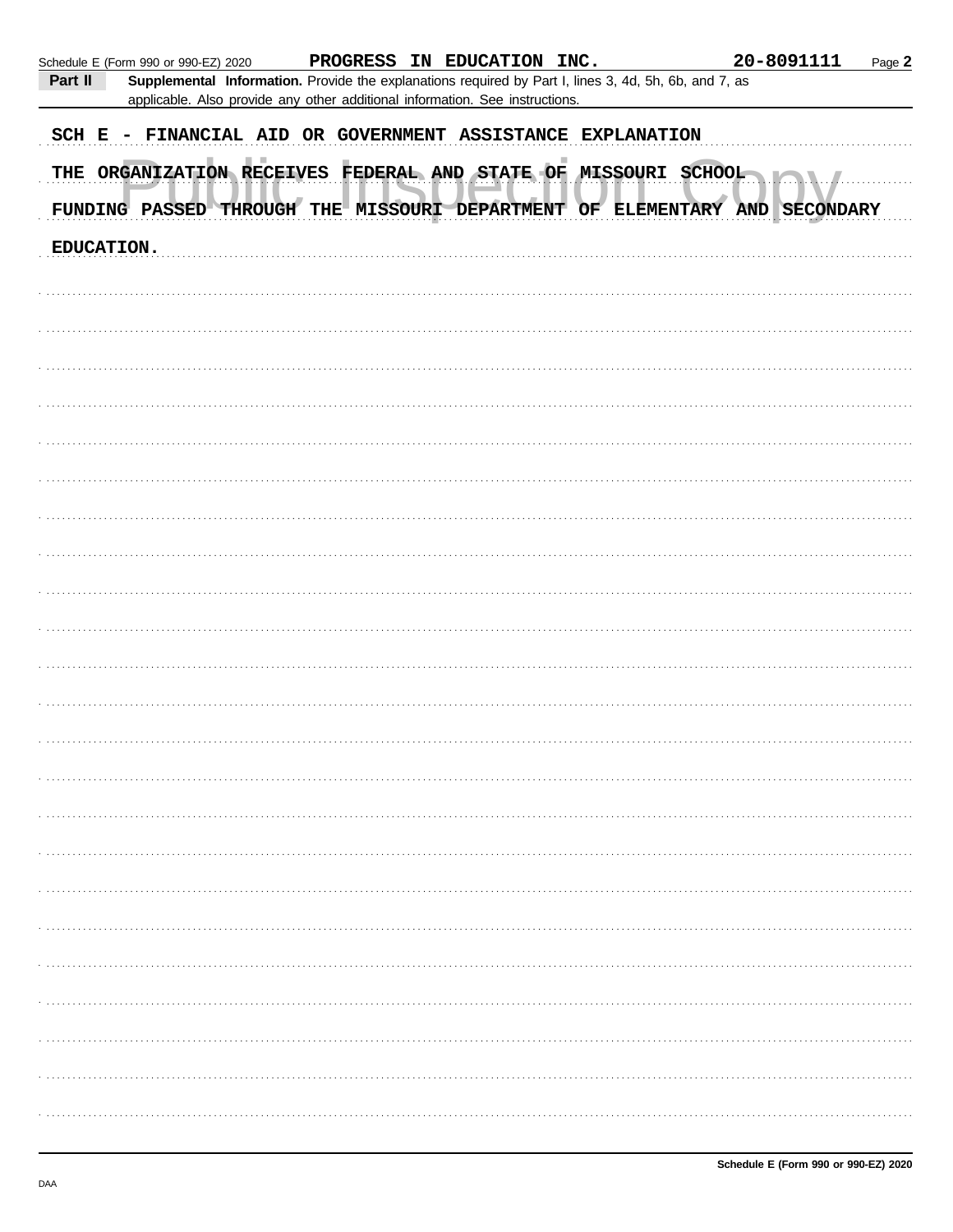|            | Schedule E (Form 990 or 990-EZ) 2020 |  | PROGRESS IN EDUCATION INC.                                                   |                                                                                                       | 20-8091111 | Page 2 |
|------------|--------------------------------------|--|------------------------------------------------------------------------------|-------------------------------------------------------------------------------------------------------|------------|--------|
| Part II    |                                      |  | applicable. Also provide any other additional information. See instructions. | Supplemental Information. Provide the explanations required by Part I, lines 3, 4d, 5h, 6b, and 7, as |            |        |
|            |                                      |  |                                                                              | SCH E - FINANCIAL AID OR GOVERNMENT ASSISTANCE EXPLANATION                                            |            |        |
|            |                                      |  |                                                                              | THE ORGANIZATION RECEIVES FEDERAL AND STATE OF MISSOURI SCHOOL                                        |            |        |
|            |                                      |  |                                                                              | FUNDING PASSED THROUGH THE MISSOURI DEPARTMENT OF ELEMENTARY AND SECONDARY                            |            |        |
| EDUCATION. |                                      |  |                                                                              |                                                                                                       |            |        |
|            |                                      |  |                                                                              |                                                                                                       |            |        |
|            |                                      |  |                                                                              |                                                                                                       |            |        |
|            |                                      |  |                                                                              |                                                                                                       |            |        |
|            |                                      |  |                                                                              |                                                                                                       |            |        |
|            |                                      |  |                                                                              |                                                                                                       |            |        |
|            |                                      |  |                                                                              |                                                                                                       |            |        |
|            |                                      |  |                                                                              |                                                                                                       |            |        |
|            |                                      |  |                                                                              |                                                                                                       |            |        |
|            |                                      |  |                                                                              |                                                                                                       |            |        |
|            |                                      |  |                                                                              |                                                                                                       |            |        |
|            |                                      |  |                                                                              |                                                                                                       |            |        |
|            |                                      |  |                                                                              |                                                                                                       |            |        |
|            |                                      |  |                                                                              |                                                                                                       |            |        |
|            |                                      |  |                                                                              |                                                                                                       |            |        |
|            |                                      |  |                                                                              |                                                                                                       |            |        |
|            |                                      |  |                                                                              |                                                                                                       |            |        |
|            |                                      |  |                                                                              |                                                                                                       |            |        |
|            |                                      |  |                                                                              |                                                                                                       |            |        |
|            |                                      |  |                                                                              |                                                                                                       |            |        |
|            |                                      |  |                                                                              |                                                                                                       |            |        |
|            |                                      |  |                                                                              |                                                                                                       |            |        |
|            |                                      |  |                                                                              |                                                                                                       |            |        |
|            |                                      |  |                                                                              |                                                                                                       |            |        |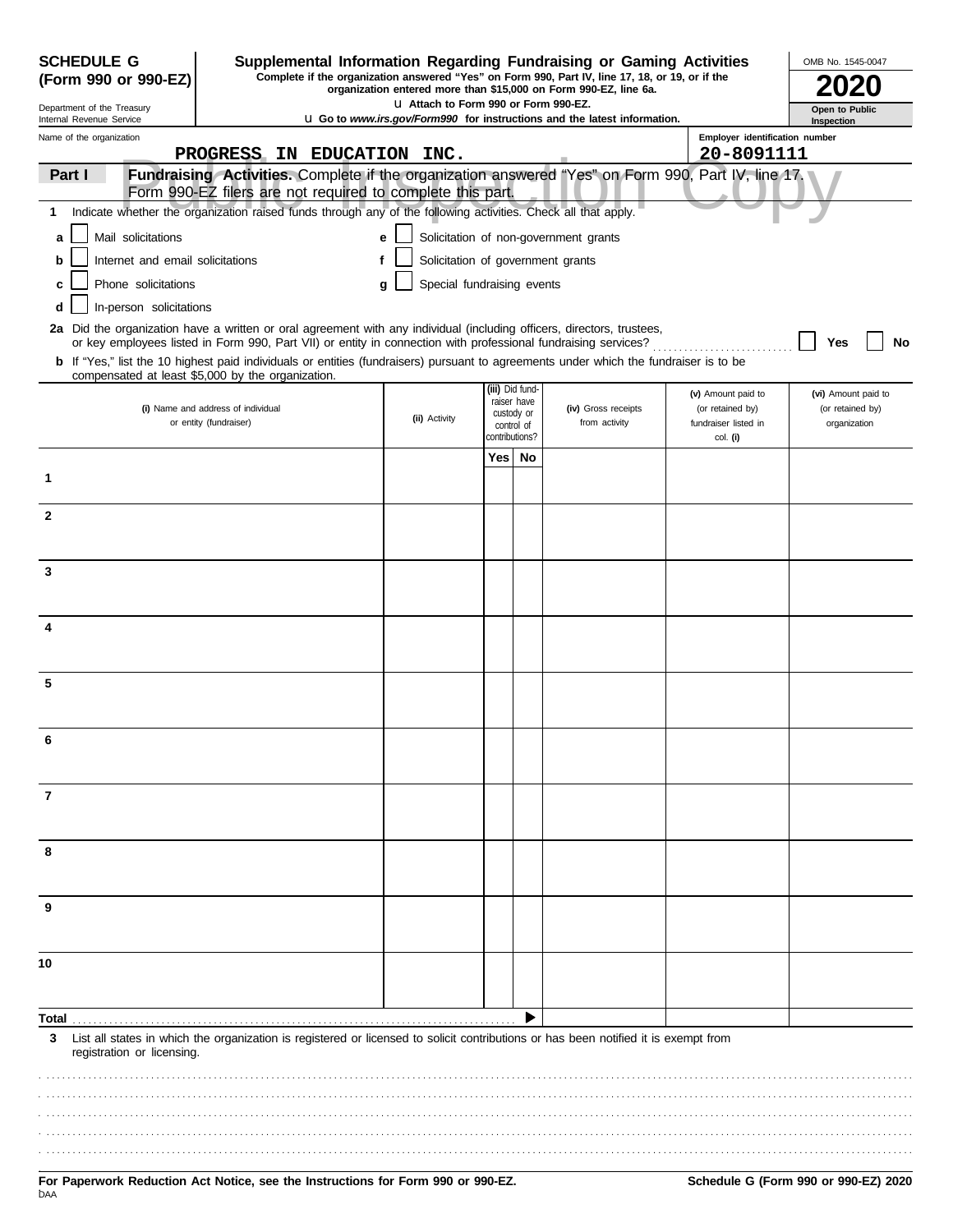| <b>SCHEDULE G</b><br>(Form 990 or 990-EZ)                                                                                                                                                 |                                  | Supplemental Information Regarding Fundraising or Gaming Activities<br>Complete if the organization answered "Yes" on Form 990, Part IV, line 17, 18, or 19, or if the<br>organization entered more than \$15,000 on Form 990-EZ, line 6a. |                                   |                                                           |                 |                                       |                                                      |                                  | OMB No. 1545-0047   |  |
|-------------------------------------------------------------------------------------------------------------------------------------------------------------------------------------------|----------------------------------|--------------------------------------------------------------------------------------------------------------------------------------------------------------------------------------------------------------------------------------------|-----------------------------------|-----------------------------------------------------------|-----------------|---------------------------------------|------------------------------------------------------|----------------------------------|---------------------|--|
| L1 Attach to Form 990 or Form 990-EZ.<br>Department of the Treasury<br><b>u</b> Go to <i>www.irs.gov/Form990</i> for instructions and the latest information.<br>Internal Revenue Service |                                  |                                                                                                                                                                                                                                            |                                   | Open to Public<br>Inspection                              |                 |                                       |                                                      |                                  |                     |  |
| Name of the organization                                                                                                                                                                  |                                  |                                                                                                                                                                                                                                            |                                   |                                                           |                 |                                       |                                                      | Employer identification number   |                     |  |
|                                                                                                                                                                                           |                                  | PROGRESS IN EDUCATION INC.                                                                                                                                                                                                                 |                                   |                                                           |                 |                                       |                                                      | 20-8091111                       |                     |  |
| Part I                                                                                                                                                                                    |                                  | Fundraising Activities. Complete if the organization answered "Yes" on Form 990, Part IV, line 17.<br>Form 990-EZ filers are not required to complete this part.                                                                           |                                   |                                                           |                 |                                       |                                                      |                                  |                     |  |
| 1                                                                                                                                                                                         |                                  | Indicate whether the organization raised funds through any of the following activities. Check all that apply.                                                                                                                              |                                   |                                                           |                 |                                       |                                                      |                                  |                     |  |
| a                                                                                                                                                                                         | Mail solicitations               |                                                                                                                                                                                                                                            | е                                 |                                                           |                 | Solicitation of non-government grants |                                                      |                                  |                     |  |
| b                                                                                                                                                                                         | Internet and email solicitations | f                                                                                                                                                                                                                                          | Solicitation of government grants |                                                           |                 |                                       |                                                      |                                  |                     |  |
|                                                                                                                                                                                           | Phone solicitations              |                                                                                                                                                                                                                                            | Special fundraising events<br>q   |                                                           |                 |                                       |                                                      |                                  |                     |  |
| d                                                                                                                                                                                         | In-person solicitations          |                                                                                                                                                                                                                                            |                                   |                                                           |                 |                                       |                                                      |                                  |                     |  |
|                                                                                                                                                                                           |                                  | 2a Did the organization have a written or oral agreement with any individual (including officers, directors, trustees,<br>or key employees listed in Form 990, Part VII) or entity in connection with professional fundraising services?   |                                   |                                                           |                 |                                       |                                                      |                                  | No<br>Yes           |  |
|                                                                                                                                                                                           |                                  | b If "Yes," list the 10 highest paid individuals or entities (fundraisers) pursuant to agreements under which the fundraiser is to be                                                                                                      |                                   |                                                           |                 |                                       |                                                      |                                  |                     |  |
|                                                                                                                                                                                           |                                  | compensated at least \$5,000 by the organization.                                                                                                                                                                                          |                                   |                                                           | (iii) Did fund- |                                       |                                                      | (v) Amount paid to               | (vi) Amount paid to |  |
|                                                                                                                                                                                           |                                  | (i) Name and address of individual<br>or entity (fundraiser)                                                                                                                                                                               | (ii) Activity                     | raiser have<br>custody or<br>control of<br>contributions? |                 | (iv) Gross receipts<br>from activity  | (or retained by)<br>fundraiser listed in<br>col. (i) | (or retained by)<br>organization |                     |  |
|                                                                                                                                                                                           |                                  |                                                                                                                                                                                                                                            |                                   |                                                           |                 |                                       |                                                      |                                  |                     |  |
|                                                                                                                                                                                           |                                  |                                                                                                                                                                                                                                            |                                   | Yes                                                       | No              |                                       |                                                      |                                  |                     |  |
| 1                                                                                                                                                                                         |                                  |                                                                                                                                                                                                                                            |                                   |                                                           |                 |                                       |                                                      |                                  |                     |  |
| $\mathbf{2}$                                                                                                                                                                              |                                  |                                                                                                                                                                                                                                            |                                   |                                                           |                 |                                       |                                                      |                                  |                     |  |
|                                                                                                                                                                                           |                                  |                                                                                                                                                                                                                                            |                                   |                                                           |                 |                                       |                                                      |                                  |                     |  |
|                                                                                                                                                                                           |                                  |                                                                                                                                                                                                                                            |                                   |                                                           |                 |                                       |                                                      |                                  |                     |  |
| 3                                                                                                                                                                                         |                                  |                                                                                                                                                                                                                                            |                                   |                                                           |                 |                                       |                                                      |                                  |                     |  |
|                                                                                                                                                                                           |                                  |                                                                                                                                                                                                                                            |                                   |                                                           |                 |                                       |                                                      |                                  |                     |  |
| 4                                                                                                                                                                                         |                                  |                                                                                                                                                                                                                                            |                                   |                                                           |                 |                                       |                                                      |                                  |                     |  |
|                                                                                                                                                                                           |                                  |                                                                                                                                                                                                                                            |                                   |                                                           |                 |                                       |                                                      |                                  |                     |  |
| 5                                                                                                                                                                                         |                                  |                                                                                                                                                                                                                                            |                                   |                                                           |                 |                                       |                                                      |                                  |                     |  |
|                                                                                                                                                                                           |                                  |                                                                                                                                                                                                                                            |                                   |                                                           |                 |                                       |                                                      |                                  |                     |  |
|                                                                                                                                                                                           |                                  |                                                                                                                                                                                                                                            |                                   |                                                           |                 |                                       |                                                      |                                  |                     |  |
| 6                                                                                                                                                                                         |                                  |                                                                                                                                                                                                                                            |                                   |                                                           |                 |                                       |                                                      |                                  |                     |  |
|                                                                                                                                                                                           |                                  |                                                                                                                                                                                                                                            |                                   |                                                           |                 |                                       |                                                      |                                  |                     |  |
| 7                                                                                                                                                                                         |                                  |                                                                                                                                                                                                                                            |                                   |                                                           |                 |                                       |                                                      |                                  |                     |  |
|                                                                                                                                                                                           |                                  |                                                                                                                                                                                                                                            |                                   |                                                           |                 |                                       |                                                      |                                  |                     |  |
| 8                                                                                                                                                                                         |                                  |                                                                                                                                                                                                                                            |                                   |                                                           |                 |                                       |                                                      |                                  |                     |  |
|                                                                                                                                                                                           |                                  |                                                                                                                                                                                                                                            |                                   |                                                           |                 |                                       |                                                      |                                  |                     |  |
| 9                                                                                                                                                                                         |                                  |                                                                                                                                                                                                                                            |                                   |                                                           |                 |                                       |                                                      |                                  |                     |  |
|                                                                                                                                                                                           |                                  |                                                                                                                                                                                                                                            |                                   |                                                           |                 |                                       |                                                      |                                  |                     |  |
|                                                                                                                                                                                           |                                  |                                                                                                                                                                                                                                            |                                   |                                                           |                 |                                       |                                                      |                                  |                     |  |
| 10                                                                                                                                                                                        |                                  |                                                                                                                                                                                                                                            |                                   |                                                           |                 |                                       |                                                      |                                  |                     |  |
|                                                                                                                                                                                           |                                  |                                                                                                                                                                                                                                            |                                   |                                                           |                 |                                       |                                                      |                                  |                     |  |
| Total                                                                                                                                                                                     |                                  |                                                                                                                                                                                                                                            |                                   |                                                           |                 |                                       |                                                      |                                  |                     |  |
| 3                                                                                                                                                                                         | registration or licensing.       | List all states in which the organization is registered or licensed to solicit contributions or has been notified it is exempt from                                                                                                        |                                   |                                                           |                 |                                       |                                                      |                                  |                     |  |
|                                                                                                                                                                                           |                                  |                                                                                                                                                                                                                                            |                                   |                                                           |                 |                                       |                                                      |                                  |                     |  |
|                                                                                                                                                                                           |                                  |                                                                                                                                                                                                                                            |                                   |                                                           |                 |                                       |                                                      |                                  |                     |  |
|                                                                                                                                                                                           |                                  |                                                                                                                                                                                                                                            |                                   |                                                           |                 |                                       |                                                      |                                  |                     |  |
|                                                                                                                                                                                           |                                  |                                                                                                                                                                                                                                            |                                   |                                                           |                 |                                       |                                                      |                                  |                     |  |
|                                                                                                                                                                                           |                                  |                                                                                                                                                                                                                                            |                                   |                                                           |                 |                                       |                                                      |                                  |                     |  |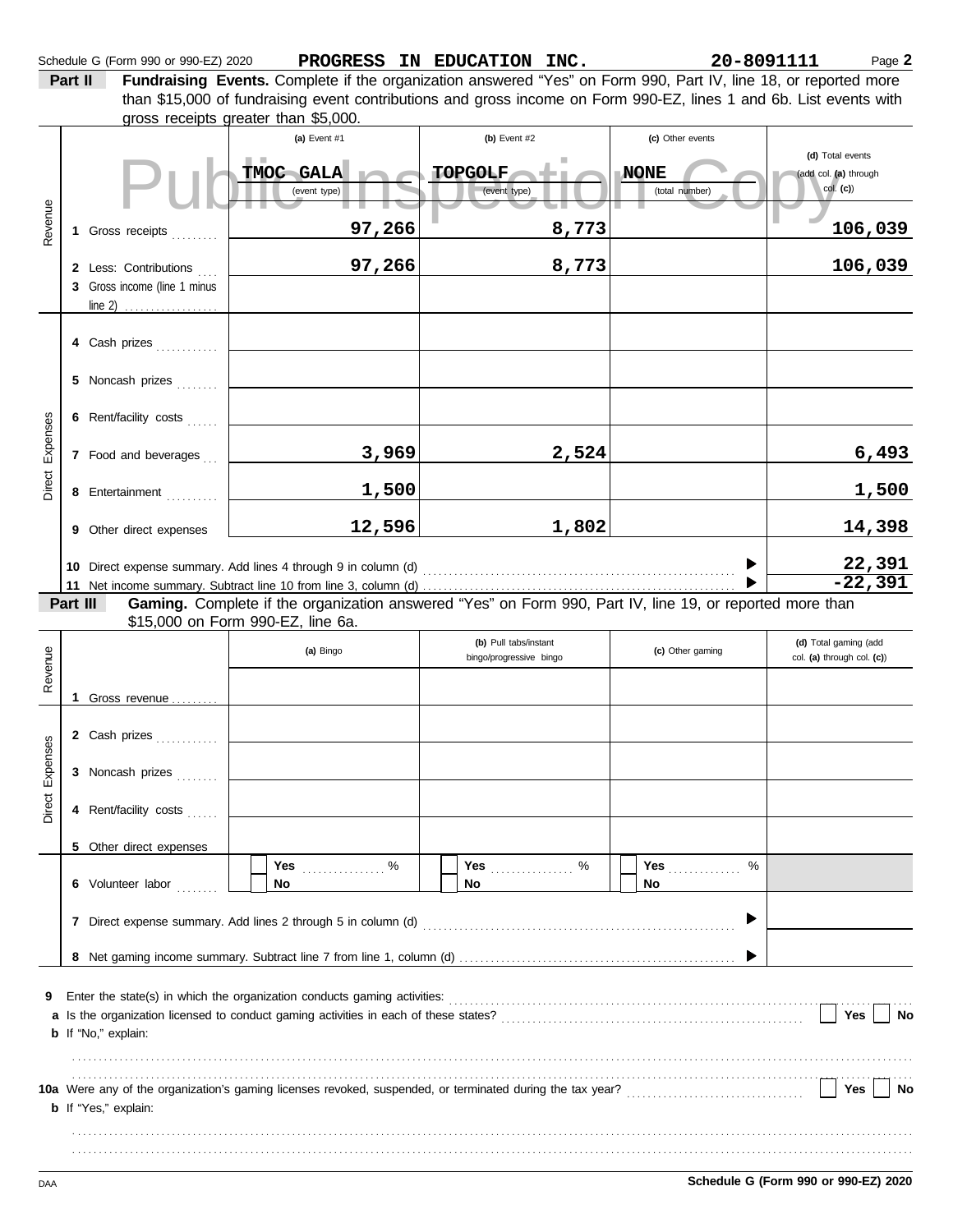**Part II Fundraising Events.** Complete if the organization answered "Yes" on Form 990, Part IV, line 18, or reported more gross receipts greater than \$5,000. than \$15,000 of fundraising event contributions and gross income on Form 990-EZ, lines 1 and 6b. List events with

|                 |          |                                                  | (a) Event #1                      | (b) Event $#2$                                                                                           | (c) Other events              |                                                          |  |  |
|-----------------|----------|--------------------------------------------------|-----------------------------------|----------------------------------------------------------------------------------------------------------|-------------------------------|----------------------------------------------------------|--|--|
|                 |          |                                                  | TMOC GALA<br>(event type)         | <b>TOPGOLF</b><br>(event type)                                                                           | <b>NONE</b><br>(total number) | (d) Total events<br>(add col. (a) through<br>$col.$ (c)) |  |  |
| Revenue         |          | 1 Gross receipts                                 | 97,266                            | 8,773                                                                                                    |                               | 106,039                                                  |  |  |
|                 |          | 2 Less: Contributions                            | 97,266                            | 8,773                                                                                                    |                               | 106,039                                                  |  |  |
|                 |          | 3 Gross income (line 1 minus<br>line 2) $\ldots$ |                                   |                                                                                                          |                               |                                                          |  |  |
|                 |          |                                                  |                                   |                                                                                                          |                               |                                                          |  |  |
|                 |          | 4 Cash prizes                                    |                                   |                                                                                                          |                               |                                                          |  |  |
|                 |          | 5 Noncash prizes                                 |                                   |                                                                                                          |                               |                                                          |  |  |
|                 |          | 6 Rent/facility costs                            |                                   |                                                                                                          |                               |                                                          |  |  |
| Direct Expenses |          | 7 Food and beverages                             | 3,969                             | 2,524                                                                                                    |                               | 6,493                                                    |  |  |
|                 |          | 8 Entertainment                                  | 1,500                             |                                                                                                          |                               | 1,500                                                    |  |  |
|                 |          | 9 Other direct expenses                          | 12,596                            | 1,802                                                                                                    |                               | 14,398                                                   |  |  |
|                 |          |                                                  |                                   |                                                                                                          |                               |                                                          |  |  |
|                 |          |                                                  |                                   |                                                                                                          |                               | 22,391<br>-22,391                                        |  |  |
|                 | Part III |                                                  |                                   | Gaming. Complete if the organization answered "Yes" on Form 990, Part IV, line 19, or reported more than |                               |                                                          |  |  |
|                 |          |                                                  | \$15,000 on Form 990-EZ, line 6a. |                                                                                                          |                               |                                                          |  |  |
|                 |          |                                                  | (a) Bingo                         | (b) Pull tabs/instant<br>bingo/progressive bingo                                                         | (c) Other gaming              | (d) Total gaming (add<br>col. (a) through col. (c))      |  |  |
| Revenue         |          | 1 Gross revenue                                  |                                   |                                                                                                          |                               |                                                          |  |  |
|                 |          |                                                  |                                   |                                                                                                          |                               |                                                          |  |  |
|                 |          | 2 Cash prizes                                    |                                   |                                                                                                          |                               |                                                          |  |  |
| Expenses        |          | 3 Noncash prizes                                 |                                   |                                                                                                          |                               |                                                          |  |  |
| Direct          |          | 4 Rent/facility costs                            |                                   |                                                                                                          |                               |                                                          |  |  |
|                 |          | 5 Other direct expenses                          |                                   |                                                                                                          |                               |                                                          |  |  |
|                 |          |                                                  | Yes<br>. $\%$                     | . $\%$<br>Yes                                                                                            | %<br>Yes                      |                                                          |  |  |
|                 |          | 6 Volunteer labor                                | No                                | <b>No</b>                                                                                                | No                            |                                                          |  |  |
|                 |          |                                                  |                                   |                                                                                                          | ▶                             |                                                          |  |  |
|                 |          |                                                  |                                   |                                                                                                          |                               |                                                          |  |  |
|                 |          |                                                  |                                   |                                                                                                          |                               |                                                          |  |  |
| 9               |          |                                                  |                                   |                                                                                                          |                               |                                                          |  |  |
|                 |          | <b>b</b> If "No," explain:                       |                                   |                                                                                                          |                               | Yes<br>No                                                |  |  |
|                 |          |                                                  |                                   |                                                                                                          |                               |                                                          |  |  |
|                 |          |                                                  |                                   |                                                                                                          |                               | Yes<br>No                                                |  |  |
|                 |          | <b>b</b> If "Yes," explain:                      |                                   |                                                                                                          |                               |                                                          |  |  |
|                 |          |                                                  |                                   |                                                                                                          |                               |                                                          |  |  |
|                 |          |                                                  |                                   |                                                                                                          |                               |                                                          |  |  |
| DAA             |          |                                                  |                                   |                                                                                                          |                               | Schedule G (Form 990 or 990-EZ) 2020                     |  |  |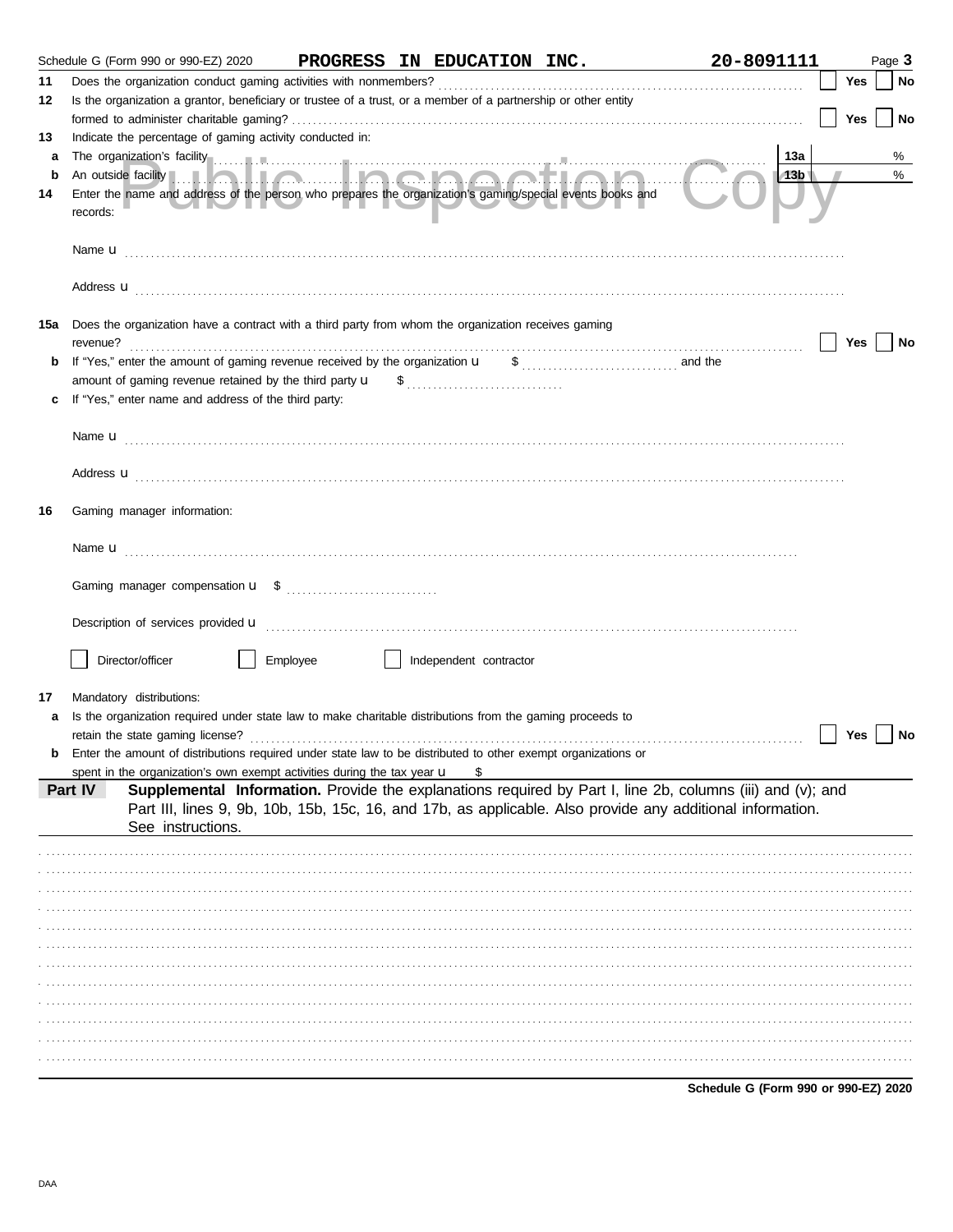|     | Schedule G (Form 990 or 990-EZ) 2020<br>PROGRESS IN EDUCATION INC.                                                                                                                                                             | 20-8091111 | Page 3 |
|-----|--------------------------------------------------------------------------------------------------------------------------------------------------------------------------------------------------------------------------------|------------|--------|
| 11  |                                                                                                                                                                                                                                | Yes        | No     |
| 12  | Is the organization a grantor, beneficiary or trustee of a trust, or a member of a partnership or other entity                                                                                                                 |            |        |
|     |                                                                                                                                                                                                                                | Yes        | No     |
| 13  | Indicate the percentage of gaming activity conducted in:                                                                                                                                                                       |            |        |
| а   | The organization's facility contains a control of the control of the control of the control of the control of the control of the control of the control of the control of the control of the control of the control of the con | 13a        | %      |
| b   |                                                                                                                                                                                                                                | 13b        | %      |
| 14  | Enter the name and address of the person who prepares the organization's gaming/special events books and<br>records:                                                                                                           |            |        |
|     |                                                                                                                                                                                                                                |            |        |
|     | Address <b>u</b>                                                                                                                                                                                                               |            |        |
| 15a | Does the organization have a contract with a third party from whom the organization receives gaming                                                                                                                            | Yes        | No     |
| b   | If "Yes," enter the amount of gaming revenue received by the organization $\mathbf{u} = \mathbf{s}$ [[[[[[[[[[[[[[[[[[[[[[[[]]]]]]]]]]]] and the                                                                               |            |        |
|     |                                                                                                                                                                                                                                |            |        |
|     | If "Yes," enter name and address of the third party:                                                                                                                                                                           |            |        |
|     |                                                                                                                                                                                                                                |            |        |
|     |                                                                                                                                                                                                                                |            |        |
|     |                                                                                                                                                                                                                                |            |        |
|     | Address <b>u</b>                                                                                                                                                                                                               |            |        |
| 16  | Gaming manager information:                                                                                                                                                                                                    |            |        |
|     |                                                                                                                                                                                                                                |            |        |
|     |                                                                                                                                                                                                                                |            |        |
|     |                                                                                                                                                                                                                                |            |        |
|     |                                                                                                                                                                                                                                |            |        |
|     |                                                                                                                                                                                                                                |            |        |
|     | Director/officer<br>Employee<br>    Independent contractor                                                                                                                                                                     |            |        |
|     |                                                                                                                                                                                                                                |            |        |
| 17  | Mandatory distributions:                                                                                                                                                                                                       |            |        |
| a   | Is the organization required under state law to make charitable distributions from the gaming proceeds to                                                                                                                      |            |        |
|     |                                                                                                                                                                                                                                | Yes        | No     |
|     | <b>b</b> Enter the amount of distributions required under state law to be distributed to other exempt organizations or                                                                                                         |            |        |
|     | spent in the organization's own exempt activities during the tax year u<br>S                                                                                                                                                   |            |        |
|     | Supplemental Information. Provide the explanations required by Part I, line 2b, columns (iii) and (v); and<br>Part IV                                                                                                          |            |        |
|     | Part III, lines 9, 9b, 10b, 15b, 15c, 16, and 17b, as applicable. Also provide any additional information.<br>See instructions.                                                                                                |            |        |
|     |                                                                                                                                                                                                                                |            |        |
|     |                                                                                                                                                                                                                                |            |        |
|     |                                                                                                                                                                                                                                |            |        |
|     |                                                                                                                                                                                                                                |            |        |
|     |                                                                                                                                                                                                                                |            |        |
|     |                                                                                                                                                                                                                                |            |        |
|     |                                                                                                                                                                                                                                |            |        |
|     |                                                                                                                                                                                                                                |            |        |
|     |                                                                                                                                                                                                                                |            |        |
|     |                                                                                                                                                                                                                                |            |        |
|     |                                                                                                                                                                                                                                |            |        |
|     |                                                                                                                                                                                                                                |            |        |
|     |                                                                                                                                                                                                                                |            |        |

Schedule G (Form 990 or 990-EZ) 2020